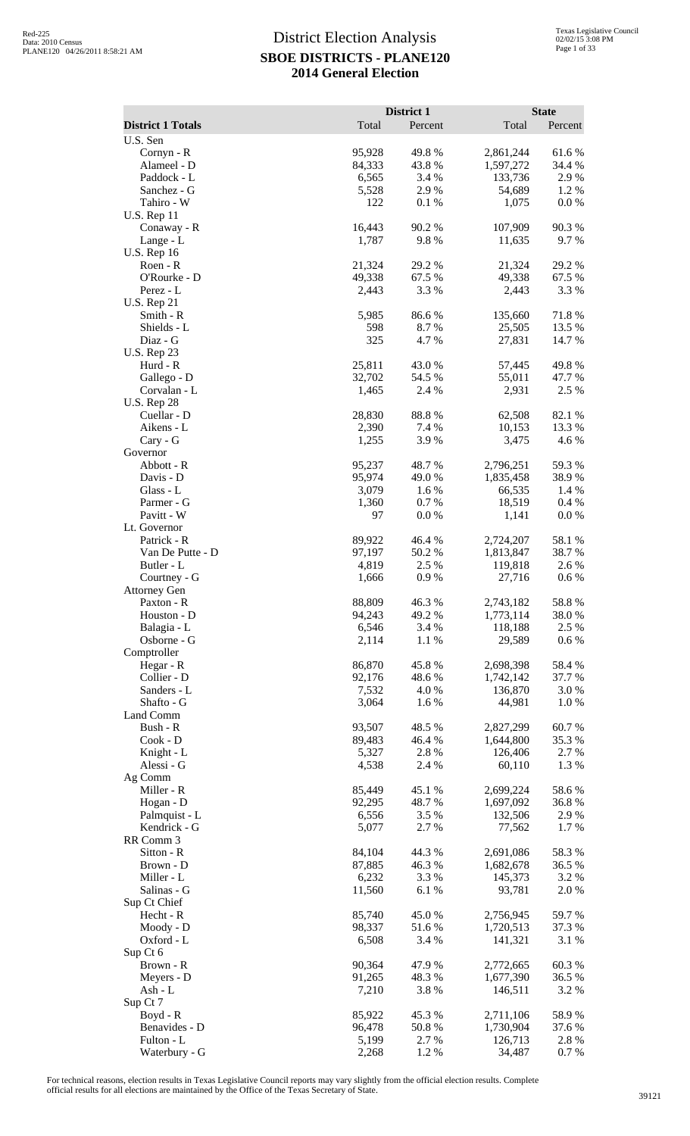|                                     |                  | District 1      |                        | <b>State</b>     |
|-------------------------------------|------------------|-----------------|------------------------|------------------|
| <b>District 1 Totals</b>            | Total            | Percent         | Total                  | Percent          |
| U.S. Sen                            |                  |                 |                        |                  |
| Cornyn - R                          | 95,928           | 49.8%           | 2,861,244              | 61.6%            |
| Alameel - D                         | 84,333           | 43.8%           | 1,597,272              | 34.4 %           |
| Paddock - L                         | 6,565            | 3.4 %           | 133,736                | 2.9%<br>1.2%     |
| Sanchez - G<br>Tahiro - W           | 5,528<br>122     | 2.9%<br>0.1 %   | 54,689<br>1,075        | 0.0 %            |
| <b>U.S. Rep 11</b>                  |                  |                 |                        |                  |
| Conaway - R                         | 16,443           | 90.2%           | 107,909                | 90.3%            |
| Lange - L                           | 1,787            | 9.8%            | 11,635                 | 9.7 %            |
| <b>U.S. Rep 16</b>                  |                  |                 |                        |                  |
| Roen - R                            | 21,324           | 29.2 %          | 21,324                 | 29.2 %           |
| O'Rourke - D<br>Perez - L           | 49,338<br>2,443  | 67.5 %<br>3.3 % | 49,338<br>2,443        | 67.5 %<br>3.3 %  |
| <b>U.S. Rep 21</b>                  |                  |                 |                        |                  |
| Smith - R                           | 5,985            | 86.6%           | 135,660                | 71.8%            |
| Shields - L                         | 598              | 8.7%            | 25,505                 | 13.5 %           |
| Diaz - G                            | 325              | 4.7%            | 27,831                 | 14.7 %           |
| <b>U.S. Rep 23</b>                  |                  |                 |                        |                  |
| Hurd - R                            | 25,811           | 43.0%           | 57,445                 | 49.8%            |
| Gallego - D<br>Corvalan - L         | 32,702<br>1,465  | 54.5 %<br>2.4 % | 55,011<br>2,931        | 47.7 %<br>2.5 %  |
| <b>U.S. Rep 28</b>                  |                  |                 |                        |                  |
| Cuellar - D                         | 28,830           | 88.8%           | 62,508                 | 82.1%            |
| Aikens - L                          | 2,390            | 7.4 %           | 10,153                 | 13.3 %           |
| Cary - G                            | 1,255            | 3.9 %           | 3,475                  | 4.6%             |
| Governor                            |                  |                 |                        |                  |
| Abbott - R                          | 95,237           | 48.7%           | 2,796,251              | 59.3%            |
| Davis - D<br>Glass - L              | 95,974<br>3,079  | 49.0%<br>1.6%   | 1,835,458<br>66,535    | 38.9%<br>1.4 %   |
| Parmer - G                          | 1,360            | 0.7%            | 18,519                 | 0.4%             |
| Pavitt - W                          | 97               | 0.0 %           | 1,141                  | 0.0 %            |
| Lt. Governor                        |                  |                 |                        |                  |
| Patrick - R                         | 89,922           | 46.4 %          | 2,724,207              | 58.1 %           |
| Van De Putte - D                    | 97,197           | 50.2%           | 1,813,847              | 38.7%            |
| Butler - L                          | 4,819            | 2.5 %<br>0.9%   | 119,818                | 2.6 %<br>0.6 %   |
| Courtney - G<br><b>Attorney Gen</b> | 1,666            |                 | 27,716                 |                  |
| Paxton - R                          | 88,809           | 46.3%           | 2,743,182              | 58.8%            |
| Houston - D                         | 94,243           | 49.2 %          | 1,773,114              | 38.0%            |
| Balagia - L                         | 6,546            | 3.4 %           | 118,188                | 2.5 %            |
| Osborne - G                         | 2,114            | 1.1 %           | 29,589                 | $0.6\%$          |
| Comptroller                         |                  |                 |                        |                  |
| Hegar - R<br>Collier - D            | 86,870<br>92,176 | 45.8%<br>48.6%  | 2,698,398<br>1,742,142 | 58.4 %<br>37.7 % |
| Sanders - L                         | 7,532            | 4.0%            | 136,870                | 3.0%             |
| Shafto - G                          | 3,064            | 1.6%            | 44,981                 | 1.0%             |
| Land Comm                           |                  |                 |                        |                  |
| Bush - R                            | 93,507           | 48.5 %          | 2,827,299              | 60.7%            |
| $Cook - D$                          | 89,483           | 46.4 %          | 1,644,800              | 35.3 %           |
| Knight - L<br>Alessi - G            | 5,327            | 2.8%            | 126,406                | 2.7 %            |
| Ag Comm                             | 4,538            | 2.4 %           | 60,110                 | 1.3 %            |
| Miller - R                          | 85,449           | 45.1 %          | 2,699,224              | 58.6%            |
| Hogan - D                           | 92,295           | 48.7%           | 1,697,092              | 36.8%            |
| Palmquist - L                       | 6,556            | 3.5 %           | 132,506                | 2.9 %            |
| Kendrick - G                        | 5,077            | 2.7 %           | 77,562                 | 1.7%             |
| RR Comm 3                           |                  |                 |                        |                  |
| Sitton - R<br>Brown - D             | 84,104<br>87,885 | 44.3 %<br>46.3% | 2,691,086<br>1,682,678 | 58.3%            |
| Miller - L                          | 6,232            | 3.3 %           | 145,373                | 36.5 %<br>3.2 %  |
| Salinas - G                         | 11,560           | 6.1%            | 93,781                 | 2.0%             |
| Sup Ct Chief                        |                  |                 |                        |                  |
| Hecht - R                           | 85,740           | 45.0%           | 2,756,945              | 59.7%            |
| Moody - D                           | 98,337           | 51.6%           | 1,720,513              | 37.3 %           |
| Oxford - L                          | 6,508            | 3.4 %           | 141,321                | 3.1 %            |
| Sup Ct 6<br>Brown - R               | 90,364           | 47.9%           | 2,772,665              | 60.3%            |
| Meyers - D                          | 91,265           | 48.3%           | 1,677,390              | 36.5 %           |
| Ash - L                             | 7,210            | 3.8%            | 146,511                | 3.2 %            |
| Sup Ct 7                            |                  |                 |                        |                  |
| Boyd - R                            | 85,922           | 45.3 %          | 2,711,106              | 58.9%            |
| Benavides - D                       | 96,478           | 50.8%           | 1,730,904              | 37.6 %           |
| Fulton - L                          | 5,199            | 2.7 %           | 126,713                | 2.8 %            |
| Waterbury - G                       | 2,268            | 1.2%            | 34,487                 | 0.7 %            |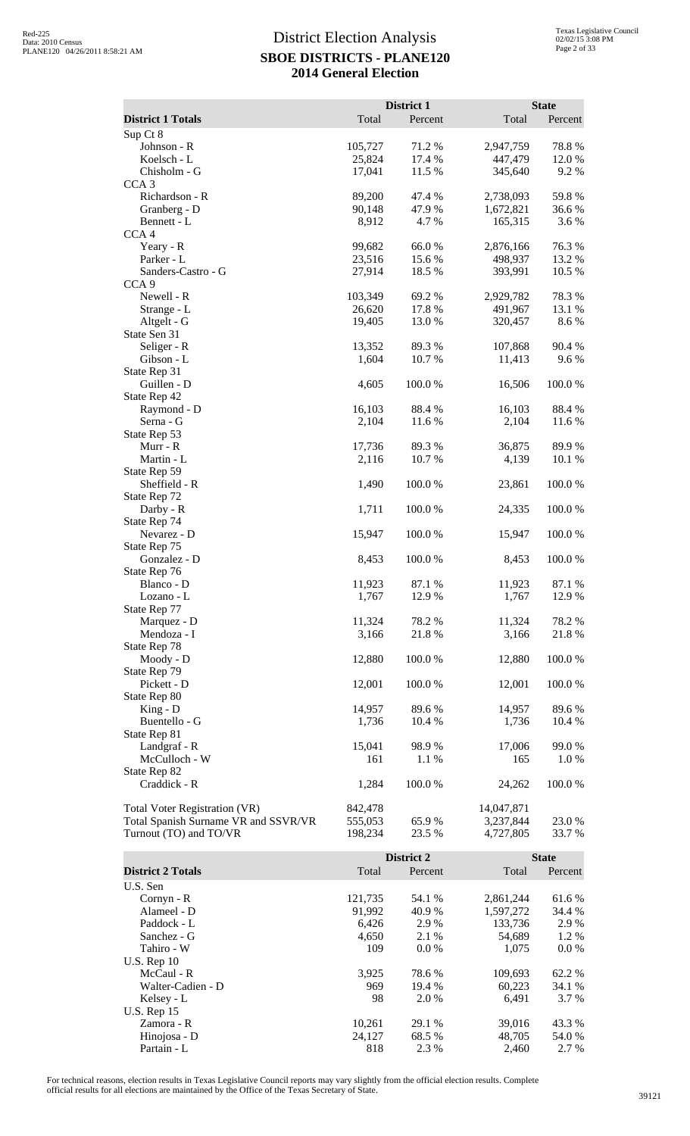|                                      |                   | District 1      |                        | <b>State</b>    |
|--------------------------------------|-------------------|-----------------|------------------------|-----------------|
| <b>District 1 Totals</b>             | Total             | Percent         | Total                  | Percent         |
| Sup Ct 8<br>Johnson - R              | 105,727           | 71.2 %          | 2,947,759              | 78.8%           |
| Koelsch - L                          | 25,824            | 17.4 %          | 447,479                | 12.0%           |
| Chisholm - G                         | 17,041            | 11.5 %          | 345,640                | 9.2%            |
| CCA <sub>3</sub><br>Richardson - R   | 89,200            | 47.4 %          | 2,738,093              | 59.8%           |
| Granberg - D                         | 90,148            | 47.9%           | 1,672,821              | 36.6%           |
| Bennett - L                          | 8,912             | 4.7%            | 165,315                | 3.6 %           |
| CCA <sub>4</sub>                     |                   | 66.0%           |                        |                 |
| Yeary - R<br>Parker - L              | 99,682<br>23,516  | 15.6 %          | 2,876,166<br>498,937   | 76.3%<br>13.2 % |
| Sanders-Castro - G                   | 27,914            | 18.5 %          | 393,991                | 10.5 %          |
| CCA <sub>9</sub>                     |                   |                 |                        |                 |
| Newell - R<br>Strange - L            | 103,349<br>26,620 | 69.2%<br>17.8 % | 2,929,782<br>491,967   | 78.3%<br>13.1 % |
| Altgelt - G                          | 19,405            | 13.0 %          | 320,457                | 8.6%            |
| State Sen 31                         |                   |                 |                        |                 |
| Seliger - R<br>Gibson - L            | 13,352<br>1,604   | 89.3%<br>10.7 % | 107,868<br>11,413      | 90.4 %<br>9.6%  |
| State Rep 31                         |                   |                 |                        |                 |
| Guillen - D                          | 4,605             | 100.0%          | 16,506                 | 100.0%          |
| State Rep 42                         |                   |                 |                        |                 |
| Raymond - D<br>Serna - G             | 16,103<br>2,104   | 88.4%<br>11.6 % | 16,103<br>2,104        | 88.4%<br>11.6 % |
| State Rep 53                         |                   |                 |                        |                 |
| Murr - R                             | 17,736            | 89.3%           | 36,875                 | 89.9%           |
| Martin - L<br>State Rep 59           | 2,116             | 10.7%           | 4,139                  | 10.1 %          |
| Sheffield - R                        | 1,490             | 100.0%          | 23,861                 | 100.0%          |
| State Rep 72                         |                   |                 |                        |                 |
| Darby - R                            | 1,711             | 100.0%          | 24,335                 | 100.0%          |
| State Rep 74<br>Nevarez - D          | 15,947            | 100.0%          | 15,947                 | 100.0%          |
| State Rep 75                         |                   |                 |                        |                 |
| Gonzalez - D                         | 8,453             | 100.0 %         | 8,453                  | 100.0%          |
| State Rep 76<br>Blanco - D           | 11,923            | 87.1 %          | 11,923                 | 87.1 %          |
| Lozano - L                           | 1,767             | 12.9 %          | 1,767                  | 12.9 %          |
| State Rep 77                         |                   |                 |                        |                 |
| Marquez - D<br>Mendoza - I           | 11,324<br>3,166   | 78.2%<br>21.8%  | 11,324<br>3,166        | 78.2 %<br>21.8% |
| State Rep 78                         |                   |                 |                        |                 |
| Moody - D                            | 12,880            | 100.0%          | 12,880                 | 100.0%          |
| State Rep 79<br>Pickett - D          | 12,001            | 100.0%          | 12,001                 | 100.0%          |
| State Rep 80                         |                   |                 |                        |                 |
| $King - D$                           | 14,957            | 89.6%           | 14,957                 | 89.6%           |
| Buentello - G                        | 1,736             | 10.4 %          | 1,736                  | 10.4 %          |
| State Rep 81<br>Landgraf - R         | 15,041            | 98.9%           | 17,006                 | 99.0%           |
| McCulloch - W                        | 161               | 1.1 %           | 165                    | 1.0%            |
| State Rep 82                         |                   |                 |                        |                 |
| Craddick - R                         | 1,284             | 100.0%          | 24,262                 | 100.0%          |
| <b>Total Voter Registration (VR)</b> | 842,478           |                 | 14,047,871             |                 |
| Total Spanish Surname VR and SSVR/VR | 555,053           | 65.9%           | 3,237,844              | 23.0%           |
| Turnout (TO) and TO/VR               | 198,234           | 23.5 %          | 4,727,805              | 33.7 %          |
|                                      |                   | District 2      |                        | <b>State</b>    |
| <b>District 2 Totals</b>             | Total             | Percent         | Total                  | Percent         |
| U.S. Sen                             |                   |                 |                        |                 |
| Cornyn - R<br>Alameel - D            | 121,735<br>91,992 | 54.1 %<br>40.9% | 2,861,244<br>1,597,272 | 61.6%<br>34.4 % |
| Paddock - L                          | 6,426             | 2.9%            | 133,736                | 2.9%            |
| Sanchez - G                          | 4,650             | 2.1 %           | 54,689                 | 1.2%            |
| Tahiro - W                           | 109               | 0.0 %           | 1,075                  | $0.0\ \%$       |
| <b>U.S. Rep 10</b><br>McCaul - R     | 3,925             | 78.6%           | 109,693                | 62.2%           |
| Walter-Cadien - D                    | 969               | 19.4 %          | 60,223                 | 34.1 %          |
| Kelsey - L                           | 98                | 2.0 %           | 6,491                  | 3.7%            |
| <b>U.S. Rep 15</b><br>Zamora - R     | 10,261            | 29.1 %          | 39,016                 | 43.3%           |
| Hinojosa - D                         | 24,127            | 68.5%           | 48,705                 | 54.0%           |
| Partain - L                          | 818               | 2.3 %           | 2,460                  | 2.7 %           |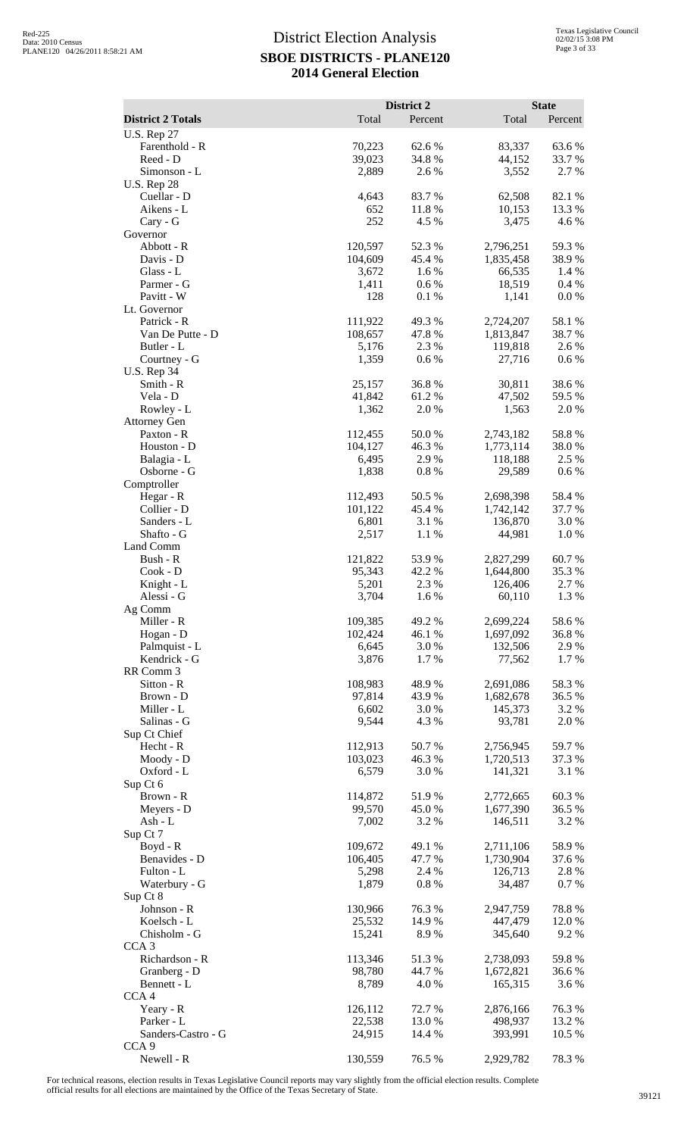|                                      |                   | District 2      |                        | <b>State</b>     |
|--------------------------------------|-------------------|-----------------|------------------------|------------------|
| <b>District 2 Totals</b>             | Total             | Percent         | Total                  | Percent          |
| <b>U.S. Rep 27</b><br>Farenthold - R | 70,223            | 62.6%           | 83,337                 | 63.6%            |
| Reed - D                             | 39,023            | 34.8%           | 44,152                 | 33.7 %           |
| Simonson - L                         | 2,889             | 2.6%            | 3,552                  | 2.7 %            |
| <b>U.S. Rep 28</b><br>Cuellar - D    | 4,643             | 83.7%           | 62,508                 | 82.1 %           |
| Aikens - L                           | 652               | 11.8 %          | 10,153                 | 13.3 %           |
| Cary - G                             | 252               | 4.5 %           | 3,475                  | 4.6 %            |
| Governor<br>Abbott - R               | 120,597           | 52.3 %          | 2,796,251              | 59.3%            |
| Davis - D                            | 104,609           | 45.4 %          | 1,835,458              | 38.9%            |
| Glass - L                            | 3,672             | 1.6 %           | 66,535                 | 1.4 %            |
| Parmer - G<br>Pavitt - W             | 1,411<br>128      | 0.6 %<br>0.1 %  | 18,519<br>1,141        | 0.4 %<br>0.0 %   |
| Lt. Governor                         |                   |                 |                        |                  |
| Patrick - R                          | 111,922           | 49.3%           | 2,724,207              | 58.1 %           |
| Van De Putte - D                     | 108,657           | 47.8%           | 1,813,847              | 38.7 %           |
| Butler - L<br>Courtney - G           | 5,176<br>1,359    | 2.3 %<br>0.6 %  | 119,818<br>27,716      | 2.6 %<br>$0.6\%$ |
| <b>U.S. Rep 34</b>                   |                   |                 |                        |                  |
| Smith - R                            | 25,157            | 36.8%           | 30,811                 | 38.6%            |
| Vela - D<br>Rowley - L               | 41,842<br>1,362   | 61.2%<br>2.0%   | 47,502<br>1,563        | 59.5 %<br>2.0 %  |
| <b>Attorney Gen</b>                  |                   |                 |                        |                  |
| Paxton - R                           | 112,455           | 50.0%           | 2,743,182              | 58.8%            |
| Houston - D                          | 104,127           | 46.3%           | 1,773,114              | 38.0 %           |
| Balagia - L<br>Osborne - G           | 6,495<br>1,838    | 2.9%<br>0.8 %   | 118,188<br>29,589      | 2.5 %<br>$0.6\%$ |
| Comptroller                          |                   |                 |                        |                  |
| Hegar - R                            | 112,493           | 50.5 %          | 2,698,398              | 58.4 %           |
| Collier - D<br>Sanders - L           | 101,122<br>6,801  | 45.4 %<br>3.1 % | 1,742,142<br>136,870   | 37.7 %<br>3.0 %  |
| Shafto - G                           | 2,517             | 1.1 %           | 44,981                 | 1.0 %            |
| Land Comm                            |                   |                 |                        |                  |
| Bush - R<br>Cook - D                 | 121,822<br>95,343 | 53.9%<br>42.2 % | 2,827,299<br>1,644,800 | 60.7%<br>35.3 %  |
| Knight - L                           | 5,201             | 2.3 %           | 126,406                | 2.7 %            |
| Alessi - G                           | 3,704             | 1.6 %           | 60,110                 | 1.3 %            |
| Ag Comm<br>Miller - R                | 109,385           | 49.2 %          | 2,699,224              | 58.6%            |
| Hogan - D                            | 102,424           | 46.1 %          | 1,697,092              | 36.8%            |
| Palmquist - L                        | 6,645             | 3.0%            | 132,506                | 2.9 %            |
| Kendrick - G                         | 3,876             | 1.7%            | 77,562                 | 1.7 %            |
| RR Comm 3<br>Sitton - R              | 108,983           | 48.9%           | 2,691,086              | 58.3%            |
| Brown - D                            | 97,814            | 43.9%           | 1,682,678              | 36.5 %           |
| Miller - L                           | 6,602             | 3.0%            | 145,373                | 3.2 %            |
| Salinas - G<br>Sup Ct Chief          | 9,544             | 4.3 %           | 93,781                 | 2.0%             |
| Hecht - R                            | 112,913           | 50.7%           | 2,756,945              | 59.7%            |
| Moody - D                            | 103,023           | 46.3%           | 1,720,513              | 37.3 %           |
| Oxford - L<br>Sup Ct 6               | 6,579             | 3.0%            | 141,321                | 3.1 %            |
| Brown - R                            | 114,872           | 51.9%           | 2,772,665              | 60.3%            |
| Meyers - D                           | 99,570            | 45.0%           | 1,677,390              | 36.5 %           |
| $Ash - L$                            | 7,002             | 3.2 %           | 146,511                | 3.2 %            |
| Sup Ct 7<br>$Boyd - R$               | 109,672           | 49.1 %          | 2,711,106              | 58.9%            |
| Benavides - D                        | 106,405           | 47.7 %          | 1,730,904              | 37.6 %           |
| Fulton - L                           | 5,298             | 2.4 %           | 126,713                | 2.8%             |
| Waterbury - G<br>Sup Ct 8            | 1,879             | 0.8 %           | 34,487                 | 0.7 %            |
| Johnson - R                          | 130,966           | 76.3%           | 2,947,759              | 78.8%            |
| Koelsch - L                          | 25,532            | 14.9%           | 447,479                | 12.0 %           |
| Chisholm - G                         | 15,241            | 8.9%            | 345,640                | 9.2 %            |
| CCA <sub>3</sub><br>Richardson - R   | 113,346           | 51.3%           | 2,738,093              | 59.8%            |
| Granberg - D                         | 98,780            | 44.7%           | 1,672,821              | 36.6 %           |
| Bennett - L                          | 8,789             | 4.0%            | 165,315                | 3.6 %            |
| CCA4<br>Yeary - R                    | 126,112           | 72.7 %          | 2,876,166              | 76.3%            |
| Parker - L                           | 22,538            | 13.0%           | 498,937                | 13.2 %           |
| Sanders-Castro - G                   | 24,915            | 14.4 %          | 393,991                | 10.5 %           |
| CCA <sub>9</sub>                     |                   |                 |                        |                  |
| Newell - R                           | 130,559           | 76.5 %          | 2,929,782              | 78.3%            |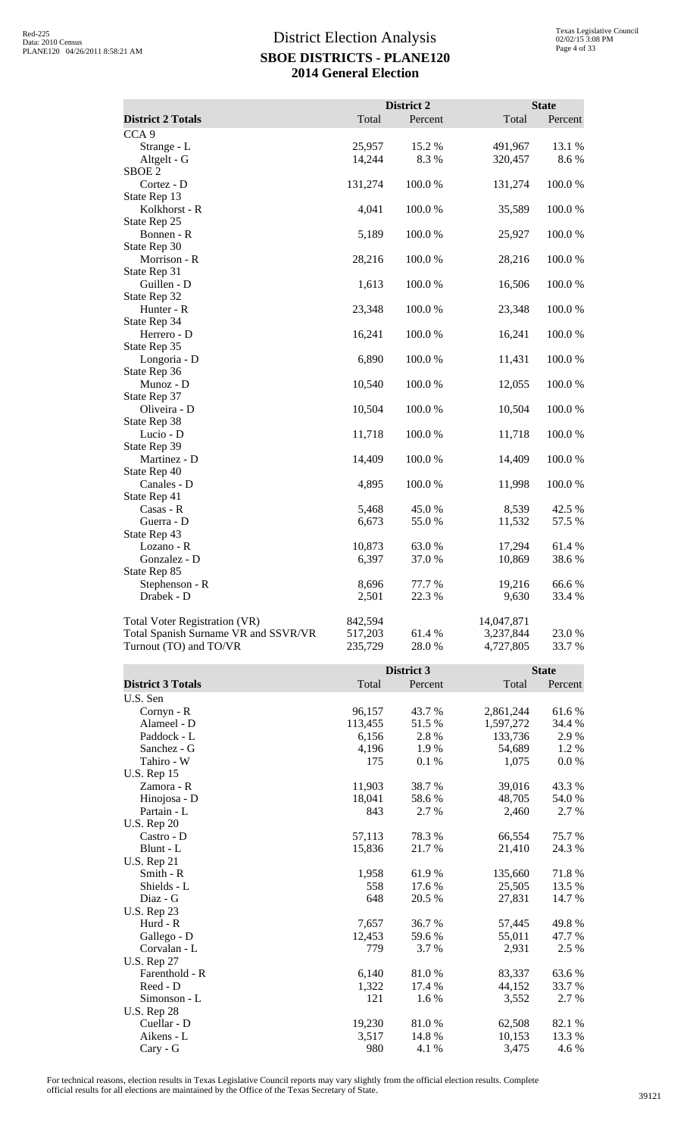|                                                                |                    | District 2     |                        | <b>State</b>      |
|----------------------------------------------------------------|--------------------|----------------|------------------------|-------------------|
| <b>District 2 Totals</b>                                       | Total              | Percent        | Total                  | Percent           |
| CCA <sub>9</sub>                                               |                    |                |                        |                   |
| Strange - L<br>Altgelt - G<br>SBOE <sub>2</sub>                | 25,957<br>14,244   | 15.2 %<br>8.3% | 491,967<br>320,457     | 13.1 %<br>8.6 %   |
| Cortez - D<br>State Rep 13                                     | 131,274            | 100.0%         | 131,274                | 100.0%            |
| Kolkhorst - R<br>State Rep 25                                  | 4,041              | 100.0%         | 35,589                 | 100.0%            |
| Bonnen - R                                                     | 5,189              | 100.0%         | 25,927                 | 100.0%            |
| State Rep 30<br>Morrison - R                                   | 28,216             | 100.0%         | 28,216                 | 100.0%            |
| State Rep 31<br>Guillen - D                                    | 1,613              | 100.0%         | 16,506                 | 100.0%            |
| State Rep 32<br>Hunter - R                                     | 23,348             | 100.0%         | 23,348                 | 100.0%            |
| State Rep 34<br>Herrero - D                                    | 16,241             | 100.0%         | 16,241                 | 100.0%            |
| State Rep 35<br>Longoria - D                                   | 6,890              | 100.0%         | 11,431                 | 100.0%            |
| State Rep 36<br>Munoz - D                                      | 10,540             | 100.0%         | 12,055                 | 100.0%            |
| State Rep 37<br>Oliveira - D                                   | 10,504             | 100.0%         | 10,504                 | 100.0%            |
| State Rep 38<br>Lucio - D                                      | 11,718             | 100.0%         | 11,718                 | 100.0%            |
| State Rep 39<br>Martinez - D                                   | 14,409             | 100.0%         | 14,409                 | 100.0%            |
| State Rep 40<br>Canales - D                                    | 4,895              | 100.0%         | 11,998                 | 100.0%            |
| State Rep 41                                                   |                    |                |                        |                   |
| Casas - R<br>Guerra - D                                        | 5,468<br>6,673     | 45.0%<br>55.0% | 8,539<br>11,532        | 42.5 %<br>57.5 %  |
| State Rep 43                                                   |                    |                |                        |                   |
| Lozano - R<br>Gonzalez - D                                     | 10,873<br>6,397    | 63.0%<br>37.0% | 17,294<br>10,869       | 61.4%<br>38.6%    |
| State Rep 85<br>Stephenson - R                                 | 8,696              | 77.7 %         | 19,216                 | 66.6%             |
| Drabek - D                                                     | 2,501              | 22.3 %         | 9,630                  | 33.4 %            |
| <b>Total Voter Registration (VR)</b>                           | 842,594            |                | 14,047,871             |                   |
| Total Spanish Surname VR and SSVR/VR<br>Turnout (TO) and TO/VR | 517,203<br>235,729 | 61.4%<br>28.0% | 3,237,844<br>4,727,805 | 23.0%<br>33.7 %   |
|                                                                |                    | District 3     |                        | <b>State</b>      |
| <b>District 3 Totals</b>                                       | Total              | Percent        | Total                  | Percent           |
| U.S. Sen<br>Cornyn - R                                         | 96,157             | 43.7%          | 2,861,244              | 61.6%             |
| Alameel - D                                                    | 113,455            | 51.5%          | 1,597,272              | 34.4 %            |
| Paddock - L                                                    | 6,156              | 2.8%           | 133,736                | 2.9%              |
| Sanchez - G<br>Tahiro - W                                      | 4,196<br>175       | 1.9%<br>0.1%   | 54,689<br>1,075        | 1.2%<br>$0.0\ \%$ |
| <b>U.S. Rep 15</b>                                             |                    |                |                        |                   |
| Zamora - R                                                     | 11,903             | 38.7%          | 39,016                 | 43.3 %            |
| Hinojosa - D<br>Partain - L                                    | 18,041<br>843      | 58.6%<br>2.7 % | 48,705<br>2,460        | 54.0 %<br>2.7 %   |
| <b>U.S. Rep 20</b>                                             |                    |                |                        |                   |
| Castro - D                                                     | 57,113             | 78.3%          | 66,554                 | 75.7%             |
| Blunt - L                                                      | 15,836             | 21.7%          | 21,410                 | 24.3 %            |
| <b>U.S. Rep 21</b><br>Smith - R                                | 1,958              | 61.9%          | 135,660                | 71.8%             |
| Shields - L                                                    | 558                | 17.6 %         | 25,505                 | 13.5 %            |
| Diaz - G                                                       | 648                | 20.5 %         | 27,831                 | 14.7 %            |
| <b>U.S. Rep 23</b><br>Hurd - R                                 | 7,657              | 36.7 %         | 57,445                 | 49.8%             |
| Gallego - D                                                    | 12,453             | 59.6%          | 55,011                 | 47.7 %            |
| Corvalan - L<br><b>U.S. Rep 27</b>                             | 779                | 3.7%           | 2,931                  | 2.5 %             |
| Farenthold - R                                                 | 6,140              | $81.0\ \%$     | 83,337                 | 63.6%             |
| Reed - D                                                       | 1,322              | 17.4 %         | 44,152                 | 33.7 %            |
| Simonson - L<br><b>U.S. Rep 28</b>                             | 121                | 1.6 %          | 3,552                  | 2.7 %             |
| Cuellar - D                                                    | 19,230             | 81.0%          | 62,508                 | 82.1 %            |
| Aikens - L                                                     | 3,517              | 14.8%          | 10,153                 | 13.3 %            |

For technical reasons, election results in Texas Legislative Council reports may vary slightly from the official election results. Complete official results for all elections are maintained by the Office of the Texas Secretary of State. <sup>39121</sup>

Cary - G  $280$   $4.1\%$   $3,475$   $4.6\%$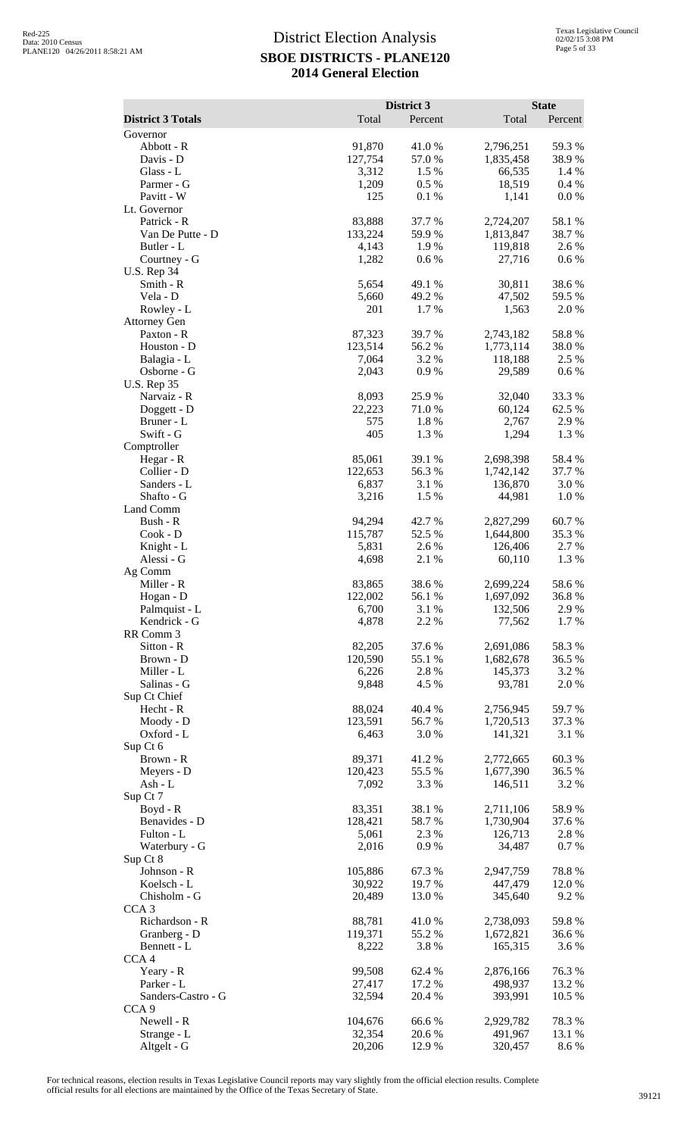|                                 |                   | District 3       |                        | <b>State</b>    |
|---------------------------------|-------------------|------------------|------------------------|-----------------|
| <b>District 3 Totals</b>        | Total             | Percent          | Total                  | Percent         |
| Governor<br>Abbott - R          | 91,870            | 41.0%            | 2,796,251              | 59.3 %          |
| Davis - D                       | 127,754           | 57.0%            | 1,835,458              | 38.9%           |
| Glass - L                       | 3,312             | 1.5 %            | 66,535                 | 1.4 %           |
| Parmer - G                      | 1,209             | 0.5 %            | 18,519                 | 0.4 %           |
| Pavitt - W                      | 125               | 0.1 %            | 1,141                  | $0.0\%$         |
| Lt. Governor<br>Patrick - R     | 83,888            | 37.7 %           | 2,724,207              | 58.1 %          |
| Van De Putte - D                | 133,224           | 59.9%            | 1,813,847              | 38.7%           |
| Butler - L                      | 4,143             | 1.9%             | 119,818                | 2.6 %           |
| Courtney - G                    | 1,282             | 0.6%             | 27,716                 | 0.6 %           |
| <b>U.S. Rep 34</b>              |                   |                  |                        |                 |
| Smith - R<br>Vela - D           | 5,654<br>5,660    | 49.1 %<br>49.2 % | 30,811<br>47,502       | 38.6%<br>59.5 % |
| Rowley - L                      | 201               | 1.7%             | 1,563                  | 2.0%            |
| <b>Attorney Gen</b>             |                   |                  |                        |                 |
| Paxton - R                      | 87,323            | 39.7%            | 2,743,182              | 58.8%           |
| Houston - D                     | 123,514           | 56.2%            | 1,773,114              | 38.0%           |
| Balagia - L<br>Osborne - G      | 7,064             | 3.2 %            | 118,188                | 2.5 %<br>0.6%   |
| <b>U.S. Rep 35</b>              | 2,043             | 0.9%             | 29,589                 |                 |
| Narvaiz - R                     | 8,093             | 25.9%            | 32,040                 | 33.3 %          |
| Doggett - D                     | 22,223            | 71.0%            | 60,124                 | 62.5 %          |
| Bruner - L                      | 575               | 1.8%             | 2,767                  | 2.9 %           |
| Swift - G                       | 405               | 1.3%             | 1,294                  | 1.3 %           |
| Comptroller                     |                   | 39.1 %           |                        |                 |
| Hegar - R<br>Collier - D        | 85,061<br>122,653 | 56.3%            | 2,698,398<br>1,742,142 | 58.4%<br>37.7 % |
| Sanders - L                     | 6,837             | 3.1 %            | 136,870                | 3.0 %           |
| Shafto - G                      | 3,216             | 1.5 %            | 44,981                 | 1.0%            |
| Land Comm                       |                   |                  |                        |                 |
| Bush - R                        | 94,294            | 42.7%            | 2,827,299              | 60.7%           |
| Cook - D                        | 115,787           | 52.5 %<br>2.6%   | 1,644,800<br>126,406   | 35.3 %<br>2.7 % |
| Knight - L<br>Alessi - G        | 5,831<br>4,698    | 2.1 %            | 60,110                 | 1.3 %           |
| Ag Comm                         |                   |                  |                        |                 |
| Miller - R                      | 83,865            | 38.6%            | 2,699,224              | 58.6%           |
| Hogan - D                       | 122,002           | 56.1 %           | 1,697,092              | 36.8%           |
| Palmquist - L                   | 6,700             | 3.1 %            | 132,506                | 2.9 %           |
| Kendrick - G<br>RR Comm 3       | 4,878             | 2.2 %            | 77,562                 | 1.7 %           |
| Sitton - R                      | 82,205            | 37.6 %           | 2,691,086              | 58.3%           |
| Brown - D                       | 120,590           | 55.1 %           | 1,682,678              | 36.5 %          |
| Miller - L                      | 6,226             | 2.8%             | 145,373                | 3.2 %           |
| Salinas - G                     | 9,848             | 4.5 %            | 93,781                 | 2.0 %           |
| Sup Ct Chief<br>Hecht - R       | 88,024            | 40.4 %           | 2,756,945              | 59.7%           |
| Moody - D                       | 123,591           | 56.7%            | 1,720,513              | 37.3 %          |
| Oxford - L                      | 6,463             | 3.0 %            | 141,321                | 3.1 %           |
| Sup Ct 6                        |                   |                  |                        |                 |
| Brown - R                       | 89,371            | 41.2 %           | 2,772,665              | 60.3%           |
| Meyers - D<br>Ash - $L$         | 120,423<br>7,092  | 55.5 %<br>3.3 %  | 1,677,390<br>146,511   | 36.5 %<br>3.2 % |
| Sup Ct 7                        |                   |                  |                        |                 |
| $Boyd - R$                      | 83,351            | 38.1 %           | 2,711,106              | 58.9%           |
| Benavides - D                   | 128,421           | 58.7%            | 1,730,904              | 37.6 %          |
| Fulton - L                      | 5,061             | 2.3 %            | 126,713                | 2.8%            |
| Waterbury - G                   | 2,016             | 0.9%             | 34,487                 | 0.7%            |
| Sup Ct 8<br>Johnson - R         | 105,886           | 67.3%            | 2,947,759              | 78.8%           |
| Koelsch - L                     | 30,922            | 19.7%            | 447,479                | 12.0 %          |
| Chisholm - G                    | 20,489            | 13.0 %           | 345,640                | 9.2 %           |
| CCA <sub>3</sub>                |                   |                  |                        |                 |
| Richardson - R                  | 88,781            | 41.0%            | 2,738,093              | 59.8%           |
| Granberg - D                    | 119,371           | 55.2 %<br>3.8%   | 1,672,821<br>165,315   | 36.6 %          |
| Bennett - L<br>CCA <sub>4</sub> | 8,222             |                  |                        | 3.6 %           |
| Yeary - R                       | 99,508            | 62.4 %           | 2,876,166              | 76.3%           |
| Parker - L                      | 27,417            | 17.2 %           | 498,937                | 13.2 %          |
| Sanders-Castro - G              | 32,594            | 20.4 %           | 393,991                | 10.5 %          |
| CCA <sub>9</sub>                |                   |                  |                        |                 |
| Newell - R<br>Strange - L       | 104,676<br>32,354 | 66.6%<br>20.6%   | 2,929,782<br>491,967   | 78.3%<br>13.1 % |
| Altgelt - G                     | 20,206            | 12.9%            | 320,457                | 8.6 %           |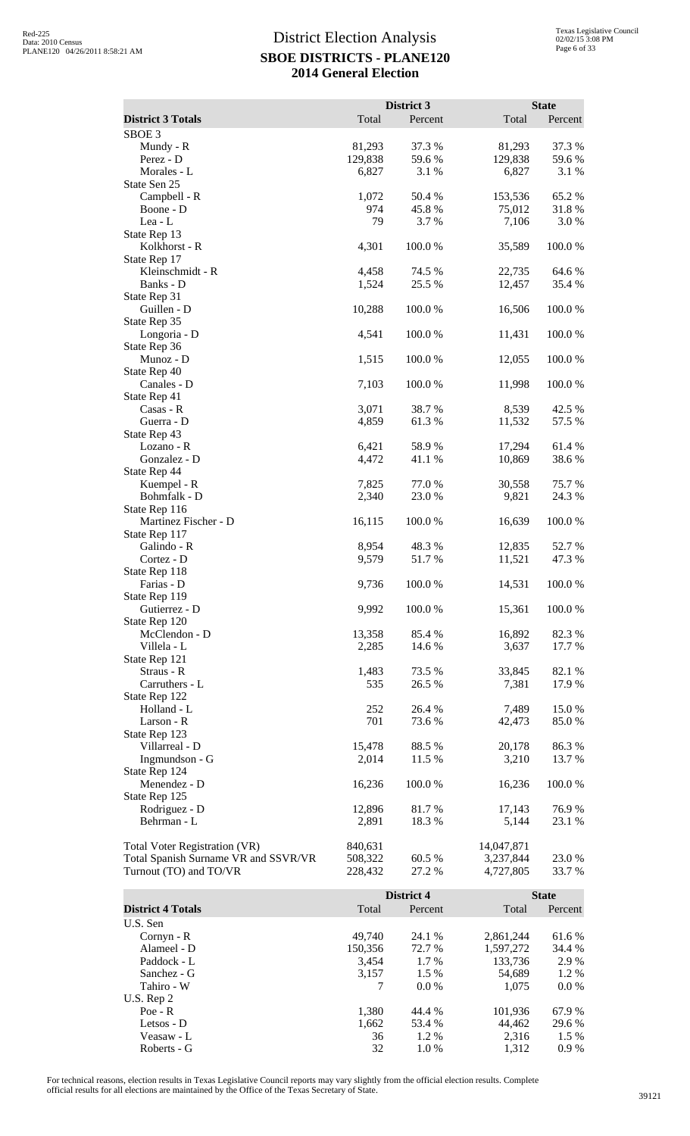| <b>District 3 Totals</b>             | Total          | District 3<br>Percent | Total            | <b>State</b><br>Percent |
|--------------------------------------|----------------|-----------------------|------------------|-------------------------|
| SBOE <sub>3</sub>                    |                |                       |                  |                         |
| Mundy - R                            | 81,293         | 37.3 %                | 81,293           | 37.3 %                  |
| Perez - D                            | 129,838        | 59.6 %                | 129,838          | 59.6%                   |
| Morales - L                          | 6,827          | 3.1 %                 | 6,827            | 3.1 %                   |
| State Sen 25                         |                |                       |                  |                         |
| Campbell - R                         | 1,072          | 50.4 %                | 153,536          | 65.2%                   |
| Boone - D                            | 974            | 45.8%                 | 75,012           | 31.8%                   |
| Lea - L<br>State Rep 13              | 79             | 3.7 %                 | 7,106            | 3.0%                    |
| Kolkhorst - R                        | 4,301          | 100.0%                | 35,589           | 100.0%                  |
| State Rep 17                         |                |                       |                  |                         |
| Kleinschmidt - R                     | 4,458          | 74.5 %                | 22,735           | 64.6 %                  |
| Banks - D                            | 1,524          | 25.5 %                | 12,457           | 35.4 %                  |
| State Rep 31                         |                |                       |                  |                         |
| Guillen - D                          | 10,288         | 100.0%                | 16,506           | 100.0%                  |
| State Rep 35<br>Longoria - D         | 4,541          | 100.0%                | 11,431           | 100.0%                  |
| State Rep 36                         |                |                       |                  |                         |
| Munoz - D                            | 1,515          | 100.0%                | 12,055           | 100.0%                  |
| State Rep 40                         |                |                       |                  |                         |
| Canales - D                          | 7,103          | 100.0%                | 11,998           | 100.0%                  |
| State Rep 41                         |                |                       |                  |                         |
| Casas - R                            | 3,071          | 38.7 %                | 8,539            | 42.5 %                  |
| Guerra - D                           | 4,859          | 61.3 %                | 11,532           | 57.5 %                  |
| State Rep 43<br>Lozano - R           | 6,421          | 58.9%                 | 17,294           | 61.4%                   |
| Gonzalez - D                         | 4,472          | 41.1%                 | 10,869           | 38.6%                   |
| State Rep 44                         |                |                       |                  |                         |
| Kuempel - R                          | 7,825          | 77.0 %                | 30,558           | 75.7%                   |
| Bohmfalk - D                         | 2,340          | 23.0%                 | 9,821            | 24.3 %                  |
| State Rep 116                        |                |                       |                  |                         |
| Martinez Fischer - D                 | 16,115         | 100.0%                | 16,639           | 100.0%                  |
| State Rep 117                        |                |                       |                  |                         |
| Galindo - R<br>Cortez - D            | 8,954<br>9,579 | 48.3%<br>51.7%        | 12,835<br>11,521 | 52.7%<br>47.3 %         |
| State Rep 118                        |                |                       |                  |                         |
| Farias - D                           | 9,736          | 100.0%                | 14,531           | 100.0%                  |
| State Rep 119                        |                |                       |                  |                         |
| Gutierrez - D                        | 9,992          | 100.0%                | 15,361           | 100.0%                  |
| State Rep 120                        |                |                       |                  |                         |
| McClendon - D                        | 13,358         | 85.4 %                | 16,892           | 82.3%                   |
| Villela - L                          | 2,285          | 14.6 %                | 3,637            | 17.7 %                  |
| State Rep 121<br>Straus - R          | 1,483          | 73.5 %                | 33,845           | 82.1 %                  |
| Carruthers - L                       | 535            | 26.5 %                | 7,381            | 17.9%                   |
| State Rep 122                        |                |                       |                  |                         |
| Holland - L                          | 252            | 26.4 %                | 7,489            | 15.0%                   |
| Larson - R                           | 701            | 73.6 %                | 42,473           | 85.0%                   |
| State Rep 123                        |                |                       |                  |                         |
| Villarreal - D                       | 15,478         | 88.5 %                | 20,178           | 86.3%                   |
| Ingmundson - G                       | 2,014          | 11.5 %                | 3,210            | 13.7 %                  |
| State Rep 124                        |                |                       |                  |                         |
| Menendez - D<br>State Rep 125        | 16,236         | 100.0%                | 16,236           | 100.0%                  |
| Rodriguez - D                        | 12,896         | 81.7%                 | 17,143           | 76.9%                   |
| Behrman - L                          | 2,891          | 18.3 %                | 5,144            | 23.1 %                  |
|                                      |                |                       |                  |                         |
| <b>Total Voter Registration (VR)</b> | 840,631        |                       | 14,047,871       |                         |
| Total Spanish Surname VR and SSVR/VR | 508,322        | 60.5 %                | 3,237,844        | 23.0%                   |
| Turnout (TO) and TO/VR               | 228,432        | 27.2 %                | 4,727,805        | 33.7 %                  |
|                                      |                |                       |                  |                         |
|                                      |                | District 4            |                  | <b>State</b>            |
| <b>District 4 Totals</b>             | Total          | Percent               | Total            | Percent                 |
| U.S. Sen<br>Cornyn - R               | 49,740         | 24.1 %                | 2,861,244        | 61.6%                   |
| Alameel - D                          | 150,356        | 72.7 %                | 1,597,272        | 34.4 %                  |
| Paddock - L                          | 3,454          | 1.7 %                 | 133,736          | 2.9%                    |
| Sanchez - G                          | 3,157          | 1.5 %                 | 54,689           | 1.2%                    |

 $\frac{7}{7}$  Tahiro - W 7

U.S.  $\text{Rep } 2$ <br>Poe - R

Roberts - G

Sanchez - G<br>
Tahiro - W<br>
Tahiro - W<br>
Tahiro - W<br>
Tahiro - W<br>
Tahiro - W<br>
Tahiro - W<br>
Tahiro - W<br>
Tahiro - W<br>
Tahiro - W<br>
Tahiro - W<br>
Tahiro - W<br>
Tahiro - W<br>
Tahiro - W<br>
Tahiro - W<br>
Tahiro - W<br>
Tahiro - W<br>
Tahiro - W<br>
Tahir

Poe - R 1,380 44.4 % 101,936 67.9 % Letsos - D  $1,662$   $53.4\%$   $44,462$   $29.6\%$ Version - Letsos - D<br>
Version - Letsos - D<br>
Veasaw - L<br>  $36$ <br>  $32$ <br>  $1.2\%$ <br>  $32$ <br>  $1.0\%$ <br>  $1.312$ <br>  $0.9\%$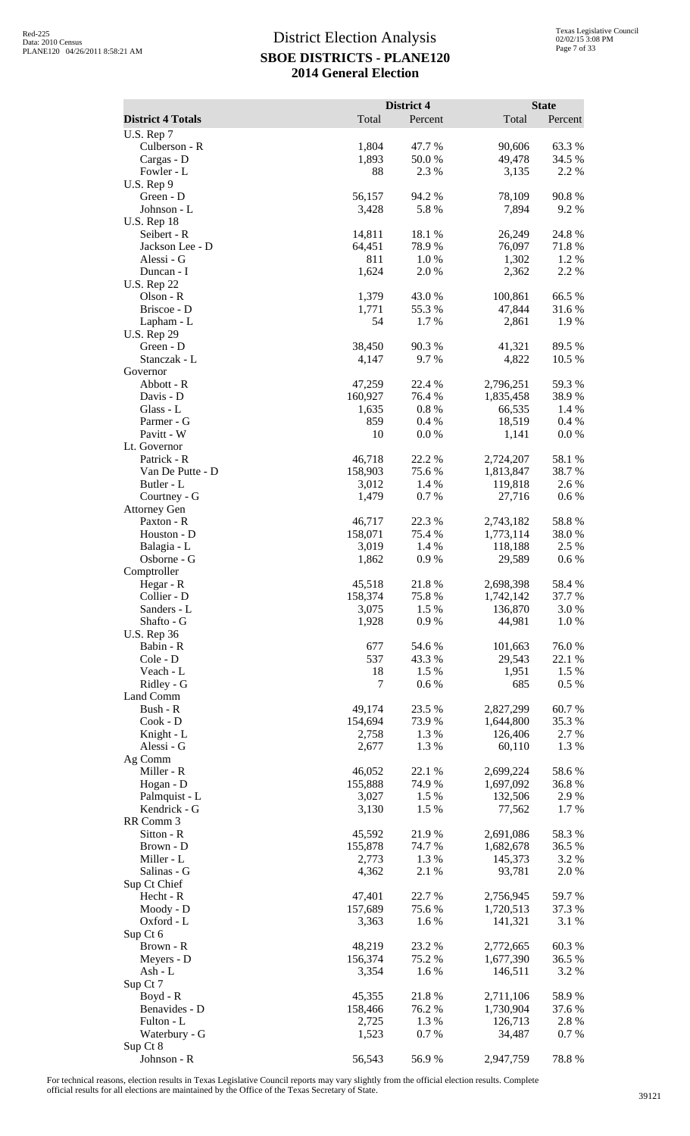|                                  |                   | District 4       |                        | <b>State</b>    |
|----------------------------------|-------------------|------------------|------------------------|-----------------|
| <b>District 4 Totals</b>         | Total             | Percent          | Total                  | Percent         |
| U.S. Rep 7<br>Culberson - R      | 1,804             | 47.7 %           | 90,606                 | 63.3%           |
| Cargas - D                       | 1,893             | 50.0%            | 49,478                 | 34.5 %          |
| Fowler - L                       | 88                | 2.3 %            | 3,135                  | 2.2 %           |
| U.S. Rep 9                       |                   |                  |                        |                 |
| Green - D<br>Johnson - L         | 56,157<br>3,428   | 94.2 %<br>5.8%   | 78,109<br>7,894        | 90.8%<br>9.2 %  |
| <b>U.S. Rep 18</b>               |                   |                  |                        |                 |
| Seibert - R                      | 14,811            | 18.1%            | 26,249                 | 24.8 %          |
| Jackson Lee - D                  | 64,451            | 78.9%            | 76,097                 | 71.8%           |
| Alessi - G                       | 811<br>1,624      | 1.0%             | 1,302                  | 1.2 %<br>2.2 %  |
| Duncan - I<br><b>U.S. Rep 22</b> |                   | 2.0 %            | 2,362                  |                 |
| Olson - R                        | 1,379             | 43.0%            | 100,861                | 66.5 %          |
| Briscoe - D                      | 1,771             | 55.3%            | 47,844                 | 31.6%           |
| Lapham - L                       | 54                | 1.7%             | 2,861                  | 1.9%            |
| <b>U.S. Rep 29</b><br>Green - D  | 38,450            | 90.3%            | 41,321                 | 89.5 %          |
| Stanczak - L                     | 4,147             | 9.7%             | 4,822                  | 10.5 %          |
| Governor                         |                   |                  |                        |                 |
| Abbott - R                       | 47,259            | 22.4 %           | 2,796,251              | 59.3%           |
| Davis - D<br>Glass - L           | 160,927           | 76.4 %<br>0.8%   | 1,835,458<br>66,535    | 38.9%<br>1.4 %  |
| Parmer - G                       | 1,635<br>859      | 0.4%             | 18,519                 | 0.4%            |
| Pavitt - W                       | 10                | 0.0 %            | 1,141                  | 0.0 %           |
| Lt. Governor                     |                   |                  |                        |                 |
| Patrick - R                      | 46,718            | 22.2 %           | 2,724,207              | 58.1 %          |
| Van De Putte - D<br>Butler - L   | 158,903<br>3,012  | 75.6 %<br>1.4 %  | 1,813,847<br>119,818   | 38.7%<br>2.6 %  |
| Courtney - G                     | 1,479             | 0.7%             | 27,716                 | 0.6 %           |
| <b>Attorney Gen</b>              |                   |                  |                        |                 |
| Paxton - R                       | 46,717            | 22.3 %           | 2,743,182              | 58.8%           |
| Houston - D                      | 158,071           | 75.4 %           | 1,773,114              | 38.0%           |
| Balagia - L<br>Osborne - G       | 3,019<br>1,862    | 1.4 %<br>0.9%    | 118,188<br>29,589      | 2.5 %<br>0.6 %  |
| Comptroller                      |                   |                  |                        |                 |
| Hegar - R                        | 45,518            | 21.8%            | 2,698,398              | 58.4%           |
| Collier - D                      | 158,374           | 75.8%            | 1,742,142              | 37.7 %          |
| Sanders - L<br>Shafto - G        | 3,075<br>1,928    | 1.5 %<br>0.9%    | 136,870<br>44,981      | 3.0%<br>1.0%    |
| <b>U.S. Rep 36</b>               |                   |                  |                        |                 |
| Babin - R                        | 677               | 54.6 %           | 101,663                | 76.0%           |
| Cole - D                         | 537               | 43.3 %           | 29,543                 | 22.1 %          |
| Veach - L                        | 18                | 1.5 %            | 1,951                  | 1.5 %           |
| Ridley - G<br>Land Comm          | 7                 | 0.6 %            | 685                    | $0.5\%$         |
| Bush - R                         | 49,174            | 23.5 %           | 2,827,299              | 60.7%           |
| Cook - D                         | 154,694           | 73.9%            | 1,644,800              | 35.3 %          |
| Knight - L                       | 2,758             | 1.3%             | 126,406                | 2.7 %           |
| Alessi - G<br>Ag Comm            | 2,677             | 1.3 %            | 60,110                 | 1.3 %           |
| Miller - R                       | 46,052            | 22.1 %           | 2,699,224              | 58.6%           |
| Hogan - D                        | 155,888           | 74.9%            | 1,697,092              | 36.8%           |
| Palmquist - L                    | 3,027             | 1.5 %            | 132,506                | 2.9%            |
| Kendrick - G                     | 3,130             | 1.5 %            | 77,562                 | 1.7%            |
| RR Comm 3<br>Sitton - R          | 45,592            | 21.9%            | 2,691,086              | 58.3%           |
| Brown - D                        | 155,878           | 74.7 %           | 1,682,678              | 36.5 %          |
| Miller - L                       | 2,773             | 1.3 %            | 145,373                | 3.2 %           |
| Salinas - G                      | 4,362             | 2.1 %            | 93,781                 | 2.0%            |
| Sup Ct Chief                     |                   |                  |                        |                 |
| Hecht - R<br>Moody - D           | 47,401<br>157,689 | 22.7 %<br>75.6 % | 2,756,945<br>1,720,513 | 59.7%<br>37.3 % |
| Oxford - L                       | 3,363             | 1.6%             | 141,321                | 3.1 %           |
| Sup Ct 6                         |                   |                  |                        |                 |
| Brown - R                        | 48,219            | 23.2 %           | 2,772,665              | 60.3%           |
| Meyers - D                       | 156,374           | 75.2 %           | 1,677,390              | 36.5 %          |
| Ash - L<br>Sup Ct 7              | 3,354             | 1.6 %            | 146,511                | 3.2 %           |
| Boyd - R                         | 45,355            | 21.8%            | 2,711,106              | 58.9%           |
| Benavides - D                    | 158,466           | 76.2%            | 1,730,904              | 37.6 %          |
| Fulton - L                       | 2,725             | 1.3%             | 126,713                | 2.8%            |
| Waterbury - G<br>Sup Ct 8        | 1,523             | 0.7%             | 34,487                 | 0.7%            |
| Johnson - R                      | 56,543            | 56.9%            | 2,947,759              | 78.8%           |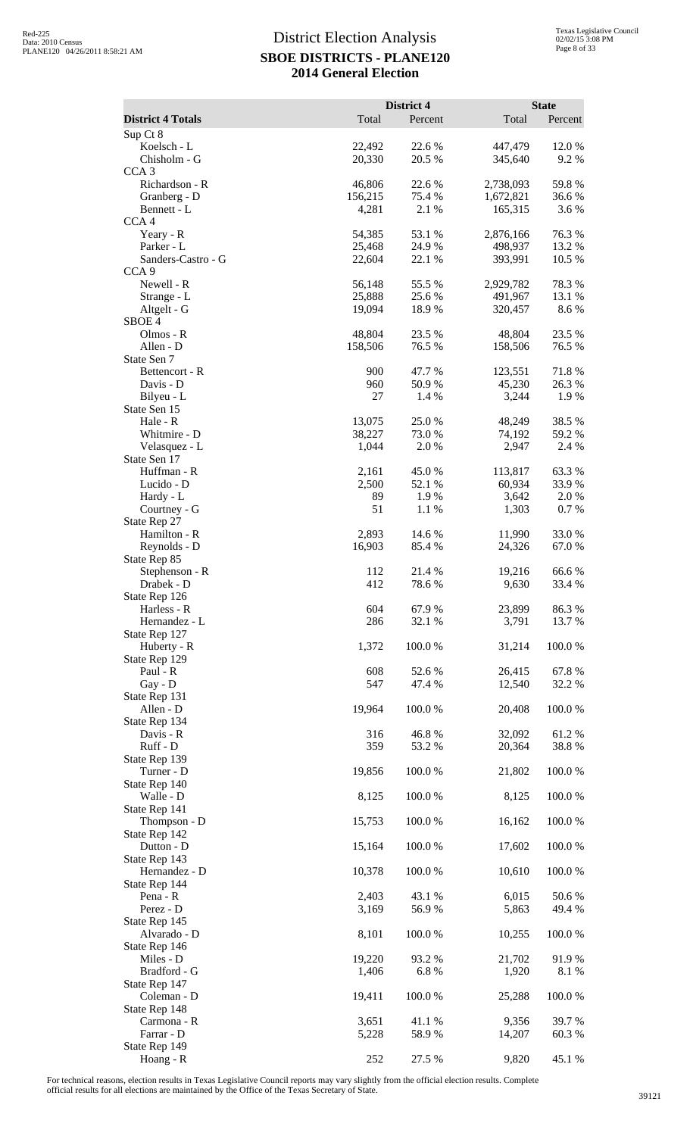| Total<br><b>District 4 Totals</b><br>Percent<br>Total<br>Percent<br>Sup Ct 8<br>Koelsch - L<br>22,492<br>22.6 %<br>447,479<br>12.0%<br>Chisholm - G<br>20,330<br>20.5 %<br>345,640<br>9.2%<br>CCA <sub>3</sub><br>Richardson - R<br>46,806<br>22.6 %<br>2,738,093<br>59.8%<br>156,215<br>75.4 %<br>Granberg - D<br>1,672,821<br>36.6 %<br>Bennett - L<br>4,281<br>2.1 %<br>165,315<br>3.6 %<br>CCA <sub>4</sub><br>54,385<br>53.1 %<br>2,876,166<br>76.3%<br>Yeary - R<br>Parker - L<br>25,468<br>24.9%<br>498,937<br>13.2 %<br>Sanders-Castro - G<br>22,604<br>22.1 %<br>393,991<br>10.5 %<br>CCA <sub>9</sub><br>Newell - R<br>56,148<br>55.5 %<br>2,929,782<br>78.3%<br>Strange - L<br>25,888<br>25.6 %<br>491,967<br>13.1 %<br>Altgelt - G<br>8.6%<br>19,094<br>18.9%<br>320,457<br>SBOE <sub>4</sub><br>23.5 %<br>Olmos - R<br>48,804<br>23.5 %<br>48,804<br>Allen - D<br>158,506<br>76.5 %<br>158,506<br>76.5 %<br>State Sen 7<br>71.8%<br>900<br>47.7 %<br>123,551<br>Bettencort - R<br>Davis - D<br>960<br>50.9%<br>45,230<br>26.3%<br>27<br>1.4 %<br>1.9%<br>Bilyeu - L<br>3,244<br>State Sen 15<br>13,075<br>38.5%<br>25.0%<br>48,249<br>Hale - R<br>Whitmire - D<br>38,227<br>73.0%<br>74,192<br>59.2 %<br>Velasquez - L<br>1,044<br>2.0 %<br>2,947<br>2.4 %<br>State Sen 17<br>Huffman - R<br>2,161<br>45.0%<br>113,817<br>63.3%<br>Lucido - D<br>2,500<br>52.1 %<br>60,934<br>33.9%<br>Hardy - L<br>89<br>3,642<br>2.0 %<br>1.9 %<br>51<br>0.7%<br>Courtney - G<br>1.1 %<br>1,303<br>State Rep 27<br>Hamilton - R<br>2,893<br>14.6 %<br>33.0%<br>11,990<br>Reynolds - D<br>16,903<br>24,326<br>67.0%<br>85.4 %<br>State Rep 85<br>Stephenson - R<br>21.4 %<br>66.6%<br>112<br>19,216<br>Drabek - D<br>412<br>78.6%<br>9,630<br>33.4 %<br>State Rep 126<br>604<br>86.3%<br>67.9%<br>23,899<br>Harless - R<br>286<br>3,791<br>13.7 %<br>Hernandez - L<br>32.1 %<br>State Rep 127<br>1,372<br>100.0%<br>31,214<br>100.0%<br>Huberty - R<br>State Rep 129<br>67.8%<br>Paul - R<br>608<br>52.6%<br>26,415<br>547<br>32.2 %<br>Gay - D<br>47.4 %<br>12,540<br>State Rep 131<br>19,964<br>100.0%<br>20,408<br>100.0%<br>Allen - D<br>State Rep 134<br>316<br>46.8%<br>32,092<br>61.2%<br>Davis - R<br>Ruff - D<br>359<br>38.8%<br>53.2 %<br>20,364<br>State Rep 139<br>19,856<br>100.0%<br>100.0%<br>Turner - D<br>21,802<br>State Rep 140<br>Walle - D<br>8,125<br>100.0%<br>100.0%<br>8,125<br>State Rep 141<br>100.0%<br>100.0%<br>Thompson - D<br>15,753<br>16,162<br>State Rep 142<br>Dutton - D<br>100.0%<br>100.0%<br>15,164<br>17,602<br>State Rep 143<br>Hernandez - D<br>10,378<br>100.0%<br>10,610<br>100.0%<br>State Rep 144<br>Pena - R<br>2,403<br>6,015<br>50.6 %<br>43.1 %<br>Perez - D<br>3,169<br>56.9%<br>5,863<br>49.4 %<br>State Rep 145<br>8,101<br>100.0%<br>100.0%<br>Alvarado - D<br>10,255<br>State Rep 146<br>Miles - D<br>19,220<br>93.2 %<br>21,702<br>91.9%<br>Bradford - G<br>1,406<br>6.8%<br>1,920<br>8.1 %<br>State Rep 147<br>Coleman - D<br>19,411<br>100.0%<br>100.0%<br>25,288<br>State Rep 148<br>39.7%<br>Carmona - R<br>3,651<br>41.1 %<br>9,356<br>Farrar - D<br>5,228<br>58.9%<br>14,207<br>60.3%<br>State Rep 149 |           |     | District 4 |       | <b>State</b> |
|---------------------------------------------------------------------------------------------------------------------------------------------------------------------------------------------------------------------------------------------------------------------------------------------------------------------------------------------------------------------------------------------------------------------------------------------------------------------------------------------------------------------------------------------------------------------------------------------------------------------------------------------------------------------------------------------------------------------------------------------------------------------------------------------------------------------------------------------------------------------------------------------------------------------------------------------------------------------------------------------------------------------------------------------------------------------------------------------------------------------------------------------------------------------------------------------------------------------------------------------------------------------------------------------------------------------------------------------------------------------------------------------------------------------------------------------------------------------------------------------------------------------------------------------------------------------------------------------------------------------------------------------------------------------------------------------------------------------------------------------------------------------------------------------------------------------------------------------------------------------------------------------------------------------------------------------------------------------------------------------------------------------------------------------------------------------------------------------------------------------------------------------------------------------------------------------------------------------------------------------------------------------------------------------------------------------------------------------------------------------------------------------------------------------------------------------------------------------------------------------------------------------------------------------------------------------------------------------------------------------------------------------------------------------------------------------------------------------------------------------------------------------------------------------------------------------------------------------------------------------------------------------------------------------------------------------------------------------------------------------------------------------------------------------------------------------------------------------------------------------------------------------------------------------|-----------|-----|------------|-------|--------------|
|                                                                                                                                                                                                                                                                                                                                                                                                                                                                                                                                                                                                                                                                                                                                                                                                                                                                                                                                                                                                                                                                                                                                                                                                                                                                                                                                                                                                                                                                                                                                                                                                                                                                                                                                                                                                                                                                                                                                                                                                                                                                                                                                                                                                                                                                                                                                                                                                                                                                                                                                                                                                                                                                                                                                                                                                                                                                                                                                                                                                                                                                                                                                                                     |           |     |            |       |              |
|                                                                                                                                                                                                                                                                                                                                                                                                                                                                                                                                                                                                                                                                                                                                                                                                                                                                                                                                                                                                                                                                                                                                                                                                                                                                                                                                                                                                                                                                                                                                                                                                                                                                                                                                                                                                                                                                                                                                                                                                                                                                                                                                                                                                                                                                                                                                                                                                                                                                                                                                                                                                                                                                                                                                                                                                                                                                                                                                                                                                                                                                                                                                                                     |           |     |            |       |              |
|                                                                                                                                                                                                                                                                                                                                                                                                                                                                                                                                                                                                                                                                                                                                                                                                                                                                                                                                                                                                                                                                                                                                                                                                                                                                                                                                                                                                                                                                                                                                                                                                                                                                                                                                                                                                                                                                                                                                                                                                                                                                                                                                                                                                                                                                                                                                                                                                                                                                                                                                                                                                                                                                                                                                                                                                                                                                                                                                                                                                                                                                                                                                                                     |           |     |            |       |              |
|                                                                                                                                                                                                                                                                                                                                                                                                                                                                                                                                                                                                                                                                                                                                                                                                                                                                                                                                                                                                                                                                                                                                                                                                                                                                                                                                                                                                                                                                                                                                                                                                                                                                                                                                                                                                                                                                                                                                                                                                                                                                                                                                                                                                                                                                                                                                                                                                                                                                                                                                                                                                                                                                                                                                                                                                                                                                                                                                                                                                                                                                                                                                                                     |           |     |            |       |              |
|                                                                                                                                                                                                                                                                                                                                                                                                                                                                                                                                                                                                                                                                                                                                                                                                                                                                                                                                                                                                                                                                                                                                                                                                                                                                                                                                                                                                                                                                                                                                                                                                                                                                                                                                                                                                                                                                                                                                                                                                                                                                                                                                                                                                                                                                                                                                                                                                                                                                                                                                                                                                                                                                                                                                                                                                                                                                                                                                                                                                                                                                                                                                                                     |           |     |            |       |              |
|                                                                                                                                                                                                                                                                                                                                                                                                                                                                                                                                                                                                                                                                                                                                                                                                                                                                                                                                                                                                                                                                                                                                                                                                                                                                                                                                                                                                                                                                                                                                                                                                                                                                                                                                                                                                                                                                                                                                                                                                                                                                                                                                                                                                                                                                                                                                                                                                                                                                                                                                                                                                                                                                                                                                                                                                                                                                                                                                                                                                                                                                                                                                                                     |           |     |            |       |              |
|                                                                                                                                                                                                                                                                                                                                                                                                                                                                                                                                                                                                                                                                                                                                                                                                                                                                                                                                                                                                                                                                                                                                                                                                                                                                                                                                                                                                                                                                                                                                                                                                                                                                                                                                                                                                                                                                                                                                                                                                                                                                                                                                                                                                                                                                                                                                                                                                                                                                                                                                                                                                                                                                                                                                                                                                                                                                                                                                                                                                                                                                                                                                                                     |           |     |            |       |              |
|                                                                                                                                                                                                                                                                                                                                                                                                                                                                                                                                                                                                                                                                                                                                                                                                                                                                                                                                                                                                                                                                                                                                                                                                                                                                                                                                                                                                                                                                                                                                                                                                                                                                                                                                                                                                                                                                                                                                                                                                                                                                                                                                                                                                                                                                                                                                                                                                                                                                                                                                                                                                                                                                                                                                                                                                                                                                                                                                                                                                                                                                                                                                                                     |           |     |            |       |              |
|                                                                                                                                                                                                                                                                                                                                                                                                                                                                                                                                                                                                                                                                                                                                                                                                                                                                                                                                                                                                                                                                                                                                                                                                                                                                                                                                                                                                                                                                                                                                                                                                                                                                                                                                                                                                                                                                                                                                                                                                                                                                                                                                                                                                                                                                                                                                                                                                                                                                                                                                                                                                                                                                                                                                                                                                                                                                                                                                                                                                                                                                                                                                                                     |           |     |            |       |              |
|                                                                                                                                                                                                                                                                                                                                                                                                                                                                                                                                                                                                                                                                                                                                                                                                                                                                                                                                                                                                                                                                                                                                                                                                                                                                                                                                                                                                                                                                                                                                                                                                                                                                                                                                                                                                                                                                                                                                                                                                                                                                                                                                                                                                                                                                                                                                                                                                                                                                                                                                                                                                                                                                                                                                                                                                                                                                                                                                                                                                                                                                                                                                                                     |           |     |            |       |              |
|                                                                                                                                                                                                                                                                                                                                                                                                                                                                                                                                                                                                                                                                                                                                                                                                                                                                                                                                                                                                                                                                                                                                                                                                                                                                                                                                                                                                                                                                                                                                                                                                                                                                                                                                                                                                                                                                                                                                                                                                                                                                                                                                                                                                                                                                                                                                                                                                                                                                                                                                                                                                                                                                                                                                                                                                                                                                                                                                                                                                                                                                                                                                                                     |           |     |            |       |              |
|                                                                                                                                                                                                                                                                                                                                                                                                                                                                                                                                                                                                                                                                                                                                                                                                                                                                                                                                                                                                                                                                                                                                                                                                                                                                                                                                                                                                                                                                                                                                                                                                                                                                                                                                                                                                                                                                                                                                                                                                                                                                                                                                                                                                                                                                                                                                                                                                                                                                                                                                                                                                                                                                                                                                                                                                                                                                                                                                                                                                                                                                                                                                                                     |           |     |            |       |              |
|                                                                                                                                                                                                                                                                                                                                                                                                                                                                                                                                                                                                                                                                                                                                                                                                                                                                                                                                                                                                                                                                                                                                                                                                                                                                                                                                                                                                                                                                                                                                                                                                                                                                                                                                                                                                                                                                                                                                                                                                                                                                                                                                                                                                                                                                                                                                                                                                                                                                                                                                                                                                                                                                                                                                                                                                                                                                                                                                                                                                                                                                                                                                                                     |           |     |            |       |              |
|                                                                                                                                                                                                                                                                                                                                                                                                                                                                                                                                                                                                                                                                                                                                                                                                                                                                                                                                                                                                                                                                                                                                                                                                                                                                                                                                                                                                                                                                                                                                                                                                                                                                                                                                                                                                                                                                                                                                                                                                                                                                                                                                                                                                                                                                                                                                                                                                                                                                                                                                                                                                                                                                                                                                                                                                                                                                                                                                                                                                                                                                                                                                                                     |           |     |            |       |              |
|                                                                                                                                                                                                                                                                                                                                                                                                                                                                                                                                                                                                                                                                                                                                                                                                                                                                                                                                                                                                                                                                                                                                                                                                                                                                                                                                                                                                                                                                                                                                                                                                                                                                                                                                                                                                                                                                                                                                                                                                                                                                                                                                                                                                                                                                                                                                                                                                                                                                                                                                                                                                                                                                                                                                                                                                                                                                                                                                                                                                                                                                                                                                                                     |           |     |            |       |              |
|                                                                                                                                                                                                                                                                                                                                                                                                                                                                                                                                                                                                                                                                                                                                                                                                                                                                                                                                                                                                                                                                                                                                                                                                                                                                                                                                                                                                                                                                                                                                                                                                                                                                                                                                                                                                                                                                                                                                                                                                                                                                                                                                                                                                                                                                                                                                                                                                                                                                                                                                                                                                                                                                                                                                                                                                                                                                                                                                                                                                                                                                                                                                                                     |           |     |            |       |              |
|                                                                                                                                                                                                                                                                                                                                                                                                                                                                                                                                                                                                                                                                                                                                                                                                                                                                                                                                                                                                                                                                                                                                                                                                                                                                                                                                                                                                                                                                                                                                                                                                                                                                                                                                                                                                                                                                                                                                                                                                                                                                                                                                                                                                                                                                                                                                                                                                                                                                                                                                                                                                                                                                                                                                                                                                                                                                                                                                                                                                                                                                                                                                                                     |           |     |            |       |              |
|                                                                                                                                                                                                                                                                                                                                                                                                                                                                                                                                                                                                                                                                                                                                                                                                                                                                                                                                                                                                                                                                                                                                                                                                                                                                                                                                                                                                                                                                                                                                                                                                                                                                                                                                                                                                                                                                                                                                                                                                                                                                                                                                                                                                                                                                                                                                                                                                                                                                                                                                                                                                                                                                                                                                                                                                                                                                                                                                                                                                                                                                                                                                                                     |           |     |            |       |              |
|                                                                                                                                                                                                                                                                                                                                                                                                                                                                                                                                                                                                                                                                                                                                                                                                                                                                                                                                                                                                                                                                                                                                                                                                                                                                                                                                                                                                                                                                                                                                                                                                                                                                                                                                                                                                                                                                                                                                                                                                                                                                                                                                                                                                                                                                                                                                                                                                                                                                                                                                                                                                                                                                                                                                                                                                                                                                                                                                                                                                                                                                                                                                                                     |           |     |            |       |              |
|                                                                                                                                                                                                                                                                                                                                                                                                                                                                                                                                                                                                                                                                                                                                                                                                                                                                                                                                                                                                                                                                                                                                                                                                                                                                                                                                                                                                                                                                                                                                                                                                                                                                                                                                                                                                                                                                                                                                                                                                                                                                                                                                                                                                                                                                                                                                                                                                                                                                                                                                                                                                                                                                                                                                                                                                                                                                                                                                                                                                                                                                                                                                                                     |           |     |            |       |              |
|                                                                                                                                                                                                                                                                                                                                                                                                                                                                                                                                                                                                                                                                                                                                                                                                                                                                                                                                                                                                                                                                                                                                                                                                                                                                                                                                                                                                                                                                                                                                                                                                                                                                                                                                                                                                                                                                                                                                                                                                                                                                                                                                                                                                                                                                                                                                                                                                                                                                                                                                                                                                                                                                                                                                                                                                                                                                                                                                                                                                                                                                                                                                                                     |           |     |            |       |              |
|                                                                                                                                                                                                                                                                                                                                                                                                                                                                                                                                                                                                                                                                                                                                                                                                                                                                                                                                                                                                                                                                                                                                                                                                                                                                                                                                                                                                                                                                                                                                                                                                                                                                                                                                                                                                                                                                                                                                                                                                                                                                                                                                                                                                                                                                                                                                                                                                                                                                                                                                                                                                                                                                                                                                                                                                                                                                                                                                                                                                                                                                                                                                                                     |           |     |            |       |              |
|                                                                                                                                                                                                                                                                                                                                                                                                                                                                                                                                                                                                                                                                                                                                                                                                                                                                                                                                                                                                                                                                                                                                                                                                                                                                                                                                                                                                                                                                                                                                                                                                                                                                                                                                                                                                                                                                                                                                                                                                                                                                                                                                                                                                                                                                                                                                                                                                                                                                                                                                                                                                                                                                                                                                                                                                                                                                                                                                                                                                                                                                                                                                                                     |           |     |            |       |              |
|                                                                                                                                                                                                                                                                                                                                                                                                                                                                                                                                                                                                                                                                                                                                                                                                                                                                                                                                                                                                                                                                                                                                                                                                                                                                                                                                                                                                                                                                                                                                                                                                                                                                                                                                                                                                                                                                                                                                                                                                                                                                                                                                                                                                                                                                                                                                                                                                                                                                                                                                                                                                                                                                                                                                                                                                                                                                                                                                                                                                                                                                                                                                                                     |           |     |            |       |              |
|                                                                                                                                                                                                                                                                                                                                                                                                                                                                                                                                                                                                                                                                                                                                                                                                                                                                                                                                                                                                                                                                                                                                                                                                                                                                                                                                                                                                                                                                                                                                                                                                                                                                                                                                                                                                                                                                                                                                                                                                                                                                                                                                                                                                                                                                                                                                                                                                                                                                                                                                                                                                                                                                                                                                                                                                                                                                                                                                                                                                                                                                                                                                                                     |           |     |            |       |              |
|                                                                                                                                                                                                                                                                                                                                                                                                                                                                                                                                                                                                                                                                                                                                                                                                                                                                                                                                                                                                                                                                                                                                                                                                                                                                                                                                                                                                                                                                                                                                                                                                                                                                                                                                                                                                                                                                                                                                                                                                                                                                                                                                                                                                                                                                                                                                                                                                                                                                                                                                                                                                                                                                                                                                                                                                                                                                                                                                                                                                                                                                                                                                                                     |           |     |            |       |              |
|                                                                                                                                                                                                                                                                                                                                                                                                                                                                                                                                                                                                                                                                                                                                                                                                                                                                                                                                                                                                                                                                                                                                                                                                                                                                                                                                                                                                                                                                                                                                                                                                                                                                                                                                                                                                                                                                                                                                                                                                                                                                                                                                                                                                                                                                                                                                                                                                                                                                                                                                                                                                                                                                                                                                                                                                                                                                                                                                                                                                                                                                                                                                                                     |           |     |            |       |              |
|                                                                                                                                                                                                                                                                                                                                                                                                                                                                                                                                                                                                                                                                                                                                                                                                                                                                                                                                                                                                                                                                                                                                                                                                                                                                                                                                                                                                                                                                                                                                                                                                                                                                                                                                                                                                                                                                                                                                                                                                                                                                                                                                                                                                                                                                                                                                                                                                                                                                                                                                                                                                                                                                                                                                                                                                                                                                                                                                                                                                                                                                                                                                                                     |           |     |            |       |              |
|                                                                                                                                                                                                                                                                                                                                                                                                                                                                                                                                                                                                                                                                                                                                                                                                                                                                                                                                                                                                                                                                                                                                                                                                                                                                                                                                                                                                                                                                                                                                                                                                                                                                                                                                                                                                                                                                                                                                                                                                                                                                                                                                                                                                                                                                                                                                                                                                                                                                                                                                                                                                                                                                                                                                                                                                                                                                                                                                                                                                                                                                                                                                                                     |           |     |            |       |              |
|                                                                                                                                                                                                                                                                                                                                                                                                                                                                                                                                                                                                                                                                                                                                                                                                                                                                                                                                                                                                                                                                                                                                                                                                                                                                                                                                                                                                                                                                                                                                                                                                                                                                                                                                                                                                                                                                                                                                                                                                                                                                                                                                                                                                                                                                                                                                                                                                                                                                                                                                                                                                                                                                                                                                                                                                                                                                                                                                                                                                                                                                                                                                                                     |           |     |            |       |              |
|                                                                                                                                                                                                                                                                                                                                                                                                                                                                                                                                                                                                                                                                                                                                                                                                                                                                                                                                                                                                                                                                                                                                                                                                                                                                                                                                                                                                                                                                                                                                                                                                                                                                                                                                                                                                                                                                                                                                                                                                                                                                                                                                                                                                                                                                                                                                                                                                                                                                                                                                                                                                                                                                                                                                                                                                                                                                                                                                                                                                                                                                                                                                                                     |           |     |            |       |              |
|                                                                                                                                                                                                                                                                                                                                                                                                                                                                                                                                                                                                                                                                                                                                                                                                                                                                                                                                                                                                                                                                                                                                                                                                                                                                                                                                                                                                                                                                                                                                                                                                                                                                                                                                                                                                                                                                                                                                                                                                                                                                                                                                                                                                                                                                                                                                                                                                                                                                                                                                                                                                                                                                                                                                                                                                                                                                                                                                                                                                                                                                                                                                                                     |           |     |            |       |              |
|                                                                                                                                                                                                                                                                                                                                                                                                                                                                                                                                                                                                                                                                                                                                                                                                                                                                                                                                                                                                                                                                                                                                                                                                                                                                                                                                                                                                                                                                                                                                                                                                                                                                                                                                                                                                                                                                                                                                                                                                                                                                                                                                                                                                                                                                                                                                                                                                                                                                                                                                                                                                                                                                                                                                                                                                                                                                                                                                                                                                                                                                                                                                                                     |           |     |            |       |              |
|                                                                                                                                                                                                                                                                                                                                                                                                                                                                                                                                                                                                                                                                                                                                                                                                                                                                                                                                                                                                                                                                                                                                                                                                                                                                                                                                                                                                                                                                                                                                                                                                                                                                                                                                                                                                                                                                                                                                                                                                                                                                                                                                                                                                                                                                                                                                                                                                                                                                                                                                                                                                                                                                                                                                                                                                                                                                                                                                                                                                                                                                                                                                                                     |           |     |            |       |              |
|                                                                                                                                                                                                                                                                                                                                                                                                                                                                                                                                                                                                                                                                                                                                                                                                                                                                                                                                                                                                                                                                                                                                                                                                                                                                                                                                                                                                                                                                                                                                                                                                                                                                                                                                                                                                                                                                                                                                                                                                                                                                                                                                                                                                                                                                                                                                                                                                                                                                                                                                                                                                                                                                                                                                                                                                                                                                                                                                                                                                                                                                                                                                                                     |           |     |            |       |              |
|                                                                                                                                                                                                                                                                                                                                                                                                                                                                                                                                                                                                                                                                                                                                                                                                                                                                                                                                                                                                                                                                                                                                                                                                                                                                                                                                                                                                                                                                                                                                                                                                                                                                                                                                                                                                                                                                                                                                                                                                                                                                                                                                                                                                                                                                                                                                                                                                                                                                                                                                                                                                                                                                                                                                                                                                                                                                                                                                                                                                                                                                                                                                                                     |           |     |            |       |              |
|                                                                                                                                                                                                                                                                                                                                                                                                                                                                                                                                                                                                                                                                                                                                                                                                                                                                                                                                                                                                                                                                                                                                                                                                                                                                                                                                                                                                                                                                                                                                                                                                                                                                                                                                                                                                                                                                                                                                                                                                                                                                                                                                                                                                                                                                                                                                                                                                                                                                                                                                                                                                                                                                                                                                                                                                                                                                                                                                                                                                                                                                                                                                                                     |           |     |            |       |              |
|                                                                                                                                                                                                                                                                                                                                                                                                                                                                                                                                                                                                                                                                                                                                                                                                                                                                                                                                                                                                                                                                                                                                                                                                                                                                                                                                                                                                                                                                                                                                                                                                                                                                                                                                                                                                                                                                                                                                                                                                                                                                                                                                                                                                                                                                                                                                                                                                                                                                                                                                                                                                                                                                                                                                                                                                                                                                                                                                                                                                                                                                                                                                                                     |           |     |            |       |              |
|                                                                                                                                                                                                                                                                                                                                                                                                                                                                                                                                                                                                                                                                                                                                                                                                                                                                                                                                                                                                                                                                                                                                                                                                                                                                                                                                                                                                                                                                                                                                                                                                                                                                                                                                                                                                                                                                                                                                                                                                                                                                                                                                                                                                                                                                                                                                                                                                                                                                                                                                                                                                                                                                                                                                                                                                                                                                                                                                                                                                                                                                                                                                                                     |           |     |            |       |              |
|                                                                                                                                                                                                                                                                                                                                                                                                                                                                                                                                                                                                                                                                                                                                                                                                                                                                                                                                                                                                                                                                                                                                                                                                                                                                                                                                                                                                                                                                                                                                                                                                                                                                                                                                                                                                                                                                                                                                                                                                                                                                                                                                                                                                                                                                                                                                                                                                                                                                                                                                                                                                                                                                                                                                                                                                                                                                                                                                                                                                                                                                                                                                                                     |           |     |            |       |              |
|                                                                                                                                                                                                                                                                                                                                                                                                                                                                                                                                                                                                                                                                                                                                                                                                                                                                                                                                                                                                                                                                                                                                                                                                                                                                                                                                                                                                                                                                                                                                                                                                                                                                                                                                                                                                                                                                                                                                                                                                                                                                                                                                                                                                                                                                                                                                                                                                                                                                                                                                                                                                                                                                                                                                                                                                                                                                                                                                                                                                                                                                                                                                                                     |           |     |            |       |              |
|                                                                                                                                                                                                                                                                                                                                                                                                                                                                                                                                                                                                                                                                                                                                                                                                                                                                                                                                                                                                                                                                                                                                                                                                                                                                                                                                                                                                                                                                                                                                                                                                                                                                                                                                                                                                                                                                                                                                                                                                                                                                                                                                                                                                                                                                                                                                                                                                                                                                                                                                                                                                                                                                                                                                                                                                                                                                                                                                                                                                                                                                                                                                                                     |           |     |            |       |              |
|                                                                                                                                                                                                                                                                                                                                                                                                                                                                                                                                                                                                                                                                                                                                                                                                                                                                                                                                                                                                                                                                                                                                                                                                                                                                                                                                                                                                                                                                                                                                                                                                                                                                                                                                                                                                                                                                                                                                                                                                                                                                                                                                                                                                                                                                                                                                                                                                                                                                                                                                                                                                                                                                                                                                                                                                                                                                                                                                                                                                                                                                                                                                                                     |           |     |            |       |              |
|                                                                                                                                                                                                                                                                                                                                                                                                                                                                                                                                                                                                                                                                                                                                                                                                                                                                                                                                                                                                                                                                                                                                                                                                                                                                                                                                                                                                                                                                                                                                                                                                                                                                                                                                                                                                                                                                                                                                                                                                                                                                                                                                                                                                                                                                                                                                                                                                                                                                                                                                                                                                                                                                                                                                                                                                                                                                                                                                                                                                                                                                                                                                                                     |           |     |            |       |              |
|                                                                                                                                                                                                                                                                                                                                                                                                                                                                                                                                                                                                                                                                                                                                                                                                                                                                                                                                                                                                                                                                                                                                                                                                                                                                                                                                                                                                                                                                                                                                                                                                                                                                                                                                                                                                                                                                                                                                                                                                                                                                                                                                                                                                                                                                                                                                                                                                                                                                                                                                                                                                                                                                                                                                                                                                                                                                                                                                                                                                                                                                                                                                                                     |           |     |            |       |              |
|                                                                                                                                                                                                                                                                                                                                                                                                                                                                                                                                                                                                                                                                                                                                                                                                                                                                                                                                                                                                                                                                                                                                                                                                                                                                                                                                                                                                                                                                                                                                                                                                                                                                                                                                                                                                                                                                                                                                                                                                                                                                                                                                                                                                                                                                                                                                                                                                                                                                                                                                                                                                                                                                                                                                                                                                                                                                                                                                                                                                                                                                                                                                                                     |           |     |            |       |              |
|                                                                                                                                                                                                                                                                                                                                                                                                                                                                                                                                                                                                                                                                                                                                                                                                                                                                                                                                                                                                                                                                                                                                                                                                                                                                                                                                                                                                                                                                                                                                                                                                                                                                                                                                                                                                                                                                                                                                                                                                                                                                                                                                                                                                                                                                                                                                                                                                                                                                                                                                                                                                                                                                                                                                                                                                                                                                                                                                                                                                                                                                                                                                                                     |           |     |            |       |              |
|                                                                                                                                                                                                                                                                                                                                                                                                                                                                                                                                                                                                                                                                                                                                                                                                                                                                                                                                                                                                                                                                                                                                                                                                                                                                                                                                                                                                                                                                                                                                                                                                                                                                                                                                                                                                                                                                                                                                                                                                                                                                                                                                                                                                                                                                                                                                                                                                                                                                                                                                                                                                                                                                                                                                                                                                                                                                                                                                                                                                                                                                                                                                                                     |           |     |            |       |              |
|                                                                                                                                                                                                                                                                                                                                                                                                                                                                                                                                                                                                                                                                                                                                                                                                                                                                                                                                                                                                                                                                                                                                                                                                                                                                                                                                                                                                                                                                                                                                                                                                                                                                                                                                                                                                                                                                                                                                                                                                                                                                                                                                                                                                                                                                                                                                                                                                                                                                                                                                                                                                                                                                                                                                                                                                                                                                                                                                                                                                                                                                                                                                                                     |           |     |            |       |              |
|                                                                                                                                                                                                                                                                                                                                                                                                                                                                                                                                                                                                                                                                                                                                                                                                                                                                                                                                                                                                                                                                                                                                                                                                                                                                                                                                                                                                                                                                                                                                                                                                                                                                                                                                                                                                                                                                                                                                                                                                                                                                                                                                                                                                                                                                                                                                                                                                                                                                                                                                                                                                                                                                                                                                                                                                                                                                                                                                                                                                                                                                                                                                                                     |           |     |            |       |              |
|                                                                                                                                                                                                                                                                                                                                                                                                                                                                                                                                                                                                                                                                                                                                                                                                                                                                                                                                                                                                                                                                                                                                                                                                                                                                                                                                                                                                                                                                                                                                                                                                                                                                                                                                                                                                                                                                                                                                                                                                                                                                                                                                                                                                                                                                                                                                                                                                                                                                                                                                                                                                                                                                                                                                                                                                                                                                                                                                                                                                                                                                                                                                                                     | Hoang - R | 252 | 27.5 %     | 9,820 | 45.1 %       |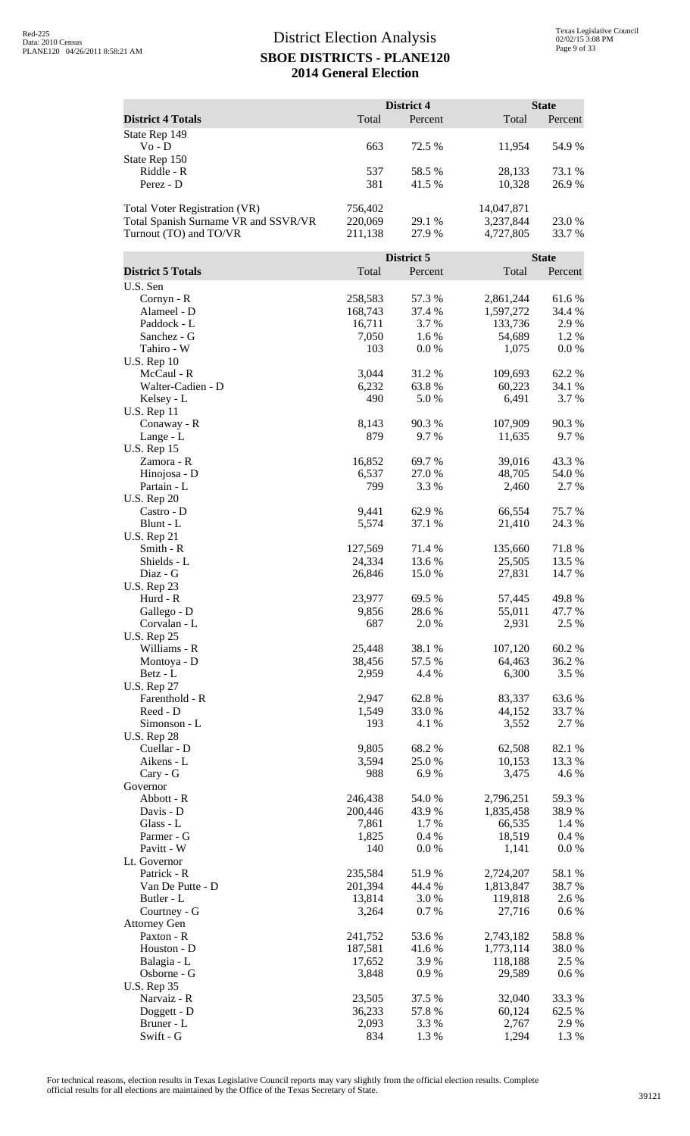|                                      |                    | District 4       |                        | <b>State</b>    |
|--------------------------------------|--------------------|------------------|------------------------|-----------------|
| <b>District 4 Totals</b>             | Total              | Percent          | Total                  | Percent         |
| State Rep 149<br>$Vo - D$            | 663                | 72.5 %           | 11,954                 | 54.9%           |
| State Rep 150<br>Riddle - R          | 537                | 58.5 %           | 28,133                 | 73.1 %          |
| Perez - D                            | 381                | 41.5 %           | 10,328                 | 26.9%           |
| <b>Total Voter Registration (VR)</b> | 756,402            |                  | 14,047,871             |                 |
| Total Spanish Surname VR and SSVR/VR | 220,069            | 29.1 %           | 3,237,844              | 23.0%           |
| Turnout (TO) and TO/VR               | 211,138            | 27.9%            | 4,727,805              | 33.7%           |
|                                      |                    | District 5       |                        | <b>State</b>    |
| <b>District 5 Totals</b>             | Total              | Percent          | Total                  | Percent         |
| U.S. Sen<br>$Cornyn - R$             | 258,583            | 57.3 %           | 2,861,244              | 61.6%           |
| Alameel - D                          | 168,743            | 37.4 %           | 1,597,272              | 34.4 %          |
| Paddock - L                          | 16,711             | 3.7%             | 133,736                | 2.9 %           |
| Sanchez - G                          | 7,050              | 1.6%             | 54,689                 | 1.2%            |
| Tahiro - W<br><b>U.S. Rep 10</b>     | 103                | 0.0 %            | 1,075                  | 0.0 %           |
| McCaul - R                           | 3,044              | 31.2%            | 109,693                | 62.2%           |
| Walter-Cadien - D                    | 6,232              | 63.8%            | 60,223                 | 34.1 %          |
| Kelsey - L                           | 490                | 5.0%             | 6,491                  | 3.7 %           |
| U.S. Rep 11                          |                    |                  |                        |                 |
| Conaway - R<br>Lange - L             | 8,143<br>879       | 90.3%<br>9.7%    | 107,909<br>11,635      | 90.3%<br>9.7 %  |
| <b>U.S. Rep 15</b>                   |                    |                  |                        |                 |
| Zamora - R                           | 16,852             | 69.7%            | 39,016                 | 43.3 %          |
| Hinojosa - D                         | 6,537              | 27.0 %           | 48,705                 | 54.0 %          |
| Partain - L                          | 799                | 3.3 %            | 2,460                  | 2.7 %           |
| <b>U.S. Rep 20</b><br>Castro - D     | 9,441              | 62.9 %           | 66,554                 | 75.7 %          |
| Blunt - L                            | 5,574              | 37.1 %           | 21,410                 | 24.3 %          |
| <b>U.S. Rep 21</b>                   |                    |                  |                        |                 |
| Smith - R                            | 127,569            | 71.4 %           | 135,660                | 71.8%           |
| Shields - L                          | 24,334             | 13.6 %           | 25,505                 | 13.5 %          |
| Diaz - G<br><b>U.S. Rep 23</b>       | 26,846             | 15.0 %           | 27,831                 | 14.7 %          |
| Hurd - R                             | 23,977             | 69.5 %           | 57,445                 | 49.8%           |
| Gallego - D                          | 9,856              | 28.6%            | 55,011                 | 47.7 %          |
| Corvalan - L                         | 687                | 2.0%             | 2,931                  | 2.5 %           |
| <b>U.S. Rep 25</b>                   |                    |                  |                        |                 |
| Williams - R<br>Montoya - D          | 25,448<br>38,456   | 38.1 %<br>57.5 % | 107,120<br>64,463      | 60.2%<br>36.2 % |
| Betz - L                             | 2,959              | 4.4 %            | 6,300                  | 3.5 %           |
| <b>U.S. Rep 27</b>                   |                    |                  |                        |                 |
| Farenthold - R                       | 2,947              | 62.8%            | 83,337                 | 63.6%           |
| Reed - D                             | 1,549              | 33.0%            | 44,152                 | 33.7 %          |
| Simonson - L<br><b>U.S. Rep 28</b>   | 193                | 4.1 %            | 3,552                  | 2.7 %           |
| Cuellar - D                          | 9,805              | 68.2%            | 62,508                 | 82.1 %          |
| Aikens - L                           | 3,594              | 25.0%            | 10,153                 | 13.3 %          |
| Cary - G                             | 988                | 6.9%             | 3,475                  | 4.6 %           |
| Governor<br>Abbott - R               | 246,438            | 54.0 %           | 2,796,251              | 59.3%           |
| Davis - D                            | 200,446            | 43.9 %           | 1,835,458              | 38.9%           |
| Glass - L                            | 7,861              | 1.7 %            | 66,535                 | 1.4 %           |
| Parmer - G                           | 1,825              | 0.4%             | 18,519                 | 0.4 %           |
| Pavitt - W                           | 140                | 0.0 %            | 1,141                  | $0.0\ \%$       |
| Lt. Governor<br>Patrick - R          | 235,584            | 51.9%            | 2,724,207              | 58.1 %          |
| Van De Putte - D                     | 201,394            | 44.4 %           | 1,813,847              | 38.7%           |
| Butler - L                           | 13,814             | 3.0%             | 119,818                | 2.6 %           |
| Courtney - G                         | 3,264              | 0.7%             | 27,716                 | 0.6 %           |
| <b>Attorney Gen</b>                  |                    |                  |                        |                 |
| Paxton - R<br>Houston - D            | 241,752<br>187,581 | 53.6%<br>41.6%   | 2,743,182<br>1,773,114 | 58.8%<br>38.0%  |
| Balagia - L                          | 17,652             | 3.9%             | 118,188                | 2.5 %           |
| Osborne - G                          | 3,848              | 0.9%             | 29,589                 | $0.6\%$         |
| <b>U.S. Rep 35</b>                   |                    |                  |                        |                 |
| Narvaiz - R                          | 23,505             | 37.5 %           | 32,040                 | 33.3 %          |
| Doggett - D<br>Bruner - L            | 36,233<br>2,093    | 57.8%<br>3.3 %   | 60,124<br>2,767        | 62.5 %<br>2.9%  |
| Swift - G                            | 834                | 1.3%             | 1,294                  | 1.3 %           |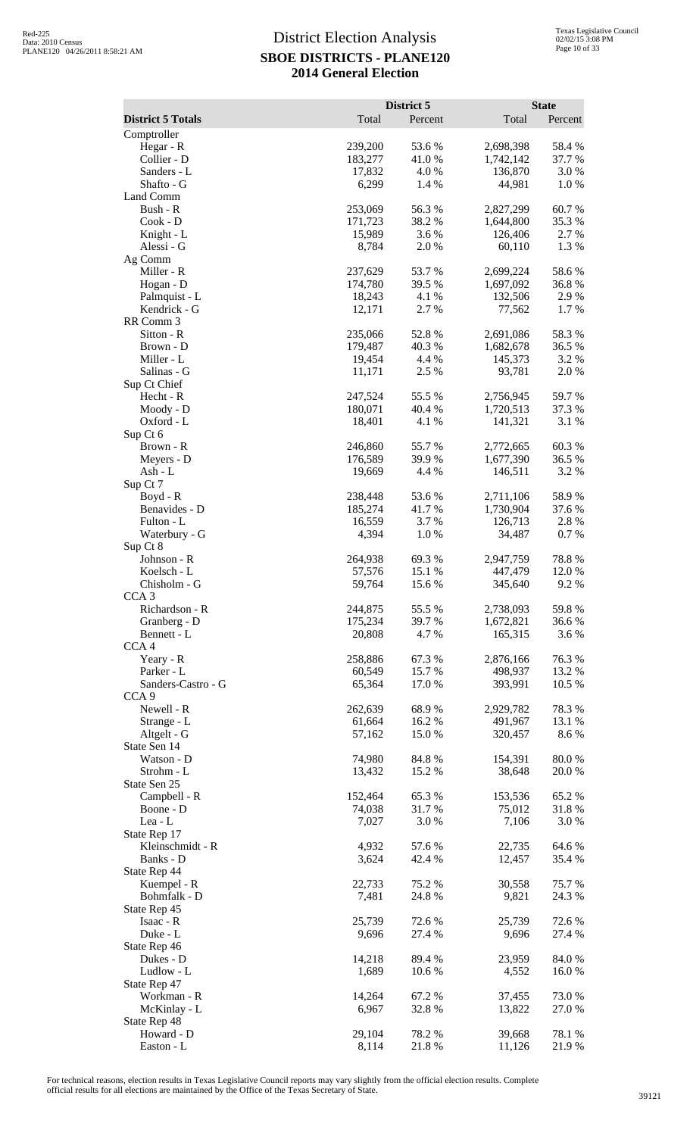|                                 |                   | District 5      |                        | <b>State</b>     |
|---------------------------------|-------------------|-----------------|------------------------|------------------|
| <b>District 5 Totals</b>        | Total             | Percent         | Total                  | Percent          |
| Comptroller<br>Hegar - R        | 239,200           | 53.6%           | 2,698,398              | 58.4%            |
| Collier - D                     | 183,277           | 41.0%           | 1,742,142              | 37.7 %           |
| Sanders - L                     | 17,832            | 4.0%            | 136,870                | 3.0%             |
| Shafto - G                      | 6,299             | 1.4 %           | 44,981                 | 1.0%             |
| Land Comm                       |                   |                 |                        |                  |
| Bush - R                        | 253,069           | 56.3%           | 2,827,299              | 60.7%            |
| Cook - D<br>Knight - L          | 171,723<br>15,989 | 38.2%<br>3.6 %  | 1,644,800<br>126,406   | 35.3 %<br>2.7 %  |
| Alessi - G                      | 8,784             | 2.0%            | 60,110                 | 1.3%             |
| Ag Comm                         |                   |                 |                        |                  |
| Miller - R                      | 237,629           | 53.7%           | 2,699,224              | 58.6%            |
| Hogan - D                       | 174,780           | 39.5 %          | 1,697,092              | 36.8%            |
| Palmquist - L                   | 18,243            | 4.1 %           | 132,506                | 2.9%             |
| Kendrick - G<br>RR Comm 3       | 12,171            | 2.7%            | 77,562                 | 1.7%             |
| Sitton - R                      | 235,066           | 52.8%           | 2,691,086              | 58.3%            |
| Brown - D                       | 179,487           | 40.3 %          | 1,682,678              | 36.5 %           |
| Miller - L                      | 19,454            | 4.4 %           | 145,373                | 3.2 %            |
| Salinas - G                     | 11,171            | 2.5 %           | 93,781                 | 2.0%             |
| Sup Ct Chief<br>Hecht - R       | 247,524           | 55.5 %          |                        |                  |
| Moody - D                       | 180,071           | 40.4%           | 2,756,945<br>1,720,513 | 59.7%<br>37.3 %  |
| Oxford - L                      | 18,401            | 4.1 %           | 141,321                | 3.1 %            |
| Sup Ct 6                        |                   |                 |                        |                  |
| Brown - R                       | 246,860           | 55.7%           | 2,772,665              | 60.3%            |
| Meyers - D                      | 176,589           | 39.9%           | 1,677,390              | 36.5 %           |
| $Ash - L$                       | 19,669            | 4.4 %           | 146,511                | 3.2 %            |
| Sup Ct 7<br>Boyd - R            | 238,448           | 53.6%           | 2,711,106              | 58.9%            |
| Benavides - D                   | 185,274           | 41.7%           | 1,730,904              | 37.6 %           |
| Fulton - L                      | 16,559            | 3.7 %           | 126,713                | 2.8%             |
| Waterbury - G                   | 4,394             | 1.0%            | 34,487                 | 0.7%             |
| Sup Ct 8                        |                   |                 |                        |                  |
| Johnson - R<br>Koelsch - L      | 264,938<br>57,576 | 69.3%<br>15.1 % | 2,947,759<br>447,479   | 78.8%<br>12.0%   |
| Chisholm - G                    | 59,764            | 15.6 %          | 345,640                | 9.2%             |
| CCA 3                           |                   |                 |                        |                  |
| Richardson - R                  | 244,875           | 55.5 %          | 2,738,093              | 59.8%            |
| Granberg - D                    | 175,234           | 39.7%           | 1,672,821              | 36.6 %           |
| Bennett - L<br>CCA <sub>4</sub> | 20,808            | 4.7%            | 165,315                | 3.6 %            |
| Yeary - R                       | 258,886           | 67.3%           | 2,876,166              | 76.3%            |
| Parker - L                      | 60,549            | 15.7 %          | 498,937                | 13.2 %           |
| Sanders-Castro - G              | 65,364            | 17.0%           | 393,991                | 10.5 %           |
| CCA <sub>9</sub>                |                   |                 |                        |                  |
| Newell - R                      | 262,639           | 68.9%           | 2,929,782              | 78.3%            |
| Strange - L<br>Altgelt - G      | 61,664<br>57,162  | 16.2%<br>15.0 % | 491,967<br>320,457     | 13.1 %<br>8.6%   |
| State Sen 14                    |                   |                 |                        |                  |
| Watson - D                      | 74,980            | 84.8%           | 154,391                | 80.0%            |
| Strohm - L                      | 13,432            | 15.2 %          | 38,648                 | 20.0 %           |
| State Sen 25                    |                   |                 |                        |                  |
| Campbell - R                    | 152,464           | 65.3%           | 153,536                | 65.2%            |
| Boone - D<br>Lea - L            | 74,038<br>7,027   | 31.7%<br>3.0%   | 75,012<br>7,106        | 31.8%<br>3.0%    |
| State Rep 17                    |                   |                 |                        |                  |
| Kleinschmidt - R                | 4,932             | 57.6 %          | 22,735                 | 64.6%            |
| Banks - D                       | 3,624             | 42.4 %          | 12,457                 | 35.4 %           |
| State Rep 44                    |                   |                 |                        |                  |
| Kuempel - R<br>Bohmfalk - D     | 22,733<br>7,481   | 75.2 %<br>24.8% | 30,558<br>9,821        | 75.7 %<br>24.3 % |
| State Rep 45                    |                   |                 |                        |                  |
| Isaac - R                       | 25,739            | 72.6 %          | 25,739                 | 72.6 %           |
| Duke - L                        | 9,696             | 27.4 %          | 9,696                  | 27.4 %           |
| State Rep 46                    |                   |                 |                        |                  |
| Dukes - D                       | 14,218            | 89.4%           | 23,959                 | 84.0%            |
| Ludlow - L<br>State Rep 47      | 1,689             | 10.6 %          | 4,552                  | 16.0%            |
| Workman - R                     | 14,264            | 67.2%           | 37,455                 | 73.0%            |
| McKinlay - L                    | 6,967             | 32.8%           | 13,822                 | 27.0 %           |
| State Rep 48                    |                   |                 |                        |                  |
| Howard - D                      | 29,104            | 78.2%           | 39,668                 | 78.1 %           |
| Easton - L                      | 8,114             | 21.8%           | 11,126                 | 21.9%            |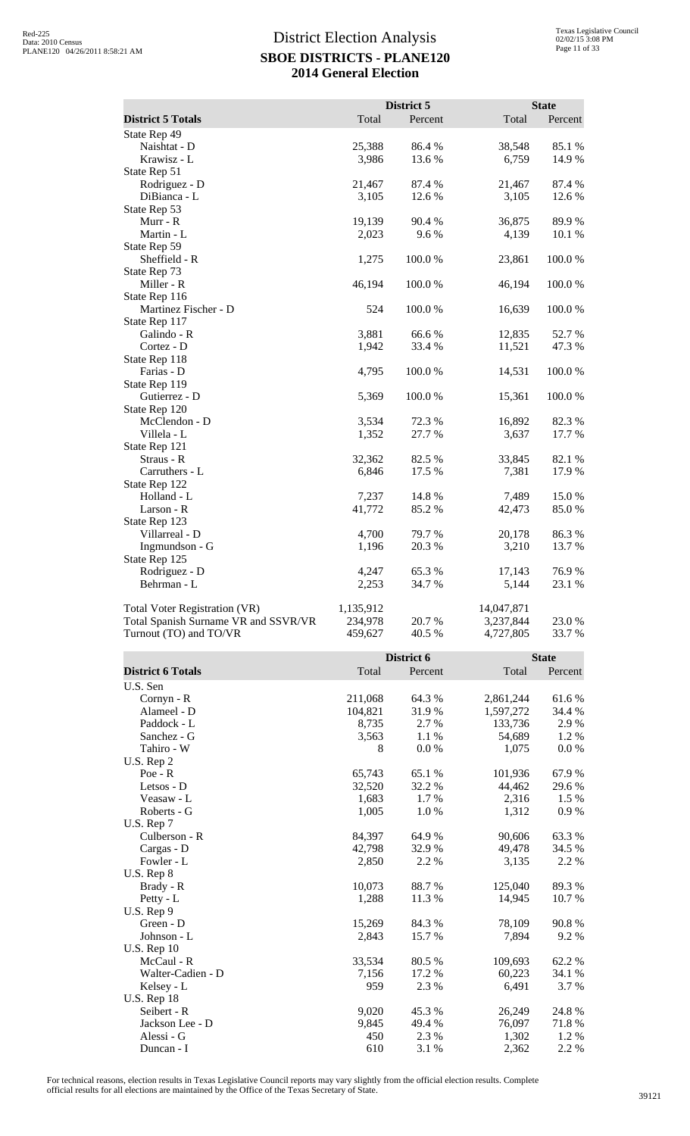|                                      |           | District 5 |            | <b>State</b> |
|--------------------------------------|-----------|------------|------------|--------------|
| <b>District 5 Totals</b>             | Total     | Percent    | Total      | Percent      |
| State Rep 49                         |           |            |            |              |
| Naishtat - D                         | 25,388    | 86.4%      | 38,548     | 85.1 %       |
| Krawisz - L                          | 3,986     | 13.6%      | 6,759      | 14.9%        |
| State Rep 51                         |           |            |            |              |
| Rodriguez - D                        | 21,467    | 87.4 %     | 21,467     | 87.4 %       |
| DiBianca - L                         | 3,105     | 12.6 %     | 3,105      | 12.6 %       |
| State Rep 53                         |           |            |            |              |
| Murr - R                             | 19,139    | 90.4%      | 36,875     | 89.9%        |
| Martin - L                           | 2,023     | 9.6%       | 4,139      | 10.1 %       |
| State Rep 59                         |           |            |            |              |
| Sheffield - R                        | 1,275     | 100.0%     | 23,861     | 100.0%       |
| State Rep 73                         |           |            |            |              |
| Miller - R                           | 46,194    | 100.0%     | 46,194     | 100.0%       |
| State Rep 116                        |           |            |            |              |
| Martinez Fischer - D                 | 524       | 100.0%     | 16,639     | 100.0%       |
| State Rep 117                        |           |            |            |              |
| Galindo - R                          | 3,881     | 66.6%      | 12,835     | 52.7%        |
| Cortez - D                           | 1,942     | 33.4 %     | 11,521     | 47.3 %       |
| State Rep 118                        |           |            |            |              |
| Farias - D                           | 4,795     | 100.0%     | 14,531     | 100.0%       |
| State Rep 119                        |           |            |            |              |
| Gutierrez - D                        | 5,369     | 100.0%     | 15,361     | 100.0%       |
| State Rep 120                        |           |            |            |              |
| McClendon - D                        | 3,534     | 72.3 %     | 16,892     | 82.3 %       |
| Villela - L                          | 1,352     | 27.7 %     | 3,637      | 17.7 %       |
| State Rep 121                        |           |            |            |              |
| Straus - R                           | 32,362    | 82.5 %     | 33,845     | 82.1 %       |
| Carruthers - L                       | 6,846     | 17.5 %     | 7,381      | 17.9%        |
| State Rep 122                        |           |            |            |              |
| Holland - L                          | 7,237     | 14.8 %     | 7,489      | 15.0%        |
| Larson - R                           | 41,772    | 85.2%      | 42,473     | 85.0%        |
| State Rep 123                        |           |            |            |              |
| Villarreal - D                       | 4,700     | 79.7 %     | 20,178     | 86.3%        |
| Ingmundson - G                       | 1,196     | 20.3 %     | 3,210      | 13.7 %       |
| State Rep 125                        |           |            |            |              |
| Rodriguez - D                        | 4,247     | 65.3%      | 17,143     | 76.9%        |
| Behrman - L                          | 2,253     | 34.7%      | 5,144      | 23.1 %       |
| Total Voter Registration (VR)        | 1,135,912 |            | 14,047,871 |              |
| Total Spanish Surname VR and SSVR/VR | 234,978   | 20.7%      | 3,237,844  | 23.0%        |
| Turnout (TO) and TO/VR               | 459,627   | 40.5 %     | 4,727,805  | 33.7%        |

|                          | District 6 |         | <b>State</b> |         |
|--------------------------|------------|---------|--------------|---------|
| <b>District 6 Totals</b> | Total      | Percent | Total        | Percent |
| U.S. Sen                 |            |         |              |         |
| $Cornyn - R$             | 211,068    | 64.3 %  | 2,861,244    | 61.6%   |
| Alameel - D              | 104,821    | 31.9%   | 1,597,272    | 34.4 %  |
| Paddock - L              | 8,735      | 2.7 %   | 133,736      | 2.9 %   |
| Sanchez - G              | 3,563      | 1.1 %   | 54,689       | 1.2 %   |
| Tahiro - W               | 8          | 0.0 %   | 1,075        | 0.0 %   |
| U.S. Rep 2               |            |         |              |         |
| $Poe - R$                | 65,743     | 65.1 %  | 101,936      | 67.9%   |
| Letsos - D               | 32,520     | 32.2 %  | 44,462       | 29.6 %  |
| Veasaw - L               | 1,683      | 1.7 %   | 2,316        | $1.5\%$ |
| Roberts - G              | 1,005      | 1.0%    | 1,312        | 0.9%    |
| U.S. Rep 7               |            |         |              |         |
| Culberson - R            | 84,397     | 64.9 %  | 90,606       | 63.3 %  |
| Cargas - D               | 42,798     | 32.9 %  | 49,478       | 34.5 %  |
| Fowler - L               | 2,850      | 2.2 %   | 3,135        | 2.2 %   |
| U.S. Rep 8               |            |         |              |         |
| Brady - R                | 10,073     | 88.7%   | 125,040      | 89.3%   |
| Petty - L                | 1,288      | 11.3 %  | 14,945       | 10.7 %  |
| U.S. Rep 9               |            |         |              |         |
| Green - D                | 15,269     | 84.3 %  | 78,109       | 90.8%   |
| Johnson - L              | 2,843      | 15.7%   | 7,894        | 9.2 %   |
| <b>U.S. Rep 10</b>       |            |         |              |         |
| McCaul - R               | 33,534     | 80.5 %  | 109,693      | 62.2%   |
| Walter-Cadien - D        | 7,156      | 17.2 %  | 60,223       | 34.1 %  |
| Kelsey - L               | 959        | 2.3 %   | 6,491        | 3.7 %   |
| U.S. Rep 18              |            |         |              |         |
| Seibert - R              | 9,020      | 45.3 %  | 26,249       | 24.8%   |
| Jackson Lee - D          | 9,845      | 49.4 %  | 76,097       | 71.8%   |
| Alessi - G               | 450        | 2.3 %   | 1,302        | 1.2 %   |
| Duncan - I               | 610        | 3.1 %   | 2,362        | 2.2 %   |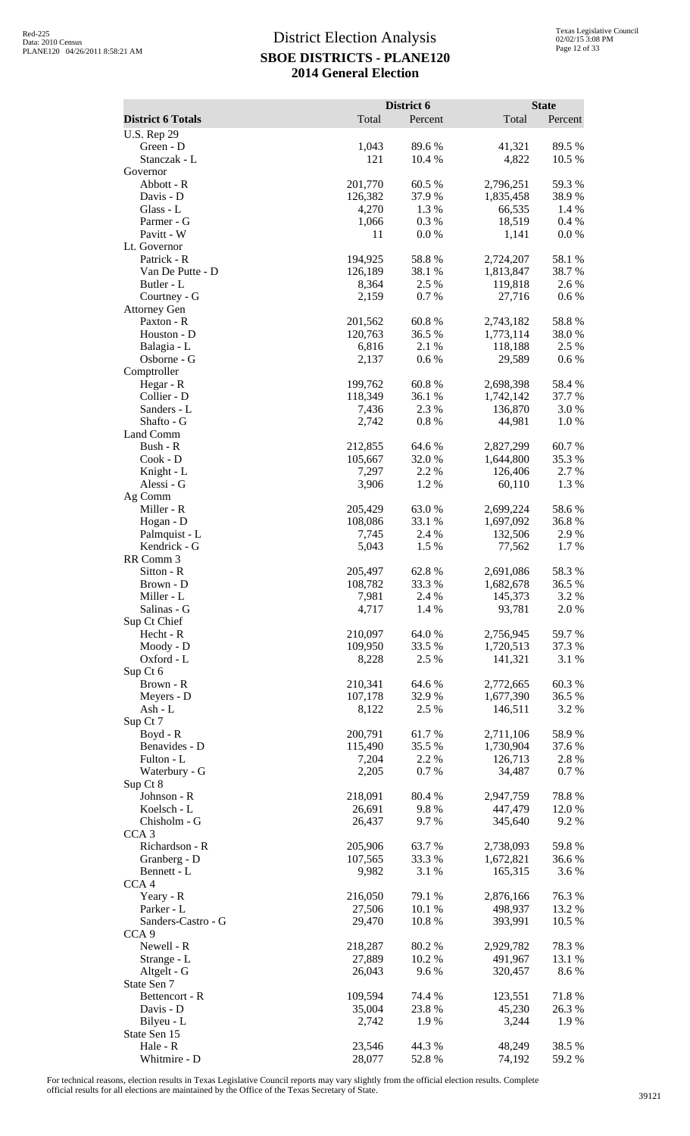| <b>District 6 Totals</b>          | Total              | District 6<br>Percent | Total                  | <b>State</b><br>Percent |
|-----------------------------------|--------------------|-----------------------|------------------------|-------------------------|
| <b>U.S. Rep 29</b>                |                    |                       |                        |                         |
| Green - D                         | 1,043              | 89.6%                 | 41,321                 | 89.5 %                  |
| Stanczak - L                      | 121                | 10.4 %                | 4,822                  | 10.5 %                  |
| Governor                          |                    |                       |                        |                         |
| Abbott - R<br>Davis - D           | 201,770<br>126,382 | 60.5 %<br>37.9%       | 2,796,251<br>1,835,458 | 59.3%<br>38.9%          |
| Glass - L                         | 4,270              | 1.3 %                 | 66,535                 | 1.4 %                   |
| Parmer - G                        | 1,066              | 0.3%                  | 18,519                 | 0.4%                    |
| Pavitt - W                        | 11                 | 0.0 %                 | 1,141                  | 0.0 %                   |
| Lt. Governor<br>Patrick - R       | 194,925            | 58.8%                 | 2,724,207              | 58.1 %                  |
| Van De Putte - D                  | 126,189            | 38.1 %                | 1,813,847              | 38.7 %                  |
| Butler - L                        | 8,364              | 2.5 %                 | 119,818                | 2.6 %                   |
| Courtney - G                      | 2,159              | 0.7 %                 | 27,716                 | 0.6 %                   |
| <b>Attorney Gen</b><br>Paxton - R | 201,562            | 60.8%                 | 2,743,182              | 58.8%                   |
| Houston - D                       | 120,763            | 36.5 %                | 1,773,114              | 38.0%                   |
| Balagia - L                       | 6,816              | 2.1 %                 | 118,188                | 2.5 %                   |
| Osborne - G                       | 2,137              | 0.6 %                 | 29,589                 | 0.6 %                   |
| Comptroller                       | 199,762            |                       |                        |                         |
| Hegar - R<br>Collier - D          | 118,349            | 60.8%<br>36.1 %       | 2,698,398<br>1,742,142 | 58.4%<br>37.7 %         |
| Sanders - L                       | 7,436              | 2.3 %                 | 136,870                | 3.0%                    |
| Shafto - G                        | 2,742              | 0.8 %                 | 44,981                 | 1.0%                    |
| Land Comm                         |                    |                       |                        |                         |
| Bush - R<br>$Cook - D$            | 212,855<br>105,667 | 64.6 %<br>32.0%       | 2,827,299<br>1,644,800 | 60.7%<br>35.3 %         |
| Knight - L                        | 7,297              | 2.2 %                 | 126,406                | 2.7 %                   |
| Alessi - G                        | 3,906              | 1.2%                  | 60,110                 | 1.3%                    |
| Ag Comm                           |                    |                       |                        |                         |
| Miller - R                        | 205,429<br>108,086 | 63.0%<br>33.1 %       | 2,699,224              | 58.6%<br>36.8%          |
| Hogan - D<br>Palmquist - L        | 7,745              | 2.4 %                 | 1,697,092<br>132,506   | 2.9 %                   |
| Kendrick - G                      | 5,043              | 1.5 %                 | 77,562                 | 1.7%                    |
| RR Comm 3                         |                    |                       |                        |                         |
| Sitton - R                        | 205,497            | 62.8%                 | 2,691,086              | 58.3%                   |
| Brown - D<br>Miller - L           | 108,782<br>7,981   | 33.3 %<br>2.4 %       | 1,682,678<br>145,373   | 36.5 %<br>3.2 %         |
| Salinas - G                       | 4,717              | 1.4 %                 | 93,781                 | 2.0 %                   |
| Sup Ct Chief                      |                    |                       |                        |                         |
| Hecht - R                         | 210,097            | 64.0%                 | 2,756,945              | 59.7%                   |
| Moody - D<br>Oxford - L           | 109,950<br>8,228   | 33.5 %<br>2.5 %       | 1,720,513<br>141,321   | 37.3 %<br>3.1 %         |
| Sup Ct 6                          |                    |                       |                        |                         |
| Brown - R                         | 210,341            | 64.6 %                | 2,772,665              | 60.3%                   |
| Meyers - D                        | 107,178            | 32.9%                 | 1,677,390              | 36.5 %                  |
| Ash - L<br>Sup Ct 7               | 8,122              | 2.5 %                 | 146,511                | 3.2 %                   |
| $Boyd - R$                        | 200,791            | 61.7%                 | 2,711,106              | 58.9%                   |
| Benavides - D                     | 115,490            | 35.5 %                | 1,730,904              | 37.6 %                  |
| Fulton - L                        | 7,204              | 2.2 %                 | 126,713                | 2.8 %                   |
| Waterbury - G                     | 2,205              | 0.7 %                 | 34,487                 | 0.7 %                   |
| Sup Ct 8<br>Johnson - R           | 218,091            | 80.4%                 | 2,947,759              | 78.8%                   |
| Koelsch - L                       | 26,691             | 9.8%                  | 447,479                | 12.0 %                  |
| Chisholm - G                      | 26,437             | 9.7%                  | 345,640                | 9.2%                    |
| CCA <sub>3</sub>                  |                    |                       |                        |                         |
| Richardson - R<br>Granberg - D    | 205,906<br>107,565 | 63.7%<br>33.3 %       | 2,738,093<br>1,672,821 | 59.8%<br>36.6 %         |
| Bennett - L                       | 9,982              | 3.1 %                 | 165,315                | 3.6%                    |
| CCA <sub>4</sub>                  |                    |                       |                        |                         |
| Yeary - R                         | 216,050            | 79.1 %                | 2,876,166              | 76.3%                   |
| Parker - L<br>Sanders-Castro - G  | 27,506<br>29,470   | 10.1 %<br>10.8%       | 498,937<br>393,991     | 13.2 %<br>10.5 %        |
| CCA <sub>9</sub>                  |                    |                       |                        |                         |
| Newell - R                        | 218,287            | 80.2%                 | 2,929,782              | 78.3%                   |
| Strange - L                       | 27,889             | 10.2 %                | 491,967                | 13.1 %                  |
| Altgelt - G                       | 26,043             | 9.6%                  | 320,457                | 8.6%                    |
| State Sen 7<br>Bettencort - R     | 109,594            | 74.4 %                | 123,551                | 71.8%                   |
| Davis - D                         | 35,004             | 23.8%                 | 45,230                 | 26.3 %                  |
| Bilyeu - L                        | 2,742              | 1.9%                  | 3,244                  | 1.9%                    |
| State Sen 15                      |                    |                       |                        |                         |
| Hale - R<br>Whitmire - D          | 23,546<br>28,077   | 44.3 %<br>52.8%       | 48,249<br>74,192       | 38.5 %<br>59.2%         |
|                                   |                    |                       |                        |                         |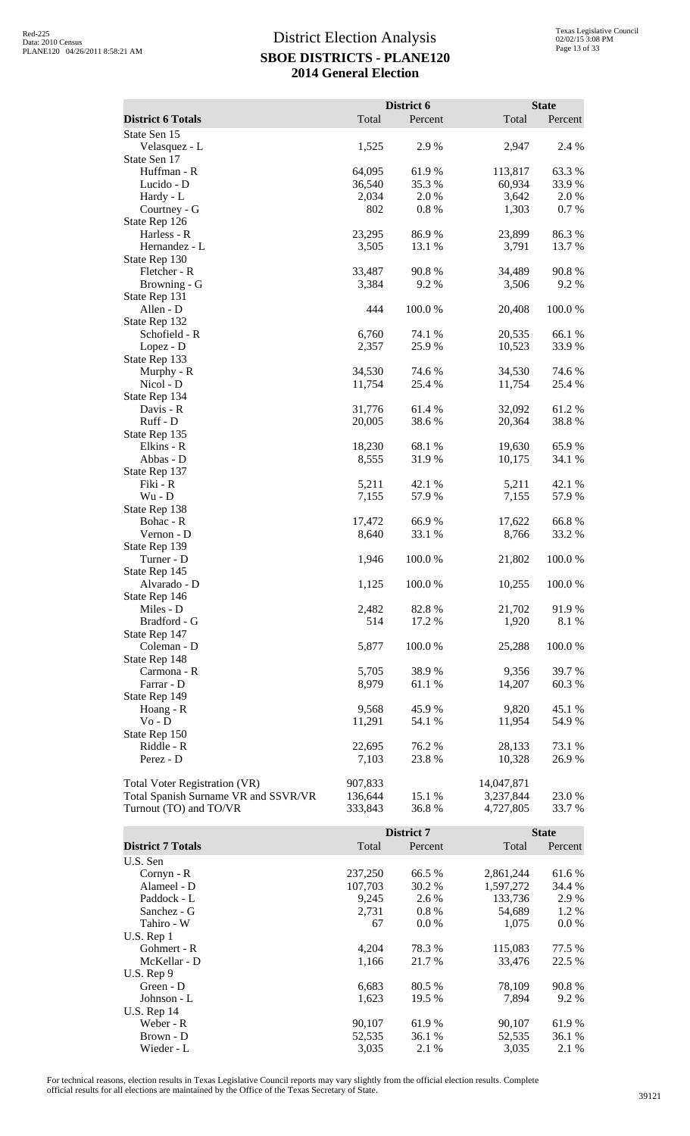|                                      |         | District 6 |            | <b>State</b> |
|--------------------------------------|---------|------------|------------|--------------|
| <b>District 6 Totals</b>             | Total   | Percent    | Total      | Percent      |
| State Sen 15                         |         |            |            |              |
| Velasquez - L                        | 1,525   | 2.9%       | 2,947      | 2.4 %        |
| State Sen 17                         |         |            |            |              |
| Huffman - R                          | 64,095  | 61.9%      | 113,817    | 63.3%        |
| Lucido - D                           | 36,540  | 35.3 %     | 60,934     | 33.9 %       |
| Hardy - L                            | 2,034   | 2.0 %      | 3,642      | 2.0%         |
| Courtney - G                         | 802     | 0.8 %      | 1,303      | 0.7%         |
| State Rep 126                        |         |            |            |              |
| Harless - R                          | 23,295  | 86.9%      | 23,899     | 86.3%        |
| Hernandez - L                        | 3,505   | 13.1 %     | 3,791      | 13.7 %       |
| State Rep 130                        |         |            |            |              |
| Fletcher - R                         | 33,487  | 90.8%      | 34,489     | 90.8%        |
| Browning - G                         | 3,384   | 9.2%       | 3,506      | 9.2%         |
| State Rep 131                        |         |            |            |              |
| Allen - D                            | 444     | 100.0%     | 20,408     | 100.0%       |
| State Rep 132                        |         |            |            |              |
| Schofield - R                        | 6,760   | 74.1 %     | 20,535     | 66.1%        |
| Lopez - D                            | 2,357   | 25.9%      | 10,523     | 33.9%        |
| State Rep 133                        |         |            |            |              |
| Murphy - R                           | 34,530  | 74.6%      | 34,530     | 74.6 %       |
| Nicol - D                            | 11,754  | 25.4 %     | 11,754     | 25.4 %       |
| State Rep 134                        |         |            |            |              |
| Davis - R                            | 31,776  | 61.4%      | 32,092     | 61.2%        |
| Ruff - D                             | 20,005  | 38.6%      | 20,364     | 38.8%        |
| State Rep 135                        |         |            |            |              |
| Elkins - R                           | 18,230  | 68.1 %     | 19,630     | 65.9%        |
| Abbas - D                            | 8,555   | 31.9%      | 10,175     | 34.1 %       |
| State Rep 137                        |         |            |            |              |
| Fiki - R                             | 5,211   | 42.1 %     | 5,211      | 42.1 %       |
| $Wu - D$                             | 7,155   | 57.9%      | 7,155      | 57.9%        |
| State Rep 138                        |         |            |            |              |
| Bohac - R                            | 17,472  | 66.9%      | 17,622     | 66.8%        |
| Vernon - D                           | 8,640   | 33.1 %     | 8,766      | 33.2 %       |
| State Rep 139                        |         |            |            |              |
| Turner - D                           | 1,946   | 100.0%     | 21,802     | 100.0%       |
| State Rep 145                        |         |            |            |              |
| Alvarado - D                         | 1,125   | 100.0%     | 10,255     | 100.0%       |
| State Rep 146                        |         |            |            |              |
| Miles - D                            | 2,482   | 82.8%      | 21,702     | 91.9%        |
| Bradford - G                         | 514     | 17.2 %     | 1,920      | 8.1 %        |
| State Rep 147                        |         |            |            |              |
| Coleman - D                          | 5,877   | $100.0~\%$ | 25,288     | 100.0%       |
| State Rep 148                        |         |            |            |              |
| Carmona - R                          | 5,705   | 38.9 %     | 9,356      | 39.7 %       |
| Farrar - D                           | 8,979   | 61.1%      | 14,207     | 60.3%        |
| State Rep 149                        |         |            |            |              |
| Hoang - R                            | 9,568   | 45.9%      | 9,820      | 45.1 %       |
| $Vo - D$                             | 11,291  | 54.1 %     | 11,954     | 54.9%        |
| State Rep 150                        |         |            |            |              |
| Riddle - R                           | 22,695  | 76.2%      | 28,133     | 73.1 %       |
| Perez - D                            | 7,103   | 23.8%      | 10,328     | 26.9%        |
| Total Voter Registration (VR)        | 907,833 |            | 14,047,871 |              |
| Total Spanish Surname VR and SSVR/VR | 136,644 | 15.1 %     | 3,237,844  | 23.0 %       |
| Turnout (TO) and TO/VR               | 333,843 | 36.8%      | 4,727,805  | 33.7 %       |
|                                      |         |            |            |              |

|                          |         | District 7 |           | <b>State</b> |
|--------------------------|---------|------------|-----------|--------------|
| <b>District 7 Totals</b> | Total   | Percent    | Total     | Percent      |
| U.S. Sen                 |         |            |           |              |
| $Cornyn - R$             | 237,250 | 66.5 %     | 2,861,244 | 61.6 %       |
| Alameel - D              | 107,703 | 30.2 %     | 1,597,272 | 34.4 %       |
| Paddock - L              | 9,245   | 2.6 %      | 133,736   | 2.9 %        |
| Sanchez - G              | 2,731   | $0.8\%$    | 54,689    | 1.2 %        |
| Tahiro - W               | 67      | $0.0\%$    | 1,075     | $0.0\%$      |
| $U.S.$ Rep 1             |         |            |           |              |
| Gohmert - R              | 4,204   | 78.3 %     | 115,083   | 77.5 %       |
| McKellar - D             | 1,166   | 21.7 %     | 33,476    | 22.5 %       |
| U.S. Rep 9               |         |            |           |              |
| Green - D                | 6,683   | 80.5 %     | 78.109    | 90.8%        |
| Johnson - L              | 1,623   | 19.5 %     | 7.894     | 9.2 %        |
| U.S. Rep $14$            |         |            |           |              |
| Weber - R                | 90,107  | 61.9%      | 90,107    | 61.9%        |
| Brown - D                | 52,535  | 36.1 %     | 52,535    | 36.1 %       |
| Wieder - L               | 3.035   | 2.1 %      | 3,035     | 2.1 %        |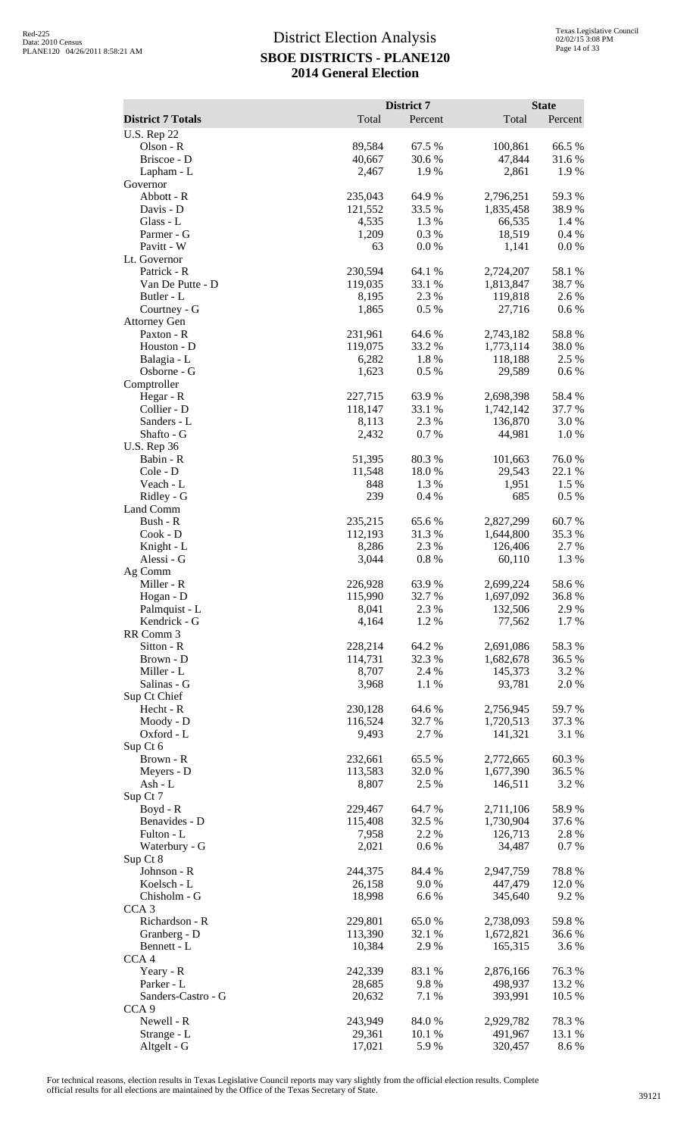|                                 |                    | District 7       |                        | <b>State</b>     |
|---------------------------------|--------------------|------------------|------------------------|------------------|
| <b>District 7 Totals</b>        | Total              | Percent          | Total                  | Percent          |
| <b>U.S. Rep 22</b><br>Olson - R | 89,584             | 67.5 %           | 100,861                | 66.5%            |
| Briscoe - D                     | 40,667             | 30.6%            | 47,844                 | 31.6 %           |
| Lapham - L                      | 2,467              | 1.9%             | 2,861                  | 1.9%             |
| Governor                        |                    |                  |                        |                  |
| Abbott - R                      | 235,043            | 64.9%            | 2,796,251              | 59.3%            |
| Davis - D<br>Glass - L          | 121,552<br>4,535   | 33.5 %<br>1.3%   | 1,835,458<br>66,535    | 38.9%<br>1.4 %   |
| Parmer - G                      | 1,209              | 0.3%             | 18,519                 | 0.4 %            |
| Pavitt - W                      | 63                 | 0.0 %            | 1,141                  | 0.0 %            |
| Lt. Governor                    |                    |                  |                        |                  |
| Patrick - R<br>Van De Putte - D | 230,594<br>119,035 | 64.1 %<br>33.1 % | 2,724,207              | 58.1 %<br>38.7 % |
| Butler - L                      | 8,195              | 2.3 %            | 1,813,847<br>119,818   | 2.6 %            |
| Courtney - G                    | 1,865              | 0.5 %            | 27,716                 | $0.6\%$          |
| <b>Attorney Gen</b>             |                    |                  |                        |                  |
| Paxton - R                      | 231,961            | 64.6 %           | 2,743,182              | 58.8%            |
| Houston - D<br>Balagia - L      | 119,075<br>6,282   | 33.2 %<br>1.8%   | 1,773,114<br>118,188   | 38.0%<br>2.5 %   |
| Osborne - G                     | 1,623              | 0.5 %            | 29,589                 | 0.6 %            |
| Comptroller                     |                    |                  |                        |                  |
| Hegar - R                       | 227,715            | 63.9%            | 2,698,398              | 58.4%            |
| Collier - D                     | 118,147            | 33.1 %           | 1,742,142              | 37.7 %           |
| Sanders - L<br>Shafto - G       | 8,113<br>2,432     | 2.3 %<br>0.7%    | 136,870<br>44,981      | 3.0 %<br>1.0%    |
| <b>U.S. Rep 36</b>              |                    |                  |                        |                  |
| Babin - R                       | 51,395             | 80.3%            | 101,663                | 76.0%            |
| Cole - D                        | 11,548             | 18.0%            | 29,543                 | 22.1 %           |
| Veach - L                       | 848                | 1.3%             | 1,951                  | 1.5 %            |
| Ridley - G<br>Land Comm         | 239                | 0.4%             | 685                    | 0.5 %            |
| Bush - R                        | 235,215            | 65.6%            | 2,827,299              | 60.7%            |
| Cook - D                        | 112,193            | 31.3%            | 1,644,800              | 35.3 %           |
| Knight - L                      | 8,286              | 2.3 %            | 126,406                | 2.7 %            |
| Alessi - G                      | 3,044              | $0.8\ \%$        | 60,110                 | 1.3 %            |
| Ag Comm<br>Miller - R           | 226,928            | 63.9%            | 2,699,224              | 58.6 %           |
| Hogan - D                       | 115,990            | 32.7 %           | 1,697,092              | 36.8%            |
| Palmquist - L                   | 8,041              | 2.3 %            | 132,506                | 2.9 %            |
| Kendrick - G                    | 4,164              | 1.2%             | 77,562                 | $1.7\%$          |
| RR Comm 3                       |                    |                  |                        |                  |
| Sitton - R<br>Brown - D         | 228,214<br>114,731 | 64.2%<br>32.3 %  | 2,691,086<br>1,682,678 | 58.3%<br>36.5 %  |
| Miller - L                      | 8,707              | 2.4 %            | 145,373                | 3.2 %            |
| Salinas - G                     | 3,968              | $1.1~\%$         | 93,781                 | 2.0 %            |
| Sup Ct Chief                    |                    |                  |                        |                  |
| Hecht - R<br>Moody - D          | 230,128<br>116,524 | 64.6 %<br>32.7 % | 2,756,945<br>1,720,513 | 59.7%<br>37.3 %  |
| Oxford - L                      | 9,493              | 2.7 %            | 141,321                | 3.1 %            |
| Sup Ct 6                        |                    |                  |                        |                  |
| Brown - R                       | 232,661            | 65.5 %           | 2,772,665              | 60.3%            |
| Meyers - D                      | 113,583            | 32.0%            | 1,677,390              | 36.5 %           |
| Ash - $L$<br>Sup Ct 7           | 8,807              | 2.5 %            | 146,511                | 3.2 %            |
| $Boyd - R$                      | 229,467            | 64.7%            | 2,711,106              | 58.9%            |
| Benavides - D                   | 115,408            | 32.5 %           | 1,730,904              | 37.6 %           |
| Fulton - L                      | 7,958              | 2.2 %            | 126,713                | 2.8%             |
| Waterbury - G                   | 2,021              | 0.6 %            | 34,487                 | 0.7 %            |
| Sup Ct 8<br>Johnson - R         | 244,375            | 84.4 %           | 2,947,759              | 78.8%            |
| Koelsch - L                     | 26,158             | 9.0 %            | 447,479                | 12.0 %           |
| Chisholm - G                    | 18,998             | 6.6%             | 345,640                | 9.2 %            |
| CCA <sub>3</sub>                |                    |                  |                        |                  |
| Richardson - R                  | 229,801            | 65.0%            | 2,738,093              | 59.8%            |
| Granberg - D<br>Bennett - L     | 113,390<br>10,384  | 32.1 %<br>2.9 %  | 1,672,821<br>165,315   | 36.6 %<br>3.6 %  |
| CCA <sub>4</sub>                |                    |                  |                        |                  |
| Yeary - R                       | 242,339            | 83.1 %           | 2,876,166              | 76.3%            |
| Parker - L                      | 28,685             | 9.8%             | 498,937                | 13.2 %           |
| Sanders-Castro - G              | 20,632             | 7.1 %            | 393,991                | 10.5 %           |
| CCA <sub>9</sub><br>Newell - R  | 243,949            | 84.0 %           | 2,929,782              | 78.3%            |
| Strange - L                     | 29,361             | 10.1 %           | 491,967                | 13.1 %           |
| Altgelt - G                     | 17,021             | 5.9%             | 320,457                | 8.6%             |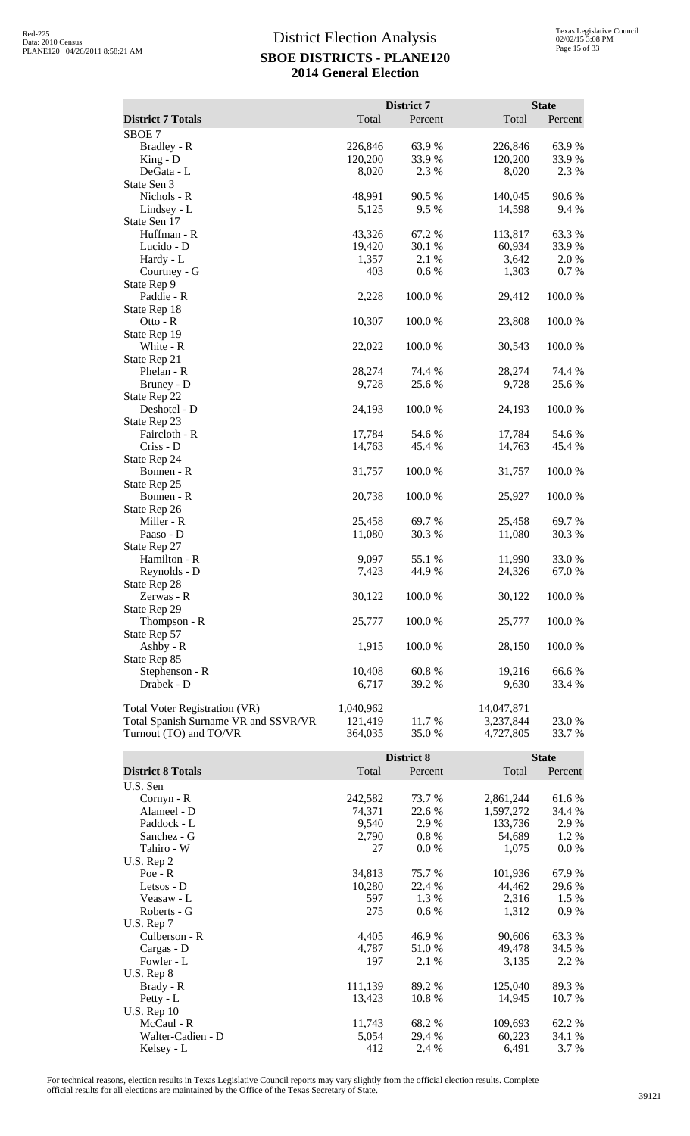|                                      |           | District 7 |            | <b>State</b> |
|--------------------------------------|-----------|------------|------------|--------------|
| <b>District 7 Totals</b>             | Total     | Percent    | Total      | Percent      |
| SBOE <sub>7</sub>                    |           |            |            |              |
| Bradley - R                          | 226,846   | 63.9 %     | 226,846    | 63.9%        |
| $King - D$                           | 120,200   | 33.9 %     | 120,200    | 33.9 %       |
| DeGata - L                           | 8,020     | 2.3 %      | 8,020      | 2.3 %        |
| State Sen 3                          |           |            |            |              |
| Nichols - R                          | 48,991    | 90.5 %     | 140,045    | 90.6 %       |
| Lindsey - L                          | 5,125     | 9.5 %      | 14,598     | 9.4 %        |
| State Sen 17                         |           |            |            |              |
| Huffman - R                          | 43,326    | 67.2%      | 113,817    | 63.3%        |
| Lucido - D                           | 19,420    | 30.1 %     | 60,934     | 33.9%        |
| Hardy - L                            | 1,357     | 2.1 %      | 3,642      | 2.0%         |
| Courtney - G                         | 403       | 0.6 %      | 1,303      | 0.7%         |
|                                      |           |            |            |              |
| State Rep 9                          |           |            |            |              |
| Paddie - R                           | 2,228     | 100.0%     | 29,412     | 100.0%       |
| State Rep 18                         |           |            |            |              |
| Otto - R                             | 10,307    | 100.0 %    | 23,808     | 100.0%       |
| State Rep 19                         |           |            |            |              |
| White - R                            | 22,022    | 100.0%     | 30,543     | 100.0%       |
| State Rep 21                         |           |            |            |              |
| Phelan - R                           | 28,274    | 74.4 %     | 28,274     | 74.4 %       |
| Bruney - D                           | 9,728     | 25.6 %     | 9,728      | 25.6 %       |
| State Rep 22                         |           |            |            |              |
| Deshotel - D                         | 24,193    | 100.0%     | 24,193     | 100.0%       |
| State Rep 23                         |           |            |            |              |
| Faircloth - R                        | 17,784    | 54.6 %     | 17,784     | 54.6 %       |
| Criss - D                            | 14,763    | 45.4 %     | 14,763     | 45.4 %       |
| State Rep 24                         |           |            |            |              |
| Bonnen - R                           | 31,757    | 100.0%     | 31,757     | 100.0%       |
| State Rep 25                         |           |            |            |              |
| Bonnen - R                           | 20,738    | 100.0 %    | 25,927     | 100.0%       |
| State Rep 26                         |           |            |            |              |
| Miller - R                           | 25,458    | 69.7 %     | 25,458     | 69.7%        |
| Paaso - D                            | 11,080    | 30.3%      | 11,080     | 30.3%        |
| State Rep 27                         |           |            |            |              |
| Hamilton - R                         | 9,097     | 55.1 %     | 11,990     | 33.0 %       |
| Reynolds - D                         | 7,423     | 44.9 %     | 24,326     | 67.0%        |
| State Rep 28                         |           |            |            |              |
| Zerwas - R                           | 30,122    | 100.0%     | 30,122     | 100.0%       |
| State Rep 29                         |           |            |            |              |
| Thompson - R                         | 25,777    | 100.0%     | 25,777     | 100.0%       |
| State Rep 57                         |           |            |            |              |
| Ashby - $R$                          | 1,915     | 100.0%     | 28,150     | 100.0%       |
| State Rep 85                         |           |            |            |              |
| Stephenson - R                       | 10,408    | 60.8%      | 19,216     | 66.6%        |
| Drabek - D                           | 6,717     | 39.2 %     | 9,630      | 33.4 %       |
| Total Voter Registration (VR)        | 1,040,962 |            | 14,047,871 |              |
| Total Spanish Surname VR and SSVR/VR | 121,419   | 11.7 %     | 3,237,844  | 23.0 %       |
| Turnout (TO) and TO/VR               | 364,035   | 35.0%      | 4,727,805  | 33.7 %       |
|                                      |           |            |            |              |

|                          |         | District 8 |           | <b>State</b> |
|--------------------------|---------|------------|-----------|--------------|
| <b>District 8 Totals</b> | Total   | Percent    | Total     | Percent      |
| U.S. Sen                 |         |            |           |              |
| $Cornyn - R$             | 242,582 | 73.7 %     | 2,861,244 | 61.6 %       |
| Alameel - D              | 74,371  | 22.6 %     | 1,597,272 | 34.4 %       |
| Paddock - L              | 9,540   | 2.9 %      | 133,736   | 2.9 %        |
| Sanchez - G              | 2,790   | $0.8 \%$   | 54,689    | 1.2 %        |
| Tahiro - W               | 27      | 0.0 %      | 1,075     | 0.0 %        |
| U.S. Rep 2               |         |            |           |              |
| $Poe - R$                | 34,813  | 75.7 %     | 101,936   | 67.9%        |
| Letsos - D               | 10,280  | 22.4 %     | 44,462    | 29.6 %       |
| Veasaw - L               | 597     | 1.3 %      | 2,316     | 1.5 %        |
| Roberts - G              | 275     | $0.6\%$    | 1,312     | 0.9%         |
| U.S. Rep $7$             |         |            |           |              |
| Culberson - R            | 4,405   | 46.9%      | 90,606    | 63.3%        |
| Cargas - D               | 4,787   | 51.0 %     | 49,478    | 34.5 %       |
| Fowler - L               | 197     | 2.1 %      | 3,135     | 2.2 %        |
| $U.S.$ Rep $8$           |         |            |           |              |
| Brady - R                | 111,139 | 89.2 %     | 125,040   | 89.3 %       |
| Petty - $L$              | 13,423  | 10.8%      | 14,945    | 10.7 %       |
| <b>U.S. Rep 10</b>       |         |            |           |              |
| McCaul - R               | 11,743  | 68.2 %     | 109,693   | 62.2 %       |
| Walter-Cadien - D        | 5,054   | 29.4 %     | 60,223    | 34.1 %       |
| Kelsey - L               | 412     | 2.4 %      | 6,491     | 3.7 %        |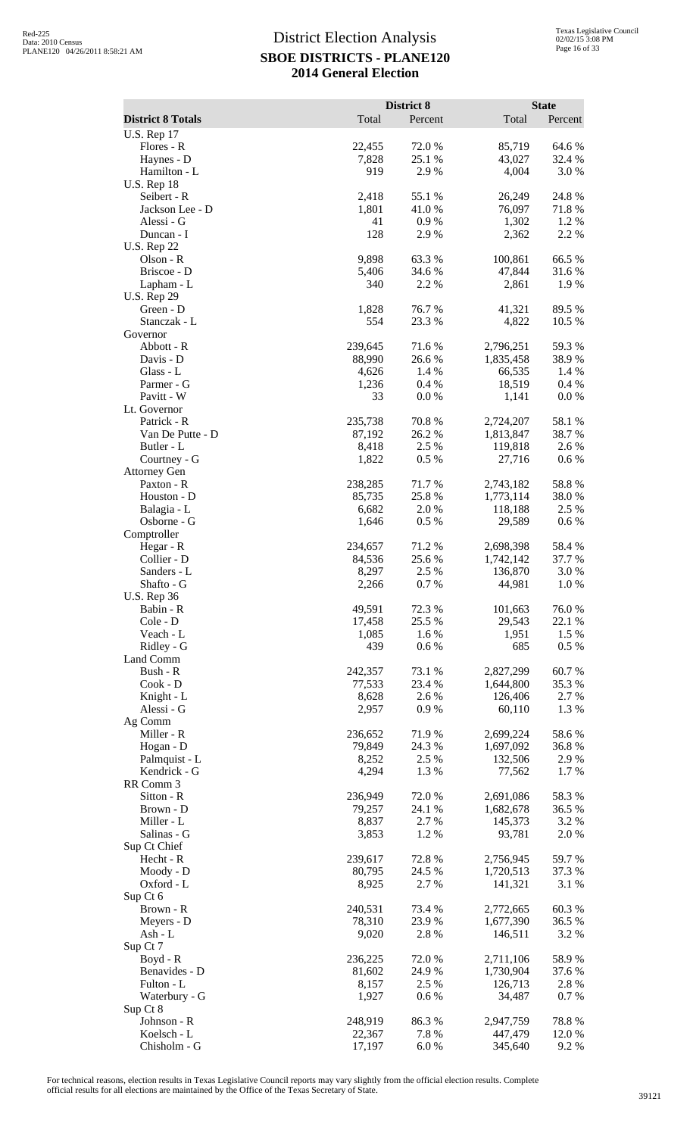|                                  |                   | District 8       |                        | <b>State</b>    |
|----------------------------------|-------------------|------------------|------------------------|-----------------|
| <b>District 8 Totals</b>         | Total             | Percent          | Total                  | Percent         |
| <b>U.S. Rep 17</b><br>Flores - R | 22,455            | 72.0%            | 85,719                 | 64.6 %          |
| Haynes - D                       | 7,828             | 25.1 %           | 43,027                 | 32.4 %          |
| Hamilton - L                     | 919               | 2.9%             | 4,004                  | 3.0%            |
| <b>U.S. Rep 18</b>               |                   |                  |                        |                 |
| Seibert - R<br>Jackson Lee - D   | 2,418<br>1,801    | 55.1 %<br>41.0%  | 26,249<br>76,097       | 24.8 %<br>71.8% |
| Alessi - G                       | 41                | 0.9%             | 1,302                  | 1.2%            |
| Duncan - I                       | 128               | 2.9%             | 2,362                  | 2.2 %           |
| <b>U.S. Rep 22</b>               |                   |                  |                        |                 |
| Olson - R                        | 9,898             | 63.3%            | 100,861                | 66.5%           |
| Briscoe - D<br>Lapham - L        | 5,406<br>340      | 34.6 %<br>2.2 %  | 47,844<br>2,861        | 31.6 %<br>1.9%  |
| <b>U.S. Rep 29</b>               |                   |                  |                        |                 |
| Green - D                        | 1,828             | 76.7%            | 41,321                 | 89.5 %          |
| Stanczak - L                     | 554               | 23.3 %           | 4,822                  | 10.5 %          |
| Governor<br>Abbott - R           | 239,645           | 71.6%            | 2,796,251              | 59.3%           |
| Davis - D                        | 88,990            | 26.6 %           | 1,835,458              | 38.9%           |
| Glass - L                        | 4,626             | 1.4 %            | 66,535                 | 1.4 %           |
| Parmer - G                       | 1,236             | 0.4%             | 18,519                 | 0.4 %           |
| Pavitt - W                       | 33                | 0.0 %            | 1,141                  | $0.0\ \%$       |
| Lt. Governor<br>Patrick - R      | 235,738           | 70.8%            | 2,724,207              | 58.1 %          |
| Van De Putte - D                 | 87,192            | 26.2 %           | 1,813,847              | 38.7%           |
| Butler - L                       | 8,418             | 2.5 %            | 119,818                | 2.6 %           |
| Courtney - G                     | 1,822             | 0.5 %            | 27,716                 | 0.6 %           |
| <b>Attorney Gen</b>              |                   |                  |                        |                 |
| Paxton - R<br>Houston - D        | 238,285<br>85,735 | 71.7%<br>25.8%   | 2,743,182<br>1,773,114 | 58.8%<br>38.0%  |
| Balagia - L                      | 6,682             | 2.0%             | 118,188                | 2.5 %           |
| Osborne - G                      | 1,646             | 0.5%             | 29,589                 | 0.6 %           |
| Comptroller                      |                   |                  |                        |                 |
| Hegar - R                        | 234,657           | 71.2%            | 2,698,398              | 58.4%           |
| Collier - D<br>Sanders - L       | 84,536<br>8,297   | 25.6 %<br>2.5 %  | 1,742,142<br>136,870   | 37.7 %<br>3.0%  |
| Shafto - G                       | 2,266             | 0.7%             | 44,981                 | 1.0%            |
| <b>U.S. Rep 36</b>               |                   |                  |                        |                 |
| Babin - R                        | 49,591            | 72.3 %           | 101,663                | 76.0%           |
| Cole - D                         | 17,458            | 25.5 %           | 29,543                 | 22.1 %          |
| Veach - L<br>Ridley - G          | 1,085<br>439      | 1.6%<br>0.6 %    | 1,951<br>685           | 1.5 %<br>0.5 %  |
| Land Comm                        |                   |                  |                        |                 |
| Bush - R                         | 242,357           | 73.1 %           | 2,827,299              | 60.7%           |
| $Cook - D$                       | 77,533            | 23.4 %           | 1,644,800              | 35.3%           |
| Knight - L<br>Alessi - G         | 8,628             | 2.6 %            | 126,406                | 2.7 %<br>1.3%   |
| Ag Comm                          | 2,957             | 0.9%             | 60,110                 |                 |
| Miller - R                       | 236,652           | 71.9%            | 2,699,224              | 58.6%           |
| Hogan - D                        | 79,849            | 24.3 %           | 1,697,092              | 36.8%           |
| Palmquist - L                    | 8,252             | 2.5 %            | 132,506                | 2.9%            |
| Kendrick - G                     | 4,294             | 1.3%             | 77,562                 | 1.7%            |
| RR Comm 3<br>Sitton - R          | 236,949           | 72.0%            | 2,691,086              | 58.3 %          |
| Brown - D                        | 79,257            | 24.1 %           | 1,682,678              | 36.5 %          |
| Miller - L                       | 8,837             | 2.7 %            | 145,373                | 3.2 %           |
| Salinas - G                      | 3,853             | 1.2%             | 93,781                 | 2.0%            |
| Sup Ct Chief                     |                   |                  |                        |                 |
| Hecht - R<br>Moody - D           | 239,617<br>80,795 | 72.8 %<br>24.5 % | 2,756,945<br>1,720,513 | 59.7%<br>37.3 % |
| Oxford - L                       | 8,925             | 2.7 %            | 141,321                | 3.1 %           |
| Sup Ct 6                         |                   |                  |                        |                 |
| Brown - R                        | 240,531           | 73.4 %           | 2,772,665              | 60.3%           |
| Meyers - D                       | 78,310            | 23.9%            | 1,677,390              | 36.5 %          |
| Ash - L<br>Sup Ct 7              | 9,020             | 2.8 %            | 146,511                | 3.2 %           |
| Boyd - R                         | 236,225           | 72.0%            | 2,711,106              | 58.9%           |
| Benavides - D                    | 81,602            | 24.9%            | 1,730,904              | 37.6 %          |
| Fulton - L                       | 8,157             | 2.5 %            | 126,713                | 2.8%            |
| Waterbury - G                    | 1,927             | 0.6 %            | 34,487                 | 0.7%            |
| Sup Ct 8<br>Johnson - R          | 248,919           | 86.3%            | 2,947,759              | 78.8 %          |
| Koelsch - L                      | 22,367            | 7.8 %            | 447,479                | 12.0 %          |
| Chisholm - G                     | 17,197            | 6.0%             | 345,640                | 9.2 %           |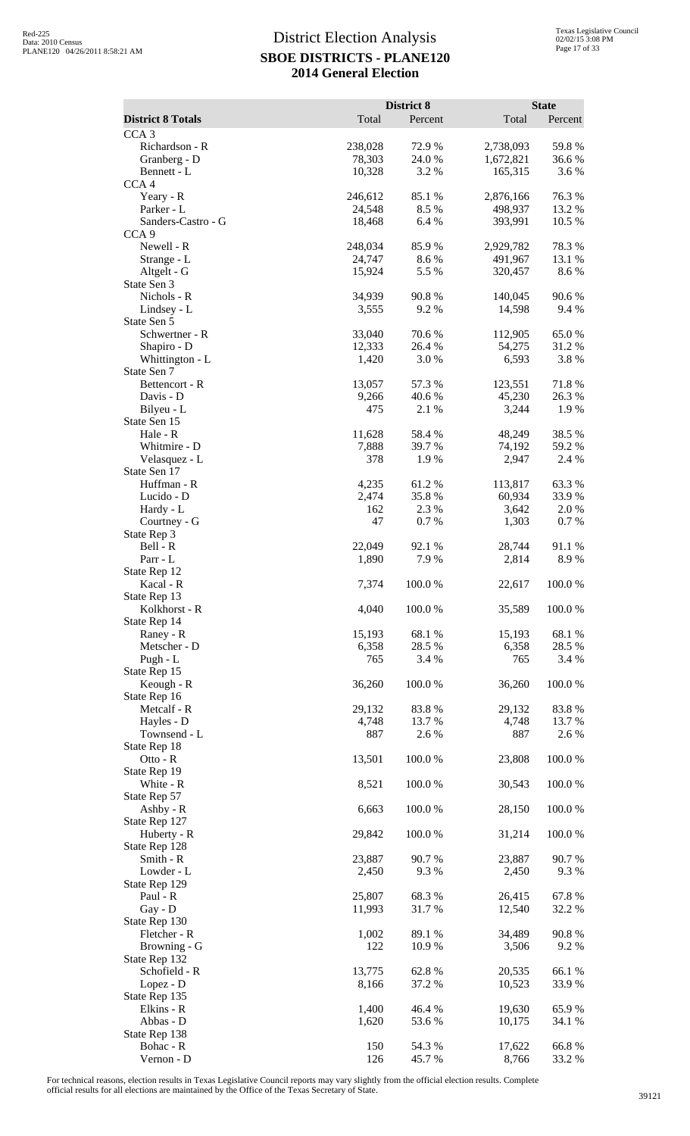|                                    |                 | District 8      |                   | <b>State</b>    |
|------------------------------------|-----------------|-----------------|-------------------|-----------------|
| <b>District 8 Totals</b>           | Total           | Percent         | Total             | Percent         |
| CCA <sub>3</sub><br>Richardson - R | 238,028         | 72.9%           | 2,738,093         | 59.8%           |
| Granberg - D                       | 78,303          | 24.0 %          | 1,672,821         | 36.6%           |
| Bennett - L                        | 10,328          | 3.2 %           | 165,315           | 3.6%            |
| CCA <sub>4</sub><br>Yeary - R      | 246,612         | 85.1 %          | 2,876,166         | 76.3%           |
| Parker - L                         | 24,548          | 8.5%            | 498,937           | 13.2 %          |
| Sanders-Castro - G                 | 18,468          | 6.4%            | 393,991           | 10.5 %          |
| CCA <sub>9</sub><br>Newell - R     | 248,034         | 85.9%           | 2,929,782         | 78.3%           |
| Strange - L                        | 24,747          | 8.6%            | 491,967           | 13.1 %          |
| Altgelt - G                        | 15,924          | 5.5 %           | 320,457           | 8.6%            |
| State Sen 3                        |                 |                 |                   |                 |
| Nichols - R<br>Lindsey - L         | 34,939<br>3,555 | 90.8%<br>9.2%   | 140,045<br>14,598 | 90.6%<br>9.4%   |
| State Sen 5                        |                 |                 |                   |                 |
| Schwertner - R                     | 33,040          | 70.6%           | 112,905           | 65.0%           |
| Shapiro - D                        | 12,333<br>1,420 | 26.4 %          | 54,275<br>6,593   | 31.2%<br>3.8%   |
| Whittington - L<br>State Sen 7     |                 | 3.0 %           |                   |                 |
| Bettencort - R                     | 13,057          | 57.3 %          | 123,551           | 71.8%           |
| Davis - D                          | 9,266           | 40.6%           | 45,230            | 26.3%           |
| Bilyeu - L<br>State Sen 15         | 475             | 2.1 %           | 3,244             | 1.9%            |
| Hale - R                           | 11,628          | 58.4%           | 48,249            | 38.5%           |
| Whitmire - D                       | 7,888           | 39.7 %          | 74,192            | 59.2 %          |
| Velasquez - L                      | 378             | 1.9%            | 2,947             | 2.4 %           |
| State Sen 17<br>Huffman - R        | 4,235           | 61.2%           | 113,817           | 63.3%           |
| Lucido - D                         | 2,474           | 35.8%           | 60,934            | 33.9%           |
| Hardy - L                          | 162             | 2.3 %           | 3,642             | 2.0%            |
| Courtney - G                       | 47              | 0.7%            | 1,303             | 0.7%            |
| State Rep 3<br>Bell - R            | 22,049          | 92.1 %          | 28,744            | 91.1%           |
| Parr - L                           | 1,890           | 7.9%            | 2,814             | 8.9%            |
| State Rep 12                       |                 |                 |                   |                 |
| Kacal - R                          | 7,374           | 100.0 %         | 22,617            | 100.0 %         |
| State Rep 13<br>Kolkhorst - R      | 4,040           | 100.0%          | 35,589            | 100.0%          |
| State Rep 14                       |                 |                 |                   |                 |
| Raney - R                          | 15,193          | 68.1 %          | 15,193            | 68.1 %          |
| Metscher - D                       | 6,358           | 28.5 %          | 6,358             | 28.5 %          |
| Pugh - L<br>State Rep 15           | 765             | 3.4 %           | 765               | 3.4 %           |
| Keough - R                         | 36,260          | 100.0%          | 36,260            | 100.0%          |
| State Rep 16                       |                 |                 |                   |                 |
| Metcalf - R<br>Hayles - D          | 29,132<br>4,748 | 83.8%<br>13.7 % | 29,132<br>4,748   | 83.8%<br>13.7 % |
| Townsend - L                       | 887             | 2.6 %           | 887               | 2.6%            |
| State Rep 18                       |                 |                 |                   |                 |
| Otto - R                           | 13,501          | 100.0%          | 23,808            | $100.0~\%$      |
| State Rep 19<br>White - R          | 8,521           | 100.0%          | 30,543            | 100.0%          |
| State Rep 57                       |                 |                 |                   |                 |
| Ashby - R                          | 6,663           | 100.0%          | 28,150            | 100.0%          |
| State Rep 127                      |                 |                 |                   |                 |
| Huberty - R<br>State Rep 128       | 29,842          | 100.0%          | 31,214            | 100.0%          |
| Smith - R                          | 23,887          | 90.7%           | 23,887            | 90.7%           |
| Lowder - L                         | 2,450           | 9.3%            | 2,450             | 9.3%            |
| State Rep 129<br>Paul - R          | 25,807          | 68.3%           | 26,415            | 67.8%           |
| Gay - D                            | 11,993          | 31.7%           | 12,540            | 32.2 %          |
| State Rep 130                      |                 |                 |                   |                 |
| Fletcher - R                       | 1,002           | 89.1 %          | 34,489            | 90.8%           |
| Browning - G<br>State Rep 132      | 122             | 10.9%           | 3,506             | 9.2 %           |
| Schofield - R                      | 13,775          | 62.8%           | 20,535            | 66.1%           |
| Lopez - D                          | 8,166           | 37.2 %          | 10,523            | 33.9%           |
| State Rep 135                      |                 |                 |                   |                 |
| Elkins - R<br>Abbas - D            | 1,400<br>1,620  | 46.4 %<br>53.6% | 19,630<br>10,175  | 65.9%<br>34.1 % |
| State Rep 138                      |                 |                 |                   |                 |
| Bohac - R                          | 150             | 54.3 %          | 17,622            | 66.8%           |
| Vernon - D                         | 126             | 45.7%           | 8,766             | 33.2 %          |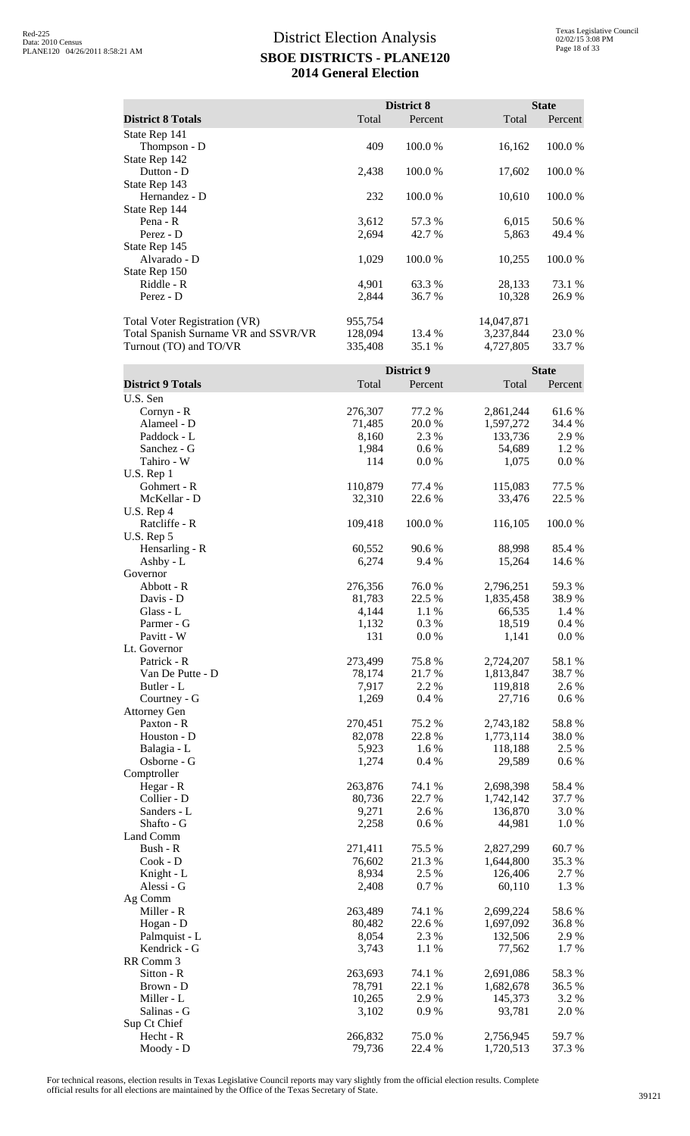|                                      |         | District 8 |            | <b>State</b> |
|--------------------------------------|---------|------------|------------|--------------|
| <b>District 8 Totals</b>             | Total   | Percent    | Total      | Percent      |
| State Rep 141                        |         |            |            |              |
| Thompson - D                         | 409     | 100.0%     | 16,162     | 100.0 %      |
| State Rep 142                        |         |            |            |              |
| Dutton - D                           | 2,438   | 100.0 %    | 17,602     | 100.0 %      |
| State Rep 143                        |         |            |            |              |
| Hernandez - D                        | 232     | 100.0%     | 10,610     | 100.0 %      |
| State Rep 144                        |         |            |            |              |
| Pena - R                             | 3,612   | 57.3 %     | 6,015      | 50.6 %       |
| Perez - D                            | 2,694   | 42.7 %     | 5,863      | 49.4 %       |
| State Rep 145                        |         |            |            |              |
| Alvarado - D                         | 1,029   | 100.0 %    | 10,255     | 100.0%       |
| State Rep 150                        |         |            |            |              |
| Riddle - R                           | 4,901   | 63.3 %     | 28,133     | 73.1 %       |
| Perez - D                            | 2,844   | 36.7 %     | 10,328     | 26.9 %       |
| <b>Total Voter Registration (VR)</b> | 955,754 |            | 14,047,871 |              |
| Total Spanish Surname VR and SSVR/VR | 128,094 | 13.4 %     | 3,237,844  | 23.0 %       |
| Turnout (TO) and TO/VR               | 335,408 | 35.1 %     | 4,727,805  | 33.7 %       |

|                            |                 | District 9      |                      | <b>State</b>    |
|----------------------------|-----------------|-----------------|----------------------|-----------------|
| <b>District 9 Totals</b>   | Total           | Percent         | Total                | Percent         |
| U.S. Sen                   |                 |                 |                      |                 |
| Cornyn - R                 | 276,307         | 77.2 %          | 2,861,244            | 61.6%           |
| Alameel - D                | 71,485          | 20.0%           | 1,597,272            | 34.4 %          |
| Paddock - L                | 8,160           | 2.3 %           | 133,736              | 2.9%            |
| Sanchez - G                | 1,984           | 0.6 %           | 54,689               | 1.2%            |
| Tahiro - W                 | 114             | 0.0 %           | 1,075                | 0.0 %           |
| U.S. Rep 1                 |                 |                 |                      |                 |
| Gohmert - R                | 110,879         | 77.4 %          | 115,083              | 77.5 %          |
| McKellar - D               | 32,310          | 22.6 %          | 33,476               | 22.5 %          |
| U.S. Rep 4                 |                 |                 |                      |                 |
| Ratcliffe - R              | 109,418         | 100.0%          | 116,105              | 100.0%          |
| U.S. Rep 5                 |                 |                 |                      |                 |
| Hensarling - R             | 60,552          | 90.6%           | 88,998               | 85.4 %          |
| Ashby - $L$                | 6,274           | 9.4 %           | 15,264               | 14.6 %          |
| Governor                   |                 |                 |                      |                 |
| Abbott - R                 | 276,356         | 76.0%           | 2,796,251            | 59.3%           |
| Davis - D                  | 81,783          | 22.5 %          | 1,835,458            | 38.9%           |
| Glass - L                  | 4,144           | 1.1 %           | 66,535               | 1.4 %           |
| Parmer - G                 | 1,132           | 0.3%            | 18,519               | 0.4 %           |
| Pavitt - W                 | 131             | 0.0 %           | 1,141                | 0.0 %           |
| Lt. Governor               |                 |                 |                      |                 |
| Patrick - R                | 273,499         | 75.8%           | 2,724,207            | 58.1 %          |
| Van De Putte - D           | 78,174          | 21.7%           | 1,813,847            | 38.7%           |
| Butler - L                 | 7,917           | 2.2 %           | 119,818              | 2.6 %           |
| Courtney - G               | 1,269           | 0.4 %           | 27,716               | 0.6 %           |
| <b>Attorney Gen</b>        |                 |                 |                      |                 |
| Paxton - R                 | 270,451         | 75.2 %          | 2,743,182            | 58.8%           |
| Houston - D                | 82,078          | 22.8%           | 1,773,114            | 38.0%           |
| Balagia - L                | 5,923           | 1.6 %           | 118,188              | 2.5 %           |
| Osborne - G                | 1,274           | 0.4 %           | 29,589               | 0.6 %           |
| Comptroller                |                 |                 |                      |                 |
| Hegar - R                  | 263,876         | 74.1 %          | 2,698,398            | 58.4 %          |
| Collier - D                | 80,736          | 22.7 %          | 1,742,142            | 37.7 %          |
| Sanders - L                | 9,271           | 2.6 %           | 136,870              | 3.0%            |
| Shafto - G                 | 2,258           | 0.6 %           | 44,981               | 1.0%            |
| Land Comm                  |                 |                 |                      |                 |
| Bush - R                   | 271,411         | 75.5 %          | 2,827,299            | 60.7%           |
| Cook - D                   | 76,602          | 21.3%           | 1,644,800            | 35.3%           |
| Knight - L                 | 8,934           | 2.5 %           | 126,406              | 2.7 %           |
| Alessi - G<br>Ag Comm      | 2,408           | 0.7%            | 60,110               | 1.3 %           |
| Miller - R                 | 263,489         |                 |                      |                 |
|                            |                 | 74.1 %          | 2,699,224            | 58.6%           |
| Hogan - D<br>Palmquist - L | 80,482<br>8,054 | 22.6 %<br>2.3 % | 1,697,092<br>132,506 | 36.8%           |
| Kendrick - G               | 3,743           | 1.1 %           | 77,562               | 2.9 %<br>1.7%   |
| RR Comm 3                  |                 |                 |                      |                 |
| Sitton - R                 | 263,693         | 74.1 %          | 2,691,086            | 58.3%           |
|                            | 78,791          |                 |                      |                 |
| Brown - D<br>Miller - L    | 10,265          | 22.1 %<br>2.9 % | 1,682,678<br>145,373 | 36.5 %<br>3.2 % |
| Salinas - G                | 3,102           | 0.9%            | 93,781               | 2.0 %           |
| Sup Ct Chief               |                 |                 |                      |                 |
| Hecht - R                  | 266,832         | 75.0%           | 2,756,945            | 59.7%           |
| Moody - D                  | 79,736          | 22.4 %          | 1,720,513            | 37.3 %          |
|                            |                 |                 |                      |                 |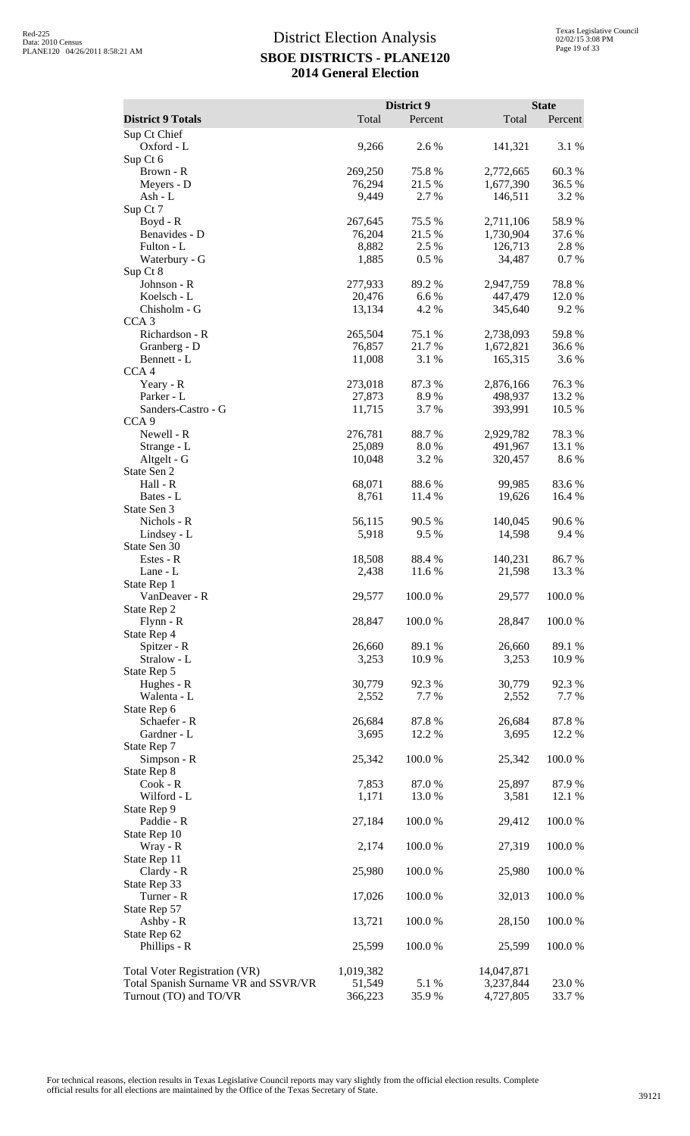|                                                                |                   | District 9      |                        | <b>State</b>    |
|----------------------------------------------------------------|-------------------|-----------------|------------------------|-----------------|
| <b>District 9 Totals</b>                                       | Total             | Percent         | Total                  | Percent         |
| Sup Ct Chief                                                   |                   |                 |                        |                 |
| Oxford - L                                                     | 9,266             | 2.6%            | 141,321                | 3.1 %           |
| Sup Ct 6                                                       |                   |                 |                        |                 |
| Brown - R                                                      | 269,250<br>76,294 | 75.8%<br>21.5 % | 2,772,665              | 60.3%           |
| Meyers - D<br>Ash - L                                          | 9,449             | 2.7%            | 1,677,390<br>146,511   | 36.5 %<br>3.2 % |
| Sup Ct 7                                                       |                   |                 |                        |                 |
| Boyd - R                                                       | 267,645           | 75.5 %          | 2,711,106              | 58.9%           |
| Benavides - D                                                  | 76,204            | 21.5 %          | 1,730,904              | 37.6 %          |
| Fulton - L                                                     | 8,882             | 2.5 %           | 126,713                | 2.8%            |
| Waterbury - G                                                  | 1,885             | 0.5 %           | 34,487                 | 0.7%            |
| Sup Ct 8                                                       |                   |                 |                        |                 |
| Johnson - R<br>Koelsch - L                                     | 277,933<br>20,476 | 89.2%<br>6.6%   | 2,947,759<br>447,479   | 78.8%<br>12.0 % |
| Chisholm - G                                                   | 13,134            | 4.2 %           | 345,640                | 9.2%            |
| CCA <sub>3</sub>                                               |                   |                 |                        |                 |
| Richardson - R                                                 | 265,504           | 75.1 %          | 2,738,093              | 59.8%           |
| Granberg - D                                                   | 76,857            | 21.7%           | 1,672,821              | 36.6%           |
| Bennett - L                                                    | 11,008            | 3.1 %           | 165,315                | 3.6 %           |
| CCA <sub>4</sub>                                               |                   |                 |                        |                 |
| Yeary - R                                                      | 273,018           | 87.3%           | 2,876,166              | 76.3%           |
| Parker - L                                                     | 27,873            | 8.9%            | 498,937                | 13.2 %          |
| Sanders-Castro - G<br>CCA <sub>9</sub>                         | 11,715            | 3.7%            | 393,991                | 10.5 %          |
| Newell - R                                                     | 276,781           | 88.7%           | 2,929,782              | 78.3%           |
| Strange - L                                                    | 25,089            | 8.0%            | 491,967                | 13.1 %          |
| Altgelt - G                                                    | 10,048            | 3.2 %           | 320,457                | 8.6%            |
| State Sen 2                                                    |                   |                 |                        |                 |
| Hall - R                                                       | 68,071            | 88.6%           | 99,985                 | 83.6%           |
| Bates - L                                                      | 8,761             | 11.4 %          | 19,626                 | 16.4 %          |
| State Sen 3                                                    |                   |                 |                        |                 |
| Nichols - R                                                    | 56,115<br>5,918   | 90.5 %<br>9.5%  | 140,045<br>14,598      | 90.6 %<br>9.4 % |
| Lindsey - L<br>State Sen 30                                    |                   |                 |                        |                 |
| Estes - R                                                      | 18,508            | 88.4%           | 140,231                | 86.7%           |
| Lane - L                                                       | 2,438             | 11.6 %          | 21,598                 | 13.3 %          |
| State Rep 1                                                    |                   |                 |                        |                 |
| VanDeaver - R                                                  | 29,577            | 100.0%          | 29,577                 | 100.0%          |
| State Rep 2                                                    |                   |                 |                        |                 |
| $Flynn - R$                                                    | 28,847            | 100.0%          | 28,847                 | 100.0%          |
| State Rep 4<br>Spitzer - R                                     | 26,660            | 89.1 %          | 26,660                 | 89.1 %          |
| Stralow - L                                                    | 3,253             | 10.9%           | 3,253                  | 10.9%           |
| State Rep 5                                                    |                   |                 |                        |                 |
| Hughes - R                                                     | 30,779            | 92.3%           | 30,779                 | 92.3%           |
| Walenta - L                                                    | 2,552             | 7.7 %           | 2,552                  | 7.7 %           |
| State Rep 6                                                    |                   |                 |                        |                 |
| Schaefer - R                                                   | 26,684            | 87.8%           | 26,684                 | 87.8%           |
| Gardner - L                                                    | 3,695             | 12.2 %          | 3,695                  | 12.2 %          |
| State Rep 7<br>Simpson - R                                     | 25,342            | 100.0%          | 25,342                 | 100.0%          |
| State Rep 8                                                    |                   |                 |                        |                 |
| Cook - R                                                       | 7,853             | 87.0 %          | 25,897                 | 87.9%           |
| Wilford - L                                                    | 1,171             | 13.0 %          | 3,581                  | 12.1 %          |
| State Rep 9                                                    |                   |                 |                        |                 |
| Paddie - R                                                     | 27,184            | 100.0%          | 29,412                 | $100.0~\%$      |
| State Rep 10                                                   |                   |                 |                        |                 |
| Wray - R                                                       | 2,174             | 100.0%          | 27,319                 | 100.0%          |
| State Rep 11                                                   |                   |                 |                        |                 |
| Clardy - R<br>State Rep 33                                     | 25,980            | 100.0%          | 25,980                 | 100.0%          |
| Turner - R                                                     | 17,026            | 100.0%          | 32,013                 | 100.0%          |
| State Rep 57                                                   |                   |                 |                        |                 |
| Ashby - R                                                      | 13,721            | 100.0%          | 28,150                 | 100.0%          |
| State Rep 62                                                   |                   |                 |                        |                 |
| Phillips - R                                                   | 25,599            | 100.0%          | 25,599                 | 100.0%          |
|                                                                |                   |                 |                        |                 |
| Total Voter Registration (VR)                                  | 1,019,382         |                 | 14,047,871             |                 |
| Total Spanish Surname VR and SSVR/VR<br>Turnout (TO) and TO/VR | 51,549<br>366,223 | 5.1 %<br>35.9%  | 3,237,844<br>4,727,805 | 23.0%<br>33.7 % |
|                                                                |                   |                 |                        |                 |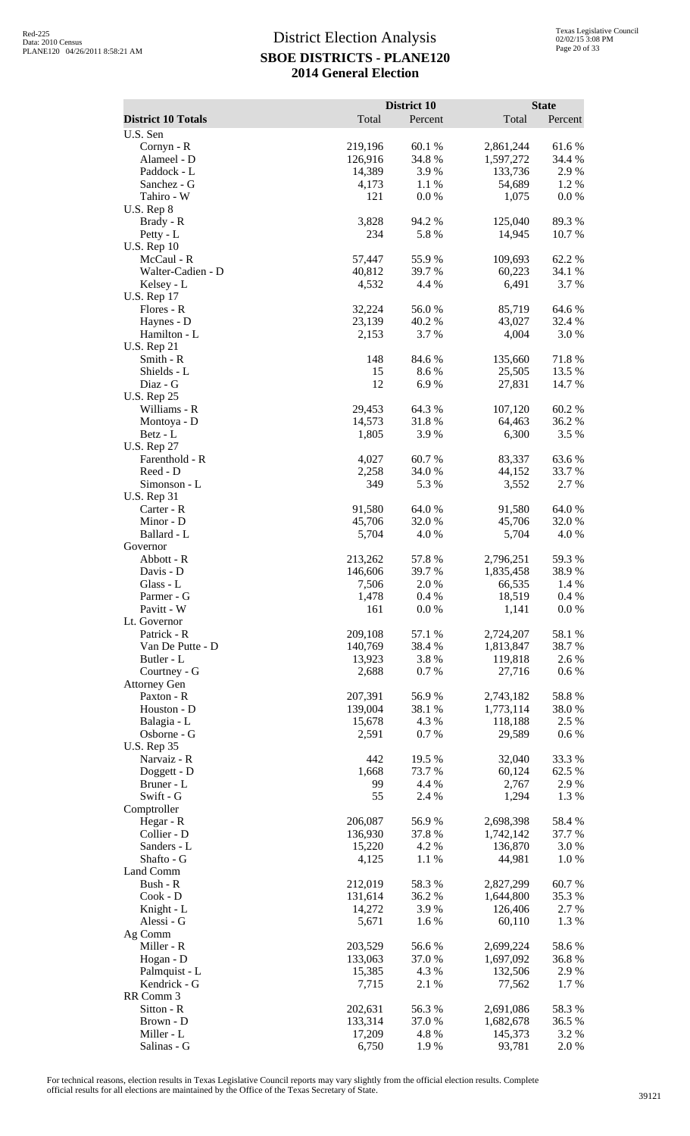|                                       | Total             | District 10<br>Percent | Total                | <b>State</b><br>Percent |
|---------------------------------------|-------------------|------------------------|----------------------|-------------------------|
| <b>District 10 Totals</b><br>U.S. Sen |                   |                        |                      |                         |
| Cornyn - R                            | 219,196           | 60.1%                  | 2,861,244            | 61.6%                   |
| Alameel - D                           | 126,916           | 34.8%                  | 1,597,272            | 34.4 %                  |
| Paddock - L                           | 14,389            | 3.9%                   | 133,736              | 2.9%                    |
| Sanchez - G                           | 4,173             | 1.1 %                  | 54,689               | 1.2 %                   |
| Tahiro - W                            | 121               | 0.0 %                  | 1,075                | 0.0 %                   |
| $U.S.$ Rep $8$<br>Brady - R           | 3,828             | 94.2 %                 | 125,040              | 89.3%                   |
| Petty - L                             | 234               | 5.8%                   | 14,945               | 10.7 %                  |
| <b>U.S. Rep 10</b>                    |                   |                        |                      |                         |
| McCaul - R                            | 57,447            | 55.9%                  | 109,693              | 62.2%                   |
| Walter-Cadien - D                     | 40,812            | 39.7 %                 | 60,223               | 34.1 %                  |
| Kelsey - L                            | 4,532             | 4.4 %                  | 6,491                | 3.7 %                   |
| <b>U.S. Rep 17</b><br>Flores - R      | 32,224            | 56.0%                  | 85,719               | 64.6 %                  |
| Haynes - D                            | 23,139            | 40.2%                  | 43,027               | 32.4 %                  |
| Hamilton - L                          | 2,153             | 3.7%                   | 4,004                | 3.0%                    |
| <b>U.S. Rep 21</b>                    |                   |                        |                      |                         |
| Smith - R                             | 148               | 84.6%                  | 135,660              | 71.8%                   |
| Shields - L                           | 15                | 8.6%                   | 25,505               | 13.5 %                  |
| Diaz - G<br><b>U.S. Rep 25</b>        | 12                | 6.9%                   | 27,831               | 14.7 %                  |
| Williams - R                          | 29,453            | 64.3 %                 | 107,120              | 60.2%                   |
| Montoya - D                           | 14,573            | 31.8%                  | 64,463               | 36.2%                   |
| Betz - L                              | 1,805             | 3.9%                   | 6,300                | 3.5 %                   |
| <b>U.S. Rep 27</b>                    |                   |                        |                      |                         |
| Farenthold - R                        | 4,027             | 60.7%                  | 83,337               | 63.6%                   |
| Reed - D                              | 2,258             | 34.0%                  | 44,152               | 33.7%                   |
| Simonson - L<br><b>U.S. Rep 31</b>    | 349               | 5.3 %                  | 3,552                | 2.7 %                   |
| Carter - R                            | 91,580            | 64.0%                  | 91,580               | 64.0%                   |
| Minor - D                             | 45,706            | 32.0 %                 | 45,706               | 32.0 %                  |
| Ballard - L                           | 5,704             | 4.0 %                  | 5,704                | 4.0 %                   |
| Governor                              |                   |                        |                      |                         |
| Abbott - R                            | 213,262           | 57.8 %                 | 2,796,251            | 59.3%                   |
| Davis - D<br>Glass - L                | 146,606           | 39.7%<br>2.0%          | 1,835,458            | 38.9%<br>1.4 %          |
| Parmer - G                            | 7,506<br>1,478    | 0.4 %                  | 66,535<br>18,519     | 0.4 %                   |
| Pavitt - W                            | 161               | 0.0 %                  | 1,141                | 0.0 %                   |
| Lt. Governor                          |                   |                        |                      |                         |
| Patrick - R                           | 209,108           | 57.1 %                 | 2,724,207            | 58.1 %                  |
| Van De Putte - D                      | 140,769           | 38.4%                  | 1,813,847            | 38.7 %                  |
| Butler - L<br>Courtney - G            | 13,923<br>2,688   | 3.8%<br>0.7%           | 119,818<br>27,716    | 2.6 %<br>0.6 %          |
| <b>Attorney Gen</b>                   |                   |                        |                      |                         |
| Paxton - R                            | 207,391           | 56.9%                  | 2,743,182            | 58.8%                   |
| Houston - D                           | 139,004           | 38.1 %                 | 1,773,114            | 38.0%                   |
| Balagia - L                           | 15,678            | 4.3 %                  | 118,188              | 2.5 %                   |
| Osborne - G                           | 2,591             | 0.7%                   | 29,589               | $0.6\%$                 |
| <b>U.S. Rep 35</b><br>Narvaiz - R     | 442               | 19.5 %                 | 32,040               | 33.3 %                  |
| Doggett - D                           | 1,668             | 73.7 %                 | 60,124               | 62.5 %                  |
| Bruner - L                            | 99                | 4.4 %                  | 2,767                | 2.9 %                   |
| Swift - G                             | 55                | 2.4 %                  | 1,294                | 1.3 %                   |
| Comptroller                           |                   |                        |                      |                         |
| Hegar - R                             | 206,087           | 56.9%                  | 2,698,398            | 58.4%                   |
| Collier - D                           | 136,930           | 37.8%                  | 1,742,142            | 37.7 %                  |
| Sanders - L<br>Shafto - G             | 15,220<br>4,125   | 4.2 %<br>1.1 %         | 136,870<br>44,981    | 3.0 %<br>1.0%           |
| Land Comm                             |                   |                        |                      |                         |
| Bush - R                              | 212,019           | 58.3%                  | 2,827,299            | 60.7%                   |
| Cook - D                              | 131,614           | 36.2%                  | 1,644,800            | 35.3 %                  |
| Knight - L                            | 14,272            | 3.9%                   | 126,406              | 2.7 %                   |
| Alessi - G                            | 5,671             | 1.6%                   | 60,110               | 1.3 %                   |
| Ag Comm<br>Miller - R                 | 203,529           | 56.6%                  | 2,699,224            | 58.6%                   |
| Hogan - D                             | 133,063           | 37.0%                  | 1,697,092            | 36.8%                   |
| Palmquist - L                         | 15,385            | 4.3 %                  | 132,506              | 2.9 %                   |
| Kendrick - G                          | 7,715             | 2.1 %                  | 77,562               | 1.7%                    |
| RR Comm 3                             |                   |                        |                      |                         |
| Sitton - R                            | 202,631           | 56.3%                  | 2,691,086            | 58.3%                   |
| Brown - D<br>Miller - L               | 133,314<br>17,209 | 37.0%<br>4.8%          | 1,682,678<br>145,373 | 36.5 %<br>3.2 %         |
| Salinas - G                           | 6,750             | 1.9%                   | 93,781               | 2.0%                    |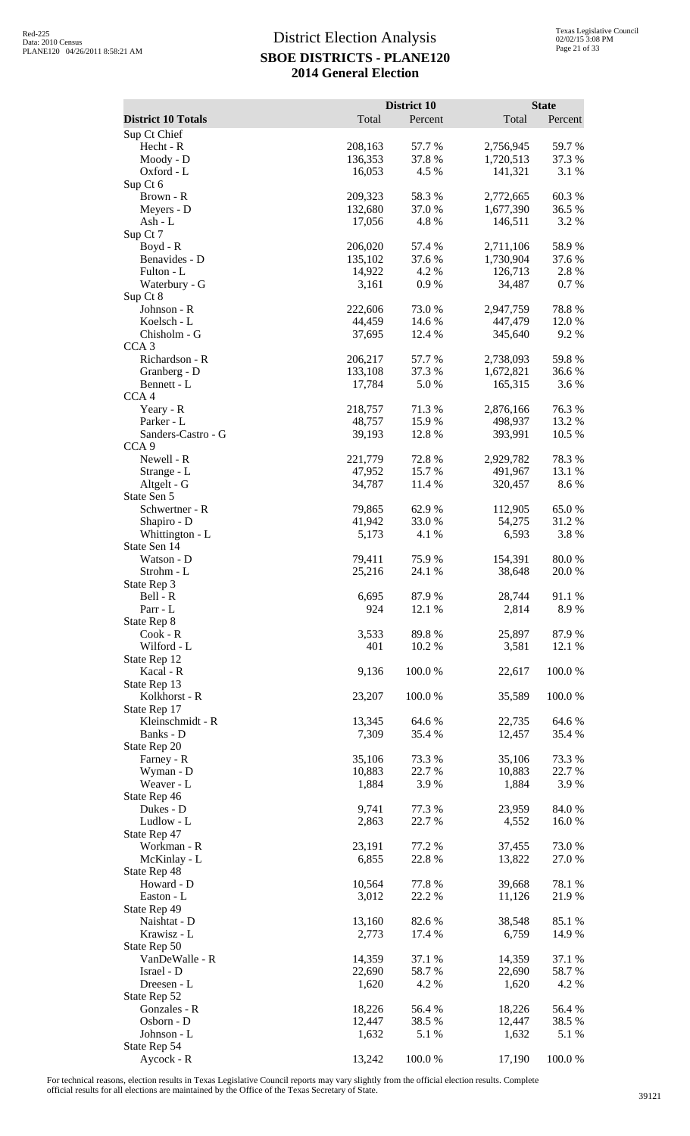|                                 |                    | District 10      |                        | <b>State</b>     |
|---------------------------------|--------------------|------------------|------------------------|------------------|
| <b>District 10 Totals</b>       | Total              | Percent          | Total                  | Percent          |
| Sup Ct Chief<br>Hecht - R       | 208,163            | 57.7 %           | 2,756,945              | 59.7%            |
| Moody - D                       | 136,353            | 37.8 %           | 1,720,513              | 37.3 %           |
| Oxford - L                      | 16,053             | 4.5 %            | 141,321                | 3.1 %            |
| Sup Ct 6                        |                    |                  |                        |                  |
| Brown - R<br>Meyers - D         | 209,323<br>132,680 | 58.3%<br>37.0 %  | 2,772,665<br>1,677,390 | 60.3%<br>36.5 %  |
| Ash - L                         | 17,056             | 4.8%             | 146,511                | 3.2 %            |
| Sup Ct 7                        |                    |                  |                        |                  |
| Boyd - R                        | 206,020            | 57.4 %           | 2,711,106              | 58.9%            |
| Benavides - D<br>Fulton - L     | 135,102<br>14,922  | 37.6 %<br>4.2 %  | 1,730,904<br>126,713   | 37.6 %<br>2.8 %  |
| Waterbury - G                   | 3,161              | 0.9%             | 34,487                 | 0.7%             |
| Sup Ct 8                        |                    |                  |                        |                  |
| Johnson - R                     | 222,606            | 73.0 %           | 2,947,759              | 78.8%            |
| Koelsch - L<br>Chisholm - G     | 44,459<br>37,695   | 14.6 %<br>12.4 % | 447,479<br>345,640     | 12.0 %<br>9.2 %  |
| CCA <sub>3</sub>                |                    |                  |                        |                  |
| Richardson - R                  | 206,217            | 57.7 %           | 2,738,093              | 59.8%            |
| Granberg - D                    | 133,108            | 37.3 %           | 1,672,821              | 36.6 %           |
| Bennett - L<br>CCA <sub>4</sub> | 17,784             | 5.0%             | 165,315                | 3.6 %            |
| Yeary - R                       | 218,757            | 71.3%            | 2,876,166              | 76.3%            |
| Parker - L                      | 48,757             | 15.9%            | 498,937                | 13.2 %           |
| Sanders-Castro - G              | 39,193             | 12.8 %           | 393,991                | 10.5 %           |
| CCA <sub>9</sub><br>Newell - R  | 221,779            | 72.8 %           | 2,929,782              | 78.3%            |
| Strange - L                     | 47,952             | 15.7%            | 491,967                | 13.1 %           |
| Altgelt - G                     | 34,787             | 11.4 %           | 320,457                | 8.6 %            |
| State Sen 5                     |                    |                  |                        |                  |
| Schwertner - R<br>Shapiro - D   | 79,865<br>41,942   | 62.9%<br>33.0 %  | 112,905<br>54,275      | 65.0%<br>31.2%   |
| Whittington - L                 | 5,173              | 4.1 %            | 6,593                  | 3.8%             |
| State Sen 14                    |                    |                  |                        |                  |
| Watson - D                      | 79,411             | 75.9%            | 154,391                | 80.0%            |
| Strohm - L                      | 25,216             | 24.1 %           | 38,648                 | $20.0~\%$        |
| State Rep 3<br>Bell - R         | 6,695              | 87.9%            | 28,744                 | 91.1%            |
| Parr - L                        | 924                | 12.1 %           | 2,814                  | 8.9%             |
| State Rep 8                     |                    |                  |                        |                  |
| $Cook - R$<br>Wilford - L       | 3,533<br>401       | 89.8%            | 25,897<br>3,581        | 87.9%<br>12.1 %  |
| State Rep 12                    |                    | 10.2 %           |                        |                  |
| Kacal - R                       | 9,136              | 100.0%           | 22,617                 | 100.0%           |
| State Rep 13                    |                    |                  |                        |                  |
| Kolkhorst - R<br>State Rep 17   | 23,207             | 100.0%           | 35,589                 | 100.0%           |
| Kleinschmidt - R                | 13,345             | 64.6 %           | 22,735                 | 64.6 %           |
| Banks - D                       | 7,309              | 35.4 %           | 12,457                 | 35.4 %           |
| State Rep 20                    |                    |                  |                        |                  |
| Farney - R<br>Wyman - D         | 35,106<br>10,883   | 73.3 %<br>22.7 % | 35,106<br>10,883       | 73.3 %<br>22.7 % |
| Weaver - L                      | 1,884              | 3.9 %            | 1,884                  | 3.9%             |
| State Rep 46                    |                    |                  |                        |                  |
| Dukes - D                       | 9,741              | 77.3 %           | 23,959                 | 84.0%            |
| Ludlow - L<br>State Rep 47      | 2,863              | 22.7 %           | 4,552                  | 16.0%            |
| Workman - R                     | 23,191             | 77.2 %           | 37,455                 | 73.0%            |
| McKinlay - L                    | 6,855              | 22.8%            | 13,822                 | 27.0 %           |
| State Rep 48                    |                    |                  |                        |                  |
| Howard - D<br>Easton - L        | 10,564<br>3,012    | 77.8%<br>22.2 %  | 39,668<br>11,126       | 78.1 %<br>21.9%  |
| State Rep 49                    |                    |                  |                        |                  |
| Naishtat - D                    | 13,160             | 82.6 %           | 38,548                 | 85.1 %           |
| Krawisz - L                     | 2,773              | 17.4 %           | 6,759                  | 14.9 %           |
| State Rep 50<br>VanDeWalle - R  | 14,359             | 37.1 %           | 14,359                 | 37.1 %           |
| Israel - D                      | 22,690             | 58.7%            | 22,690                 | 58.7%            |
| Dreesen - L                     | 1,620              | 4.2 %            | 1,620                  | 4.2 %            |
| State Rep 52                    |                    |                  |                        |                  |
| Gonzales - R<br>Osborn - D      | 18,226<br>12,447   | 56.4 %<br>38.5 % | 18,226<br>12,447       | 56.4 %<br>38.5 % |
| Johnson - L                     | 1,632              | 5.1 %            | 1,632                  | 5.1 %            |
| State Rep 54                    |                    |                  |                        |                  |
| Aycock - R                      | 13,242             | 100.0%           | 17,190                 | 100.0%           |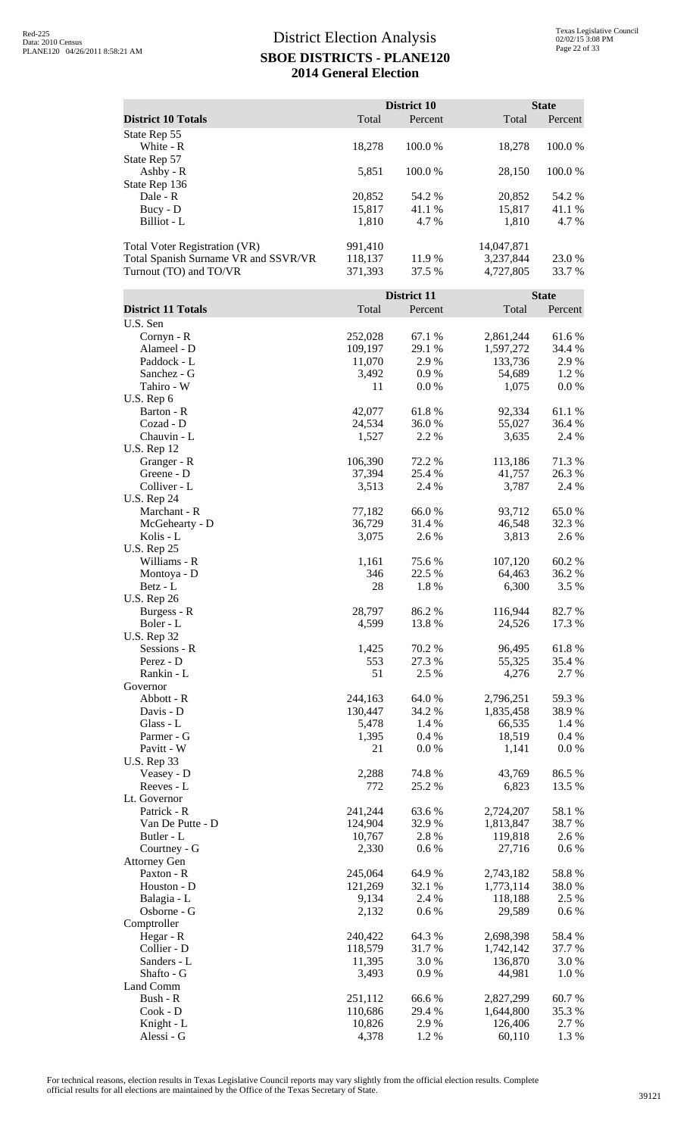|                                                                |                    | District 10            |                        | <b>State</b>            |
|----------------------------------------------------------------|--------------------|------------------------|------------------------|-------------------------|
| <b>District 10 Totals</b>                                      | Total              | Percent                | Total                  | Percent                 |
| State Rep 55<br>White - R                                      | 18,278             | 100.0%                 | 18,278                 | 100.0%                  |
| State Rep 57                                                   |                    |                        |                        | 100.0%                  |
| Ashby - R<br>State Rep 136                                     | 5,851              | 100.0%                 | 28,150                 |                         |
| Dale - R                                                       | 20,852             | 54.2 %                 | 20,852                 | 54.2 %                  |
| Bucy - D<br>Billiot - L                                        | 15,817<br>1,810    | 41.1%<br>4.7%          | 15,817<br>1,810        | 41.1 %<br>4.7%          |
| Total Voter Registration (VR)                                  | 991,410            |                        | 14,047,871             |                         |
| Total Spanish Surname VR and SSVR/VR<br>Turnout (TO) and TO/VR | 118,137<br>371,393 | 11.9%<br>37.5 %        | 3,237,844<br>4,727,805 | 23.0%<br>33.7 %         |
|                                                                |                    |                        |                        |                         |
| <b>District 11 Totals</b>                                      | Total              | District 11<br>Percent | Total                  | <b>State</b><br>Percent |
| U.S. Sen                                                       |                    |                        |                        |                         |
| Cornyn - R                                                     | 252,028            | 67.1 %                 | 2,861,244              | 61.6%                   |
| Alameel - D                                                    | 109,197            | 29.1 %                 | 1,597,272              | 34.4 %                  |
| Paddock - L                                                    | 11,070             | 2.9%                   | 133,736                | 2.9%                    |
| Sanchez - G                                                    | 3,492              | 0.9%                   | 54,689                 | 1.2%                    |
| Tahiro - W<br>U.S. Rep 6                                       | 11                 | 0.0 %                  | 1,075                  | $0.0\ \%$               |
| Barton - R                                                     | 42,077             | 61.8%                  | 92,334                 | 61.1%                   |
| Cozad - D                                                      | 24,534             | 36.0%                  | 55,027                 | 36.4 %                  |
| Chauvin - L                                                    | 1,527              | 2.2 %                  | 3,635                  | 2.4 %                   |
| <b>U.S. Rep 12</b>                                             |                    |                        |                        |                         |
| Granger - R<br>Greene - D                                      | 106,390<br>37,394  | 72.2 %<br>25.4 %       | 113,186<br>41,757      | 71.3%<br>26.3%          |
| Colliver - L                                                   | 3,513              | 2.4 %                  | 3,787                  | 2.4 %                   |
| <b>U.S. Rep 24</b>                                             |                    |                        |                        |                         |
| Marchant - R                                                   | 77,182             | 66.0%                  | 93,712                 | 65.0%                   |
| McGehearty - D                                                 | 36,729             | 31.4 %                 | 46,548                 | 32.3 %                  |
| Kolis - L                                                      | 3,075              | 2.6 %                  | 3,813                  | 2.6 %                   |
| <b>U.S. Rep 25</b><br>Williams - R                             | 1,161              | 75.6%                  | 107,120                | 60.2%                   |
| Montoya - D                                                    | 346                | 22.5 %                 | 64,463                 | 36.2%                   |
| Betz - L                                                       | 28                 | 1.8%                   | 6,300                  | 3.5 %                   |
| <b>U.S. Rep 26</b>                                             |                    |                        |                        |                         |
| Burgess - R                                                    | 28,797             | 86.2%                  | 116,944                | 82.7%                   |
| Boler - L<br><b>U.S. Rep 32</b>                                | 4,599              | 13.8%                  | 24,526                 | 17.3 %                  |
| Sessions - R                                                   | 1,425              | 70.2 %                 | 96,495                 | 61.8%                   |
| Perez - D                                                      | 553                | 27.3 %                 | 55,325                 | 35.4 %                  |
| Rankin - L                                                     | 51                 | 2.5 %                  | 4,276                  | 2.7 %                   |
| Governor                                                       |                    |                        |                        |                         |
| Abbott - R<br>Davis - D                                        | 244,163<br>130,447 | 64.0%<br>34.2 %        | 2,796,251<br>1,835,458 | 59.3%<br>38.9%          |
| Glass - L                                                      | 5,478              | 1.4 %                  | 66,535                 | 1.4 %                   |
| Parmer - G                                                     | 1,395              | 0.4 %                  | 18,519                 | 0.4 %                   |
| Pavitt - W                                                     | 21                 | 0.0 %                  | 1,141                  | $0.0\ \%$               |
| <b>U.S. Rep 33</b>                                             |                    |                        |                        |                         |
| Veasey - D                                                     | 2,288              | 74.8%                  | 43,769                 | 86.5 %                  |
| Reeves - L<br>Lt. Governor                                     | 772                | 25.2 %                 | 6,823                  | 13.5 %                  |
| Patrick - R                                                    | 241,244            | 63.6%                  | 2,724,207              | 58.1 %                  |
| Van De Putte - D                                               | 124,904            | 32.9%                  | 1,813,847              | 38.7%                   |
| Butler - L                                                     | 10,767             | 2.8%                   | 119,818                | 2.6 %                   |
| Courtney - G                                                   | 2,330              | 0.6 %                  | 27,716                 | 0.6 %                   |
| <b>Attorney Gen</b><br>Paxton - R                              | 245,064            | 64.9%                  | 2,743,182              | 58.8%                   |
| Houston - D                                                    | 121,269            | 32.1 %                 | 1,773,114              | 38.0%                   |
| Balagia - L                                                    | 9,134              | 2.4 %                  | 118,188                | 2.5 %                   |
| Osborne - G                                                    | 2,132              | 0.6 %                  | 29,589                 | $0.6\,\%$               |
| Comptroller                                                    |                    |                        |                        |                         |
| Hegar - R                                                      | 240,422            | 64.3%                  | 2,698,398              | 58.4%                   |
| Collier - D<br>Sanders - L                                     | 118,579<br>11,395  | 31.7%<br>3.0%          | 1,742,142<br>136,870   | 37.7 %<br>3.0%          |
| Shafto - G                                                     | 3,493              | 0.9%                   | 44,981                 | 1.0%                    |
| Land Comm                                                      |                    |                        |                        |                         |
| Bush - R                                                       | 251,112            | 66.6%                  | 2,827,299              | 60.7%                   |
| Cook - D                                                       | 110,686            | 29.4 %                 | 1,644,800              | 35.3 %                  |
| Knight - L<br>Alessi - G                                       | 10,826<br>4,378    | 2.9%<br>1.2%           | 126,406<br>60,110      | 2.7 %<br>1.3 %          |
|                                                                |                    |                        |                        |                         |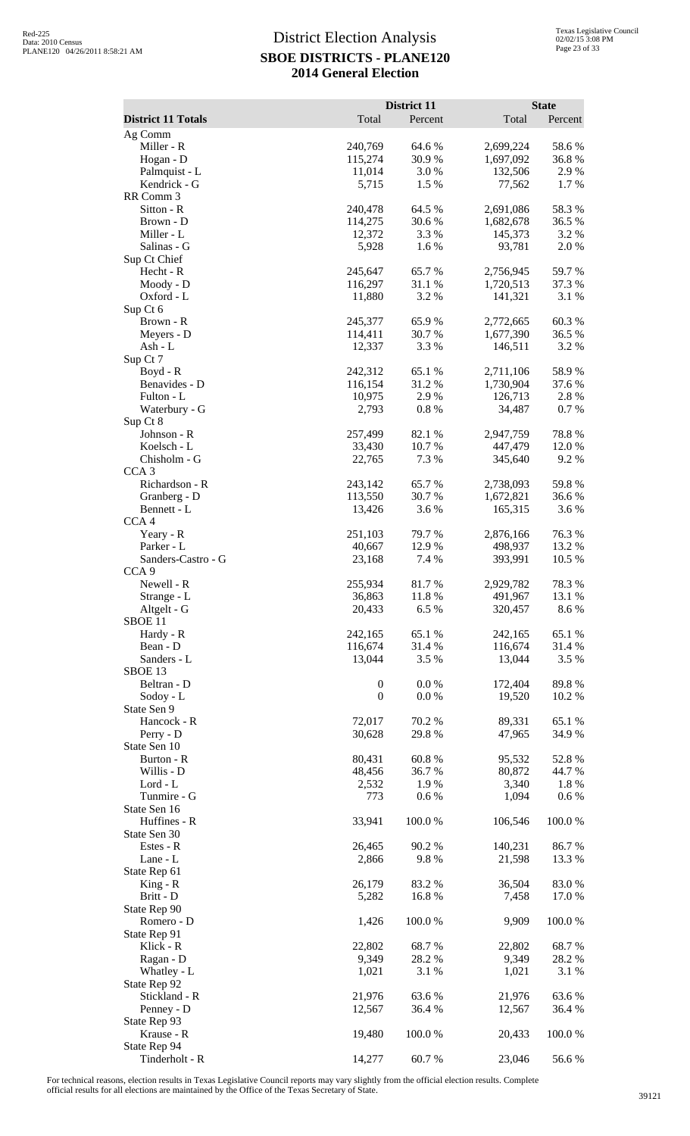| <b>District 11 Totals</b>          | Total              | District 11<br>Percent | Total                  | <b>State</b><br>Percent |
|------------------------------------|--------------------|------------------------|------------------------|-------------------------|
| Ag Comm                            |                    |                        |                        |                         |
| Miller - R                         | 240,769            | 64.6 %                 | 2,699,224              | 58.6%                   |
| Hogan - D                          | 115,274            | 30.9%                  | 1,697,092              | 36.8%                   |
| Palmquist - L                      | 11,014             | 3.0%                   | 132,506                | 2.9%                    |
| Kendrick - G<br>RR Comm 3          | 5,715              | 1.5 %                  | 77,562                 | 1.7 %                   |
| Sitton - R                         | 240,478            | 64.5 %                 | 2,691,086              | 58.3%                   |
| Brown - D                          | 114,275            | 30.6%                  | 1,682,678              | 36.5 %                  |
| Miller - L                         | 12,372             | 3.3 %                  | 145,373                | 3.2 %                   |
| Salinas - G<br>Sup Ct Chief        | 5,928              | 1.6%                   | 93,781                 | 2.0%                    |
| Hecht - R                          | 245,647            | 65.7%                  | 2,756,945              | 59.7%                   |
| Moody - D                          | 116,297            | 31.1 %                 | 1,720,513              | 37.3 %                  |
| Oxford - L                         | 11,880             | 3.2 %                  | 141,321                | 3.1 %                   |
| Sup Ct 6                           |                    |                        |                        |                         |
| Brown - R<br>Meyers - D            | 245,377<br>114,411 | 65.9%<br>30.7 %        | 2,772,665<br>1,677,390 | 60.3%<br>36.5 %         |
| Ash - L                            | 12,337             | 3.3 %                  | 146,511                | 3.2 %                   |
| Sup Ct 7                           |                    |                        |                        |                         |
| Boyd - R                           | 242,312            | 65.1 %                 | 2,711,106              | 58.9%                   |
| Benavides - D                      | 116,154            | 31.2%                  | 1,730,904              | 37.6 %                  |
| Fulton - L<br>Waterbury - G        | 10,975<br>2,793    | 2.9%<br>0.8%           | 126,713<br>34,487      | 2.8%<br>0.7%            |
| Sup Ct 8                           |                    |                        |                        |                         |
| Johnson - R                        | 257,499            | 82.1 %                 | 2,947,759              | 78.8%                   |
| Koelsch - L                        | 33,430             | 10.7%                  | 447,479                | 12.0 %                  |
| Chisholm - G                       | 22,765             | 7.3 %                  | 345,640                | 9.2%                    |
| CCA <sub>3</sub><br>Richardson - R | 243,142            | 65.7%                  | 2,738,093              | 59.8%                   |
| Granberg - D                       | 113,550            | 30.7%                  | 1,672,821              | 36.6%                   |
| Bennett - L                        | 13,426             | 3.6%                   | 165,315                | 3.6%                    |
| CCA4                               |                    |                        |                        |                         |
| Yeary - R<br>Parker - L            | 251,103<br>40,667  | 79.7%<br>12.9%         | 2,876,166<br>498,937   | 76.3%<br>13.2 %         |
| Sanders-Castro - G                 | 23,168             | 7.4 %                  | 393,991                | 10.5 %                  |
| CCA <sub>9</sub>                   |                    |                        |                        |                         |
| Newell - R                         | 255,934            | 81.7%                  | 2,929,782              | 78.3%                   |
| Strange - L                        | 36,863             | 11.8%                  | 491,967                | 13.1 %                  |
| Altgelt - G<br>SBOE <sub>11</sub>  | 20,433             | 6.5%                   | 320,457                | 8.6 %                   |
| Hardy - R                          | 242,165            | 65.1 %                 | 242,165                | 65.1 %                  |
| Bean - D                           | 116,674            | 31.4 %                 | 116,674                | 31.4 %                  |
| Sanders - L                        | 13,044             | 3.5 %                  | 13,044                 | 3.5 %                   |
| SBOE 13<br>Beltran - D             | $\boldsymbol{0}$   | 0.0 %                  | 172,404                | 89.8%                   |
| Sodoy - L                          | $\overline{0}$     | 0.0 %                  | 19,520                 | 10.2 %                  |
| State Sen 9                        |                    |                        |                        |                         |
| Hancock - R                        | 72,017             | 70.2 %                 | 89,331                 | 65.1 %                  |
| Perry - D                          | 30,628             | 29.8 %                 | 47,965                 | 34.9%                   |
| State Sen 10<br>Burton - R         | 80,431             | 60.8%                  | 95,532                 | 52.8%                   |
| Willis - D                         | 48,456             | 36.7 %                 | 80,872                 | 44.7 %                  |
| Lord - L                           | 2,532              | 1.9 %                  | 3,340                  | 1.8%                    |
| Tunmire - G                        | 773                | 0.6 %                  | 1,094                  | 0.6 %                   |
| State Sen 16<br>Huffines - R       | 33,941             |                        | 106,546                | 100.0%                  |
| State Sen 30                       |                    | 100.0%                 |                        |                         |
| Estes - R                          | 26,465             | 90.2 %                 | 140,231                | 86.7%                   |
| Lane - L                           | 2,866              | 9.8%                   | 21,598                 | 13.3 %                  |
| State Rep 61                       |                    |                        |                        |                         |
| $King - R$<br>Britt - D            | 26,179             | 83.2 %                 | 36,504                 | 83.0%<br>17.0%          |
| State Rep 90                       | 5,282              | 16.8%                  | 7,458                  |                         |
| Romero - D                         | 1,426              | 100.0%                 | 9,909                  | 100.0%                  |
| State Rep 91                       |                    |                        |                        |                         |
| Klick - R                          | 22,802             | 68.7%                  | 22,802                 | 68.7%                   |
| Ragan - D<br>Whatley - L           | 9,349<br>1,021     | 28.2 %<br>3.1 %        | 9,349<br>1,021         | 28.2 %<br>3.1 %         |
| State Rep 92                       |                    |                        |                        |                         |
| Stickland - R                      | 21,976             | 63.6%                  | 21,976                 | 63.6%                   |
| Penney - D                         | 12,567             | 36.4 %                 | 12,567                 | 36.4 %                  |
| State Rep 93                       |                    |                        |                        |                         |
| Krause - R<br>State Rep 94         | 19,480             | 100.0%                 | 20,433                 | 100.0%                  |
| Tinderholt - R                     | 14,277             | 60.7%                  | 23,046                 | 56.6%                   |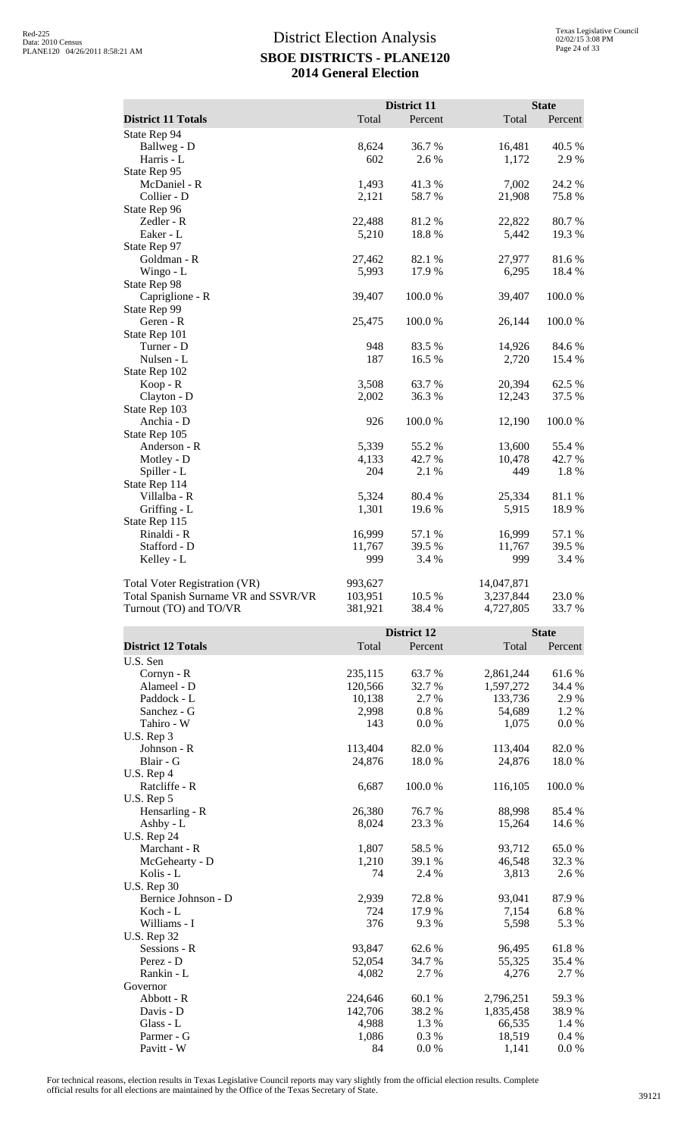|                                      |                    | <b>District 11</b> |                        | <b>State</b>     |
|--------------------------------------|--------------------|--------------------|------------------------|------------------|
| <b>District 11 Totals</b>            | Total              | Percent            | Total                  | Percent          |
| State Rep 94<br>Ballweg - D          | 8,624              | 36.7 %             | 16,481                 | 40.5 %           |
| Harris - L                           | 602                | 2.6 %              | 1,172                  | 2.9%             |
| State Rep 95                         |                    |                    |                        |                  |
| McDaniel - R                         | 1,493              | 41.3 %             | 7,002                  | 24.2 %           |
| Collier - D                          | 2,121              | 58.7%              | 21,908                 | 75.8%            |
| State Rep 96<br>Zedler - R           | 22,488             | 81.2%              | 22,822                 | 80.7%            |
| Eaker - L                            | 5,210              | 18.8%              | 5,442                  | 19.3 %           |
| State Rep 97                         |                    |                    |                        |                  |
| Goldman - R                          | 27,462             | 82.1 %             | 27,977                 | 81.6%            |
| Wingo - L                            | 5,993              | 17.9%              | 6,295                  | 18.4 %           |
| State Rep 98                         |                    |                    |                        |                  |
| Capriglione - R<br>State Rep 99      | 39,407             | 100.0%             | 39,407                 | 100.0%           |
| Geren - R                            | 25,475             | 100.0%             | 26,144                 | 100.0%           |
| State Rep 101                        |                    |                    |                        |                  |
| Turner - D                           | 948                | 83.5 %             | 14,926                 | 84.6%            |
| Nulsen - L                           | 187                | 16.5 %             | 2,720                  | 15.4 %           |
| State Rep 102<br>Koop - R            | 3,508              | 63.7%              | 20,394                 | 62.5 %           |
| Clayton - D                          | 2,002              | 36.3%              | 12,243                 | 37.5 %           |
| State Rep 103                        |                    |                    |                        |                  |
| Anchia - D                           | 926                | 100.0%             | 12,190                 | 100.0%           |
| State Rep 105                        |                    |                    |                        |                  |
| Anderson - R<br>Motley - D           | 5,339<br>4,133     | 55.2 %<br>42.7 %   | 13,600<br>10,478       | 55.4 %<br>42.7 % |
| Spiller - L                          | 204                | 2.1 %              | 449                    | 1.8%             |
| State Rep 114                        |                    |                    |                        |                  |
| Villalba - R                         | 5,324              | 80.4 %             | 25,334                 | 81.1%            |
| Griffing - L                         | 1,301              | 19.6%              | 5,915                  | 18.9%            |
| State Rep 115<br>Rinaldi - R         | 16,999             | 57.1 %             | 16,999                 | 57.1 %           |
| Stafford - D                         | 11,767             | 39.5 %             | 11,767                 | 39.5 %           |
| Kelley - L                           | 999                | 3.4 %              | 999                    | 3.4 %            |
|                                      |                    |                    |                        |                  |
|                                      |                    |                    |                        |                  |
| Total Voter Registration (VR)        | 993,627            |                    | 14,047,871             |                  |
| Total Spanish Surname VR and SSVR/VR | 103,951            | 10.5 %             | 3,237,844              | 23.0%            |
| Turnout (TO) and TO/VR               | 381,921            | 38.4%              | 4,727,805              | 33.7 %           |
|                                      |                    | District 12        |                        | <b>State</b>     |
| <b>District 12 Totals</b>            | Total              | Percent            | Total                  | Percent          |
| U.S. Sen                             |                    |                    |                        |                  |
| Cornyn - R                           | 235,115            | 63.7%              | 2,861,244              | 61.6%            |
| Alameel - D                          | 120,566            | 32.7 %             | 1,597,272              | 34.4 %           |
| Paddock - L                          | 10,138             | 2.7 %              | 133,736                | 2.9%             |
| Sanchez - G                          | 2,998<br>143       | 0.8%               | 54,689                 | 1.2%             |
| Tahiro - W<br>U.S. Rep 3             |                    | 0.0 %              | 1,075                  | 0.0 %            |
| Johnson - R                          | 113,404            | 82.0%              | 113,404                | 82.0%            |
| Blair - G                            | 24,876             | 18.0%              | 24,876                 | 18.0%            |
| U.S. Rep 4                           |                    |                    |                        |                  |
| Ratcliffe - R                        | 6,687              | 100.0%             | 116,105                | 100.0%           |
| U.S. Rep 5<br>Hensarling - R         | 26,380             | 76.7%              | 88,998                 | 85.4 %           |
| Ashby - L                            | 8,024              | 23.3 %             | 15,264                 | 14.6 %           |
| <b>U.S. Rep 24</b>                   |                    |                    |                        |                  |
| Marchant - R                         | 1,807              | 58.5 %             | 93,712                 | 65.0%            |
| McGehearty - D<br>Kolis - L          | 1,210<br>74        | 39.1 %             | 46,548                 | 32.3 %<br>2.6 %  |
| <b>U.S. Rep 30</b>                   |                    | 2.4 %              | 3,813                  |                  |
| Bernice Johnson - D                  | 2,939              | 72.8%              | 93,041                 | 87.9%            |
| Koch - L                             | 724                | 17.9%              | 7,154                  | 6.8%             |
| Williams - I                         | 376                | 9.3%               | 5,598                  | 5.3 %            |
| <b>U.S. Rep 32</b>                   |                    |                    |                        |                  |
| Sessions - R<br>Perez - D            | 93,847<br>52,054   | 62.6 %<br>34.7 %   | 96,495<br>55,325       | 61.8%<br>35.4 %  |
| Rankin - L                           | 4,082              | 2.7 %              | 4,276                  | 2.7 %            |
| Governor                             |                    |                    |                        |                  |
| Abbott - R<br>Davis - D              | 224,646<br>142,706 | 60.1 %<br>38.2%    | 2,796,251<br>1,835,458 | 59.3 %<br>38.9%  |

For technical reasons, election results in Texas Legislative Council reports may vary slightly from the official election results. Complete official results for all elections are maintained by the Office of the Texas Secretary of State. <sup>39121</sup>

Glass - L  $4,988$   $1.3\%$   $66,535$   $1.4\%$ Parmer - G<br>
Parmer - G<br>
Parmer - G<br>
Parmer - G<br>
Parmer - G<br>  $1,086$ <br>  $9.3\%$ <br>  $9.3\%$ <br>  $1.3\%$ <br>  $1,086$ <br>  $1,03\%$ <br>  $1,8,519$ <br>  $0.4\%$ <br>  $1,141$ <br>  $0.0\%$ Pavitt - W  $84 \t 0.0 \%$  1,141 0.0 %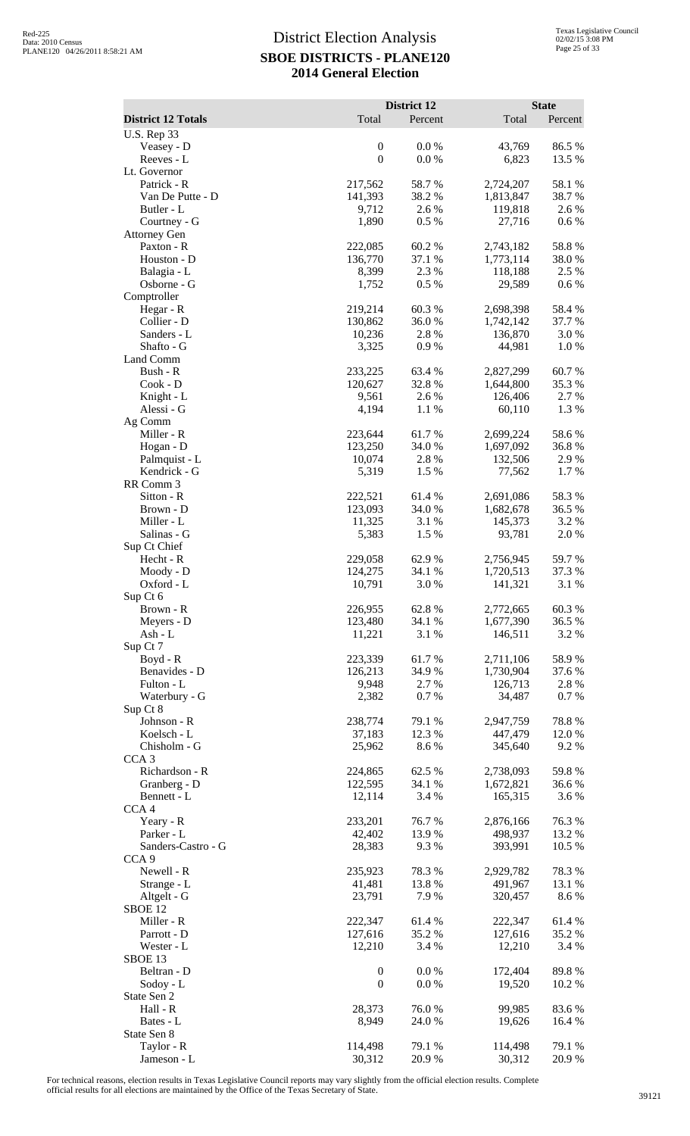|                                        |                    | District 12      |                        | <b>State</b>    |
|----------------------------------------|--------------------|------------------|------------------------|-----------------|
| <b>District 12 Totals</b>              | Total              | Percent          | Total                  | Percent         |
| <b>U.S. Rep 33</b><br>Veasey - D       | $\boldsymbol{0}$   | 0.0 %            | 43,769                 | 86.5%           |
| Reeves - L                             | $\boldsymbol{0}$   | 0.0 %            | 6,823                  | 13.5 %          |
| Lt. Governor                           |                    |                  |                        |                 |
| Patrick - R                            | 217,562            | 58.7%            | 2,724,207              | 58.1 %          |
| Van De Putte - D<br>Butler - L         | 141,393<br>9,712   | 38.2 %<br>2.6 %  | 1,813,847<br>119,818   | 38.7%<br>2.6%   |
| Courtney - G                           | 1,890              | 0.5 %            | 27,716                 | 0.6 %           |
| <b>Attorney Gen</b>                    |                    |                  |                        |                 |
| Paxton - R                             | 222,085            | 60.2%            | 2,743,182              | 58.8%           |
| Houston - D<br>Balagia - L             | 136,770<br>8,399   | 37.1 %<br>2.3 %  | 1,773,114<br>118,188   | 38.0%<br>2.5 %  |
| Osborne - G                            | 1,752              | 0.5 %            | 29,589                 | 0.6 %           |
| Comptroller                            |                    |                  |                        |                 |
| Hegar - R                              | 219,214            | 60.3%            | 2,698,398              | 58.4%           |
| Collier - D<br>Sanders - L             | 130,862<br>10,236  | 36.0%<br>2.8%    | 1,742,142<br>136,870   | 37.7 %<br>3.0%  |
| Shafto - G                             | 3,325              | 0.9%             | 44,981                 | 1.0%            |
| Land Comm                              |                    |                  |                        |                 |
| Bush - R                               | 233,225            | 63.4 %           | 2,827,299              | 60.7%           |
| $Cook - D$                             | 120,627<br>9,561   | 32.8%<br>2.6 %   | 1,644,800<br>126,406   | 35.3%<br>2.7%   |
| Knight - L<br>Alessi - G               | 4,194              | 1.1 %            | 60,110                 | 1.3%            |
| Ag Comm                                |                    |                  |                        |                 |
| Miller - R                             | 223,644            | 61.7%            | 2,699,224              | 58.6%           |
| Hogan - D                              | 123,250            | 34.0%            | 1,697,092              | 36.8%           |
| Palmquist - L<br>Kendrick - G          | 10,074<br>5,319    | 2.8%<br>1.5 %    | 132,506<br>77,562      | 2.9%<br>1.7%    |
| RR Comm 3                              |                    |                  |                        |                 |
| Sitton - R                             | 222,521            | 61.4%            | 2,691,086              | 58.3%           |
| Brown - D                              | 123,093            | 34.0%            | 1,682,678              | 36.5 %          |
| Miller - L<br>Salinas - G              | 11,325<br>5,383    | 3.1 %<br>1.5 %   | 145,373<br>93,781      | 3.2 %<br>2.0%   |
| Sup Ct Chief                           |                    |                  |                        |                 |
| Hecht - R                              | 229,058            | 62.9%            | 2,756,945              | 59.7%           |
| Moody - D                              | 124,275            | 34.1 %           | 1,720,513              | 37.3 %          |
| Oxford - L                             | 10,791             | 3.0%             | 141,321                | 3.1 %           |
| Sup Ct 6<br>Brown - R                  | 226,955            | 62.8%            | 2,772,665              | 60.3%           |
| Meyers - D                             | 123,480            | 34.1 %           | 1,677,390              | 36.5 %          |
| Ash - L                                | 11,221             | 3.1 %            | 146,511                | 3.2 %           |
| Sup Ct 7                               |                    |                  |                        |                 |
| Boyd - R<br>Benavides - D              | 223,339<br>126,213 | 61.7%<br>34.9%   | 2,711,106<br>1,730,904 | 58.9%<br>37.6%  |
| Fulton - L                             | 9,948              | 2.7 %            | 126,713                | 2.8%            |
| Waterbury - G                          | 2,382              | 0.7%             | 34,487                 | 0.7%            |
| Sup Ct 8                               |                    |                  |                        |                 |
| Johnson - R<br>Koelsch - L             | 238,774<br>37,183  | 79.1 %<br>12.3 % | 2,947,759<br>447,479   | 78.8%<br>12.0%  |
| Chisholm - G                           | 25,962             | 8.6%             | 345,640                | 9.2%            |
| CCA <sub>3</sub>                       |                    |                  |                        |                 |
| Richardson - R                         | 224,865            | 62.5 %           | 2,738,093              | 59.8%           |
| Granberg - D<br>Bennett - L            | 122,595<br>12,114  | 34.1 %<br>3.4 %  | 1,672,821<br>165,315   | 36.6 %<br>3.6%  |
| CCA <sub>4</sub>                       |                    |                  |                        |                 |
| Yeary - R                              | 233,201            | 76.7%            | 2,876,166              | 76.3%           |
| Parker - L                             | 42,402             | 13.9%            | 498,937                | 13.2 %          |
| Sanders-Castro - G<br>CCA <sub>9</sub> | 28,383             | 9.3%             | 393,991                | 10.5 %          |
| Newell - R                             | 235,923            | 78.3%            | 2,929,782              | 78.3%           |
| Strange - L                            | 41,481             | 13.8%            | 491,967                | 13.1 %          |
| Altgelt - G                            | 23,791             | 7.9%             | 320,457                | 8.6%            |
| SBOE <sub>12</sub><br>Miller - R       | 222,347            | 61.4%            | 222,347                | 61.4%           |
| Parrott - D                            | 127,616            | 35.2 %           | 127,616                | 35.2 %          |
| Wester - L                             | 12,210             | 3.4 %            | 12,210                 | 3.4 %           |
| SBOE <sub>13</sub>                     |                    |                  |                        |                 |
| Beltran - D                            | $\boldsymbol{0}$   | 0.0 %            | 172,404                | 89.8%           |
| Sodoy - L<br>State Sen 2               | $\boldsymbol{0}$   | 0.0 %            | 19,520                 | 10.2 %          |
| Hall - R                               | 28,373             | 76.0%            | 99,985                 | 83.6%           |
| Bates - L                              | 8,949              | 24.0%            | 19,626                 | 16.4 %          |
| State Sen 8                            |                    |                  |                        |                 |
| Taylor - R<br>Jameson - L              | 114,498<br>30,312  | 79.1 %<br>20.9%  | 114,498<br>30,312      | 79.1 %<br>20.9% |
|                                        |                    |                  |                        |                 |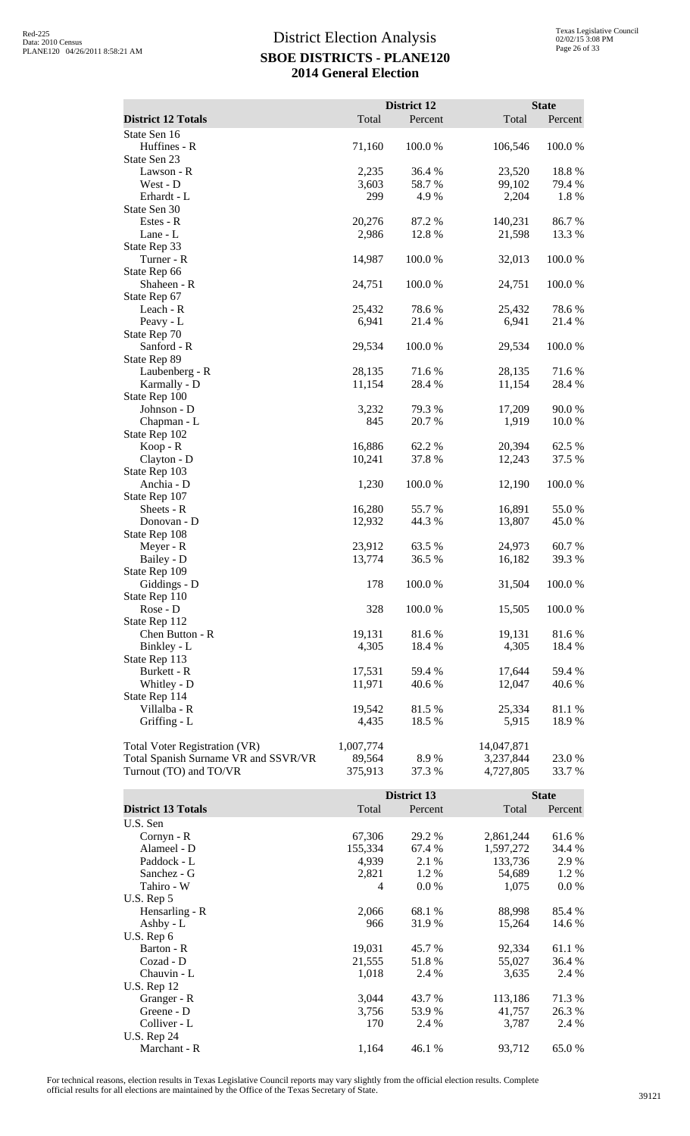|                                                                       |                     | <b>District 12</b> |                         | <b>State</b>     |
|-----------------------------------------------------------------------|---------------------|--------------------|-------------------------|------------------|
| <b>District 12 Totals</b>                                             | Total               | Percent            | Total                   | Percent          |
| State Sen 16<br>Huffines - R<br>State Sen 23                          | 71,160              | 100.0%             | 106,546                 | 100.0%           |
| Lawson - R                                                            | 2,235               | 36.4 %             | 23,520                  | 18.8%            |
| West - D                                                              | 3,603               | 58.7%              | 99,102                  | 79.4 %           |
| Erhardt - L                                                           | 299                 | 4.9%               | 2,204                   | 1.8%             |
| State Sen 30                                                          |                     |                    |                         |                  |
| Estes - R                                                             | 20,276              | 87.2 %             | 140,231                 | 86.7 %           |
| Lane - L                                                              | 2,986               | 12.8 %             | 21,598                  | 13.3 %           |
| State Rep 33                                                          |                     |                    |                         |                  |
| Turner - R                                                            | 14,987              | 100.0%             | 32,013                  | 100.0%           |
| State Rep 66                                                          |                     |                    |                         |                  |
| Shaheen - R                                                           | 24,751              | 100.0%             | 24,751                  | 100.0%           |
| State Rep 67<br>Leach - R                                             |                     |                    |                         |                  |
| Peavy - L                                                             | 25,432<br>6,941     | 78.6%<br>21.4 %    | 25,432<br>6,941         | 78.6%<br>21.4 %  |
| State Rep 70                                                          |                     |                    |                         |                  |
| Sanford - R                                                           | 29,534              | 100.0%             | 29,534                  | 100.0%           |
| State Rep 89                                                          |                     |                    |                         |                  |
| Laubenberg - R                                                        | 28,135              | 71.6%              | 28,135                  | 71.6%            |
| Karmally - D                                                          | 11,154              | 28.4 %             | 11,154                  | 28.4 %           |
| State Rep 100                                                         |                     |                    |                         |                  |
| Johnson - D                                                           | 3,232               | 79.3%              | 17,209                  | 90.0%            |
| Chapman - L                                                           | 845                 | 20.7 %             | 1,919                   | 10.0 %           |
| State Rep 102                                                         |                     |                    |                         |                  |
| Koop - R                                                              | 16,886              | 62.2%              | 20,394                  | 62.5 %           |
| Clayton - D                                                           | 10,241              | 37.8%              | 12,243                  | 37.5 %           |
| State Rep 103<br>Anchia - D                                           | 1,230               | 100.0%             | 12,190                  | 100.0%           |
| State Rep 107                                                         |                     |                    |                         |                  |
| Sheets - R                                                            | 16,280              | 55.7%              | 16,891                  | 55.0%            |
| Donovan - D                                                           | 12,932              | 44.3 %             | 13,807                  | 45.0 %           |
| State Rep 108                                                         |                     |                    |                         |                  |
| Meyer - R                                                             | 23,912              | 63.5 %             | 24,973                  | 60.7%            |
| Bailey - D                                                            | 13,774              | 36.5 %             | 16,182                  | 39.3%            |
| State Rep 109                                                         |                     |                    |                         |                  |
| Giddings - D                                                          | 178                 | 100.0%             | 31,504                  | 100.0%           |
| State Rep 110                                                         |                     |                    |                         |                  |
| Rose - D<br>State Rep 112                                             | 328                 | 100.0%             | 15,505                  | 100.0%           |
| Chen Button - R                                                       | 19,131              | 81.6%              | 19,131                  | 81.6%            |
| Binkley - L                                                           | 4,305               | 18.4 %             | 4,305                   | 18.4 %           |
| State Rep 113                                                         |                     |                    |                         |                  |
| Burkett - R                                                           | 17,531              | 59.4 %             | 17,644                  | 59.4 %           |
| Whitley - D                                                           | 11,971              | 40.6 %             | 12,047                  | 40.6 %           |
| State Rep 114                                                         |                     |                    |                         |                  |
| Villalba - R                                                          | 19,542              | 81.5%              | 25,334                  | 81.1 %           |
| Griffing - L                                                          | 4,435               | 18.5 %             | 5,915                   | 18.9%            |
|                                                                       |                     |                    |                         |                  |
| Total Voter Registration (VR)<br>Total Spanish Surname VR and SSVR/VR | 1,007,774<br>89,564 | 8.9%               | 14,047,871<br>3,237,844 | 23.0 %           |
| Turnout (TO) and TO/VR                                                | 375,913             | 37.3 %             | 4,727,805               | 33.7%            |
|                                                                       |                     |                    |                         |                  |
|                                                                       |                     | District 13        |                         | <b>State</b>     |
| <b>District 13 Totals</b>                                             | Total               | Percent            | Total                   | Percent          |
| U.S. Sen                                                              |                     |                    |                         |                  |
| Cornyn - R                                                            | 67,306              | 29.2 %             | 2,861,244               | 61.6%            |
| Alameel - D                                                           | 155,334             | 67.4 %             | 1,597,272               | 34.4 %           |
| Paddock - L                                                           | 4,939               | 2.1 %              | 133,736                 | 2.9%             |
| Sanchez - G                                                           | 2,821               | 1.2%               | 54,689                  | 1.2%             |
| Tahiro - W                                                            | 4                   | 0.0 %              | 1,075                   | $0.0\ \%$        |
| U.S. Rep 5                                                            |                     |                    |                         |                  |
| Hensarling - R                                                        | 2,066<br>966        | 68.1 %<br>31.9%    | 88,998                  | 85.4 %<br>14.6 % |
| Ashby - L<br>U.S. Rep 6                                               |                     |                    | 15,264                  |                  |
| Barton - R                                                            | 19,031              | 45.7 %             | 92,334                  | 61.1%            |
| Cozad - D                                                             | 21,555              | 51.8%              | 55,027                  | 36.4 %           |
| Chauvin - L                                                           | 1,018               | 2.4 %              | 3,635                   | 2.4 %            |

Granger - R<br>Greene - D<br>3,756 53.9 % 113,186 71.3 %<br>3,756 53.9 % 41,757 26.3 % Greene - D<br>
Gliver - L<br>
3,756 53.9 % 41,757 26.3 %<br>
3,787 2.4 % 3,787 2.4 % Colliver - L 2.4 % 170 2.4 % 3,787 2.4 %

Marchant - R 1,164 46.1 % 93,712 65.0 %

U.S. Rep 12

U.S. Rep 24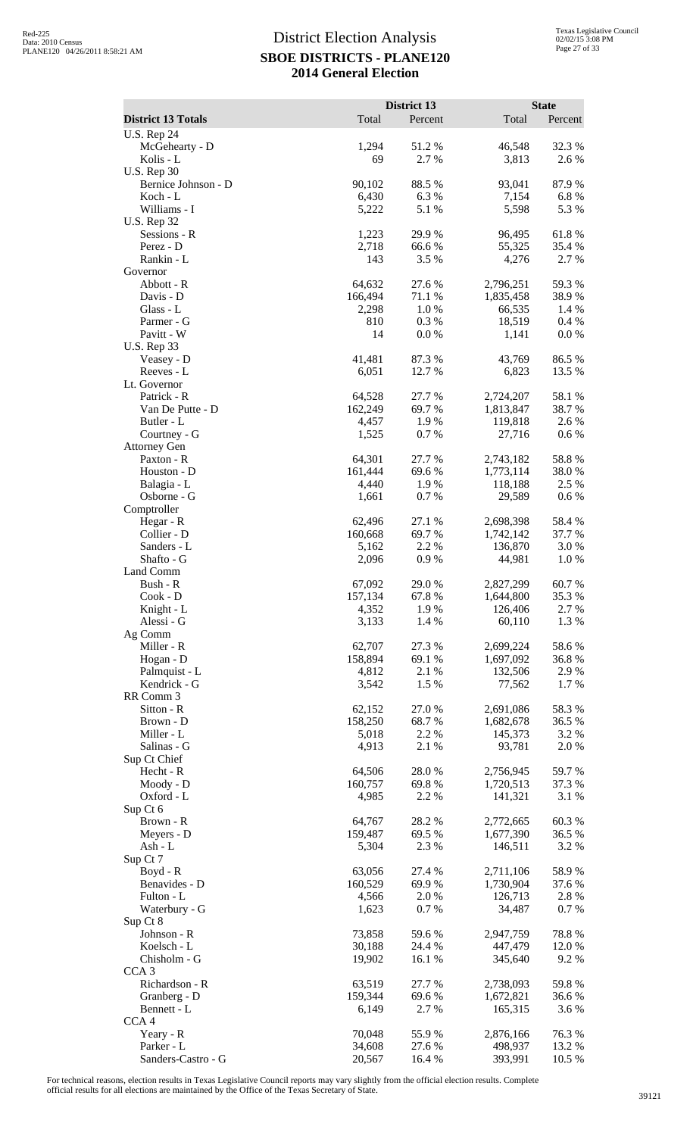|                                    |                   | District 13      |                        | <b>State</b>    |
|------------------------------------|-------------------|------------------|------------------------|-----------------|
| <b>District 13 Totals</b>          | Total             | Percent          | Total                  | Percent         |
| <b>U.S. Rep 24</b>                 |                   |                  |                        |                 |
| McGehearty - D<br>Kolis - L        | 1,294<br>69       | 51.2%<br>2.7 %   | 46,548<br>3,813        | 32.3 %<br>2.6 % |
| <b>U.S. Rep 30</b>                 |                   |                  |                        |                 |
| Bernice Johnson - D                | 90,102            | 88.5 %           | 93,041                 | 87.9%           |
| Koch - L                           | 6,430             | 6.3 %            | 7,154                  | 6.8%            |
| Williams - I<br><b>U.S. Rep 32</b> | 5,222             | 5.1 %            | 5,598                  | 5.3 %           |
| Sessions - R                       | 1,223             | 29.9%            | 96,495                 | 61.8%           |
| Perez - D                          | 2,718             | 66.6%            | 55,325                 | 35.4 %          |
| Rankin - L                         | 143               | 3.5 %            | 4,276                  | 2.7 %           |
| Governor                           |                   |                  |                        |                 |
| Abbott - R<br>Davis - D            | 64,632<br>166,494 | 27.6 %<br>71.1 % | 2,796,251<br>1,835,458 | 59.3%<br>38.9%  |
| Glass - L                          | 2,298             | 1.0%             | 66,535                 | 1.4 %           |
| Parmer - G                         | 810               | 0.3%             | 18,519                 | 0.4 %           |
| Pavitt - W                         | 14                | 0.0 %            | 1,141                  | 0.0 %           |
| <b>U.S. Rep 33</b><br>Veasey - D   | 41,481            | 87.3%            | 43,769                 | 86.5%           |
| Reeves - L                         | 6,051             | 12.7 %           | 6,823                  | 13.5 %          |
| Lt. Governor                       |                   |                  |                        |                 |
| Patrick - R                        | 64,528            | 27.7 %           | 2,724,207              | 58.1 %          |
| Van De Putte - D                   | 162,249           | 69.7%            | 1,813,847              | 38.7%           |
| Butler - L<br>Courtney - G         | 4,457<br>1,525    | 1.9%<br>0.7%     | 119,818<br>27,716      | 2.6 %<br>0.6 %  |
| <b>Attorney Gen</b>                |                   |                  |                        |                 |
| Paxton - R                         | 64,301            | 27.7 %           | 2,743,182              | 58.8 %          |
| Houston - D                        | 161,444           | 69.6 %           | 1,773,114              | 38.0%           |
| Balagia - L<br>Osborne - G         | 4,440<br>1,661    | 1.9 %<br>0.7%    | 118,188<br>29,589      | 2.5 %<br>0.6 %  |
| Comptroller                        |                   |                  |                        |                 |
| Hegar - R                          | 62,496            | 27.1 %           | 2,698,398              | 58.4%           |
| Collier - D                        | 160,668           | 69.7%            | 1,742,142              | 37.7 %          |
| Sanders - L                        | 5,162             | 2.2 %            | 136,870                | 3.0%            |
| Shafto - G<br>Land Comm            | 2,096             | 0.9%             | 44,981                 | 1.0%            |
| Bush - R                           | 67,092            | 29.0%            | 2,827,299              | 60.7%           |
| Cook - D                           | 157,134           | 67.8 %           | 1,644,800              | 35.3 %          |
| Knight - L                         | 4,352             | 1.9%             | 126,406                | 2.7 %           |
| Alessi - G<br>Ag Comm              | 3,133             | 1.4 %            | 60,110                 | 1.3%            |
| Miller - R                         | 62,707            | 27.3 %           | 2,699,224              | 58.6%           |
| Hogan - D                          | 158,894           | 69.1 %           | 1,697,092              | 36.8%           |
| Palmquist - L                      | 4,812             | 2.1 %            | 132,506                | 2.9%            |
| Kendrick - G                       | 3,542             | 1.5 %            | 77,562                 | 1.7 %           |
| RR Comm 3<br>Sitton - R            | 62,152            | 27.0 %           | 2,691,086              | 58.3 %          |
| Brown - D                          | 158,250           | 68.7%            | 1,682,678              | 36.5 %          |
| Miller - L                         | 5,018             | 2.2 %            | 145,373                | 3.2 %           |
| Salinas - G                        | 4,913             | 2.1 %            | 93,781                 | 2.0 %           |
| Sup Ct Chief<br>Hecht - R          | 64,506            | 28.0%            | 2,756,945              | 59.7%           |
| Moody - D                          | 160,757           | 69.8%            | 1,720,513              | 37.3 %          |
| Oxford - L                         | 4,985             | 2.2 %            | 141,321                | 3.1 %           |
| Sup Ct 6                           |                   |                  |                        |                 |
| Brown - R<br>Meyers - D            | 64,767<br>159,487 | 28.2%<br>69.5 %  | 2,772,665<br>1,677,390 | 60.3%<br>36.5 % |
| Ash - L                            | 5,304             | 2.3 %            | 146,511                | 3.2 %           |
| Sup Ct 7                           |                   |                  |                        |                 |
| Boyd - R                           | 63,056            | 27.4 %           | 2,711,106              | 58.9 %          |
| Benavides - D                      | 160,529           | 69.9%            | 1,730,904              | 37.6 %          |
| Fulton - L<br>Waterbury - G        | 4,566<br>1,623    | 2.0%<br>0.7 %    | 126,713<br>34,487      | 2.8%<br>0.7%    |
| Sup Ct 8                           |                   |                  |                        |                 |
| Johnson - R                        | 73,858            | 59.6%            | 2,947,759              | 78.8%           |
| Koelsch - L                        | 30,188            | 24.4 %           | 447,479                | 12.0 %          |
| Chisholm - G                       | 19,902            | 16.1 %           | 345,640                | 9.2%            |
| CCA <sub>3</sub><br>Richardson - R | 63,519            | 27.7 %           | 2,738,093              | 59.8%           |
| Granberg - D                       | 159,344           | 69.6%            | 1,672,821              | 36.6 %          |
| Bennett - L                        | 6,149             | 2.7 %            | 165,315                | 3.6%            |
| CCA <sub>4</sub>                   |                   |                  |                        |                 |
| Yeary - R<br>Parker - L            | 70,048<br>34,608  | 55.9%<br>27.6 %  | 2,876,166<br>498,937   | 76.3%<br>13.2 % |
| Sanders-Castro - G                 | 20,567            | 16.4 %           | 393,991                | 10.5 %          |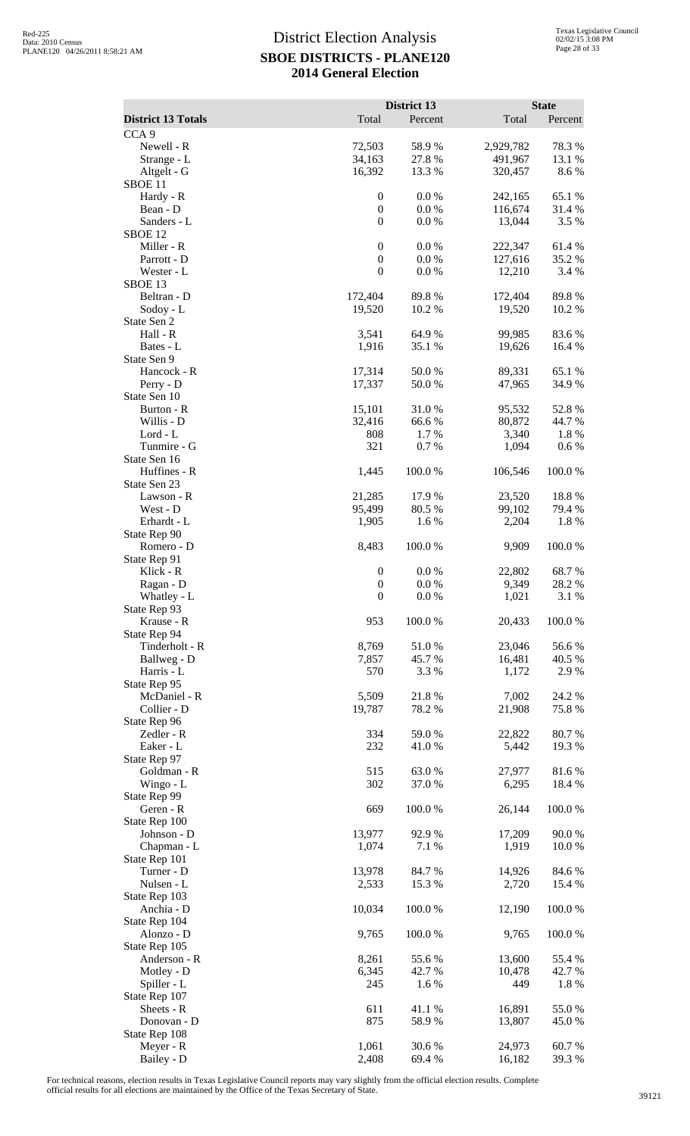|                                   |                                      | District 13     |                   | <b>State</b>     |
|-----------------------------------|--------------------------------------|-----------------|-------------------|------------------|
| <b>District 13 Totals</b>         | Total                                | Percent         | Total             | Percent          |
| CCA <sub>9</sub><br>Newell - R    | 72,503                               | 58.9%           | 2,929,782         | 78.3%            |
| Strange - L                       | 34,163                               | 27.8 %          | 491,967           | 13.1 %           |
| Altgelt - G<br>SBOE <sub>11</sub> | 16,392                               | 13.3 %          | 320,457           | 8.6%             |
| Hardy - R                         | $\boldsymbol{0}$                     | 0.0 %           | 242,165           | 65.1 %           |
| Bean - D                          | $\boldsymbol{0}$                     | 0.0 %           | 116,674           | 31.4 %           |
| Sanders - L                       | $\mathbf{0}$                         | 0.0 %           | 13,044            | 3.5 %            |
| SBOE <sub>12</sub><br>Miller - R  | $\boldsymbol{0}$                     | 0.0 %           | 222,347           | 61.4 %           |
| Parrott - D                       | $\boldsymbol{0}$                     | 0.0 %           | 127,616           | 35.2 %           |
| Wester - L                        | $\boldsymbol{0}$                     | 0.0 %           | 12,210            | 3.4 %            |
| SBOE <sub>13</sub>                |                                      |                 |                   |                  |
| Beltran - D<br>Sodoy - L          | 172,404<br>19,520                    | 89.8%<br>10.2 % | 172,404<br>19,520 | 89.8%<br>10.2 %  |
| State Sen 2                       |                                      |                 |                   |                  |
| Hall - R                          | 3,541                                | 64.9%           | 99,985            | 83.6%            |
| Bates - L<br>State Sen 9          | 1,916                                | 35.1 %          | 19,626            | 16.4 %           |
| Hancock - R                       | 17,314                               | 50.0%           | 89,331            | 65.1 %           |
| Perry - D                         | 17,337                               | 50.0%           | 47,965            | 34.9 %           |
| State Sen 10<br>Burton - R        | 15,101                               | 31.0%           | 95,532            | 52.8%            |
| Willis - D                        | 32,416                               | 66.6%           | 80,872            | 44.7 %           |
| Lord - L                          | 808                                  | 1.7 %           | 3,340             | 1.8 %            |
| Tunmire - G                       | 321                                  | 0.7 %           | 1,094             | 0.6 %            |
| State Sen 16<br>Huffines - R      | 1,445                                | 100.0%          | 106,546           | 100.0%           |
| State Sen 23                      |                                      |                 |                   |                  |
| Lawson - R                        | 21,285                               | 17.9%           | 23,520            | 18.8%            |
| West - D<br>Erhardt - L           | 95,499<br>1,905                      | 80.5 %<br>1.6%  | 99,102<br>2,204   | 79.4 %<br>1.8%   |
| State Rep 90                      |                                      |                 |                   |                  |
| Romero - D                        | 8,483                                | 100.0%          | 9,909             | 100.0%           |
| State Rep 91                      |                                      |                 |                   |                  |
| Klick - R<br>Ragan - D            | $\boldsymbol{0}$<br>$\boldsymbol{0}$ | 0.0 %<br>0.0 %  | 22,802<br>9,349   | 68.7%<br>28.2 %  |
| Whatley - L                       | $\boldsymbol{0}$                     | $0.0\%$         | 1,021             | 3.1 %            |
| State Rep 93                      |                                      |                 |                   |                  |
| Krause - R<br>State Rep 94        | 953                                  | 100.0%          | 20,433            | 100.0%           |
| Tinderholt - R                    | 8,769                                | 51.0%           | 23,046            | 56.6%            |
| Ballweg - D                       | 7,857                                | 45.7%           | 16,481            | 40.5 %           |
| Harris - L<br>State Rep 95        | 570                                  | 3.3 %           | 1,172             | 2.9%             |
| McDaniel - R                      | 5,509                                | 21.8%           | 7,002             | 24.2 %           |
| Collier - D                       | 19,787                               | 78.2 %          | 21,908            | 75.8%            |
| State Rep 96                      |                                      |                 |                   |                  |
| Zedler - R<br>Eaker - L           | 334<br>232                           | 59.0%<br>41.0%  | 22,822<br>5,442   | 80.7%<br>19.3 %  |
| State Rep 97                      |                                      |                 |                   |                  |
| Goldman - R                       | 515                                  | 63.0%           | 27,977            | 81.6%            |
| Wingo - L<br>State Rep 99         | 302                                  | 37.0%           | 6,295             | 18.4 %           |
| Geren - R                         | 669                                  | 100.0%          | 26,144            | 100.0%           |
| State Rep 100                     |                                      |                 |                   |                  |
| Johnson - D                       | 13,977                               | 92.9 %          | 17,209            | 90.0%            |
| Chapman - L<br>State Rep 101      | 1,074                                | 7.1 %           | 1,919             | 10.0%            |
| Turner - D                        | 13,978                               | 84.7%           | 14,926            | 84.6%            |
| Nulsen - L                        | 2,533                                | 15.3 %          | 2,720             | 15.4 %           |
| State Rep 103<br>Anchia - D       | 10,034                               | 100.0%          | 12,190            | 100.0%           |
| State Rep 104                     |                                      |                 |                   |                  |
| Alonzo - D                        | 9,765                                | 100.0%          | 9,765             | 100.0%           |
| State Rep 105                     |                                      |                 |                   |                  |
| Anderson - R<br>Motley - D        | 8,261<br>6,345                       | 55.6%<br>42.7 % | 13,600<br>10,478  | 55.4 %<br>42.7 % |
| Spiller - L                       | 245                                  | 1.6 %           | 449               | 1.8%             |
| State Rep 107                     |                                      |                 |                   |                  |
| Sheets - R<br>Donovan - D         | 611<br>875                           | 41.1%<br>58.9%  | 16,891<br>13,807  | 55.0%<br>45.0%   |
| State Rep 108                     |                                      |                 |                   |                  |
| Meyer - R                         | 1,061                                | 30.6%           | 24,973            | 60.7%            |
| Bailey - D                        | 2,408                                | 69.4 %          | 16,182            | 39.3%            |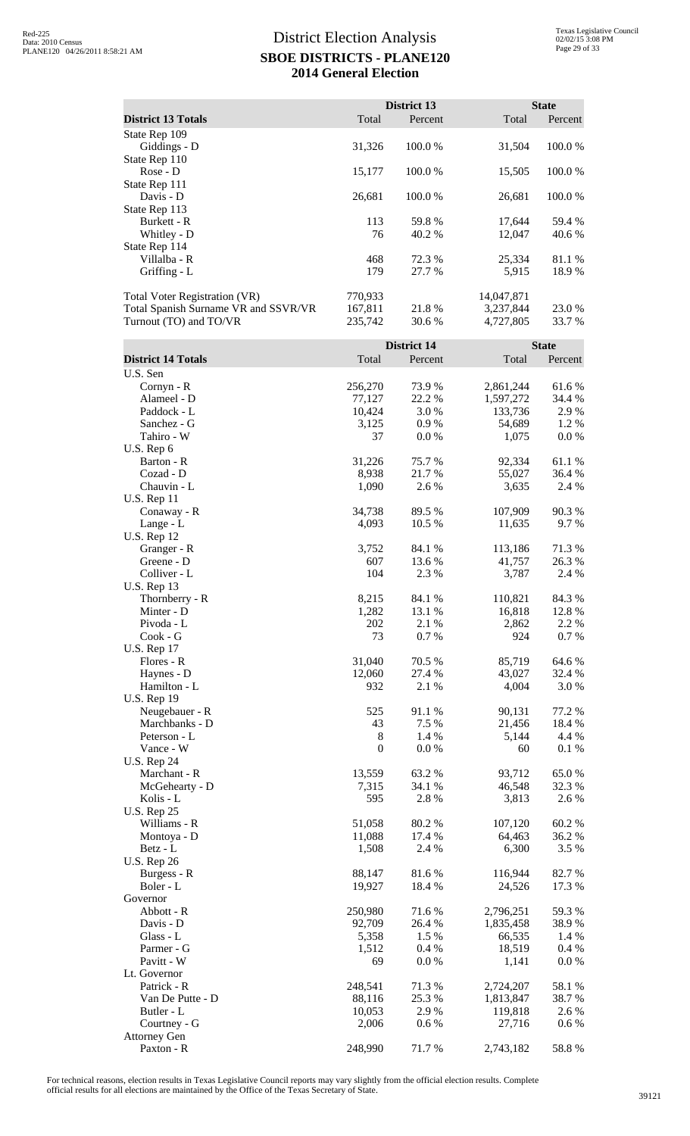|                                      |         | District 13 |            | <b>State</b> |
|--------------------------------------|---------|-------------|------------|--------------|
| <b>District 13 Totals</b>            | Total   | Percent     | Total      | Percent      |
| State Rep 109                        |         |             |            |              |
| Giddings - D                         | 31,326  | 100.0 %     | 31,504     | 100.0 %      |
| State Rep 110                        |         |             |            |              |
| $Rose - D$                           | 15,177  | 100.0%      | 15,505     | 100.0%       |
| State Rep 111                        |         |             |            |              |
| Davis - D                            | 26,681  | 100.0 %     | 26,681     | 100.0 %      |
| State Rep 113                        |         |             |            |              |
| Burkett - R                          | 113     | 59.8%       | 17,644     | 59.4 %       |
| Whitley - D                          | 76      | 40.2 %      | 12,047     | 40.6 %       |
| State Rep 114                        |         |             |            |              |
| Villalba - R                         | 468     | 72.3 %      | 25,334     | 81.1 %       |
| Griffing - L                         | 179     | 27.7 %      | 5,915      | 18.9 %       |
| <b>Total Voter Registration (VR)</b> | 770,933 |             | 14,047,871 |              |
| Total Spanish Surname VR and SSVR/VR | 167,811 | 21.8 %      | 3,237,844  | 23.0 %       |
| Turnout (TO) and TO/VR               | 235,742 | 30.6 %      | 4,727,805  | 33.7 %       |
|                                      |         | District 14 |            | <b>State</b> |
| <b>District 14 Totals</b>            | Total   | Percent     | Total      | Percent      |
| U.S. Sen                             |         |             |            |              |
| $Corrvn - R$                         | 256.270 | 739%        | 2.861.244  | 61.6 %       |

| U.S. Sen            |                  |                 |           |        |
|---------------------|------------------|-----------------|-----------|--------|
| Cornyn - R          | 256,270          | 73.9%           | 2,861,244 | 61.6%  |
| Alameel - D         | 77,127           | 22.2 %          | 1,597,272 | 34.4 % |
| Paddock - L         | 10,424           | 3.0%            | 133,736   | 2.9%   |
| Sanchez - G         | 3,125            | 0.9%            | 54,689    | 1.2%   |
| Tahiro - W          | 37               | 0.0 %           | 1,075     | 0.0 %  |
| U.S. Rep 6          |                  |                 |           |        |
| Barton - R          | 31,226           | 75.7%           | 92,334    | 61.1%  |
| Cozad - D           | 8,938            | 21.7%           | 55,027    | 36.4 % |
| Chauvin - L         | 1,090            | 2.6%            | 3,635     | 2.4 %  |
| <b>U.S. Rep 11</b>  |                  |                 |           |        |
| Conaway - R         | 34,738           | 89.5%           | 107,909   | 90.3%  |
| Lange - L           | 4,093            | 10.5 %          | 11,635    | 9.7 %  |
| <b>U.S. Rep 12</b>  |                  |                 |           |        |
| Granger - R         | 3,752            | 84.1 %          | 113,186   | 71.3%  |
| Greene - D          | 607              | 13.6 %          | 41,757    | 26.3 % |
| Colliver - L        | 104              | 2.3 %           | 3,787     | 2.4 %  |
| <b>U.S. Rep 13</b>  |                  |                 |           |        |
| Thornberry - R      | 8,215            | 84.1 %          | 110,821   | 84.3 % |
| Minter - D          |                  |                 |           |        |
|                     | 1,282            | 13.1 %<br>2.1 % | 16,818    | 12.8%  |
| Pivoda - L          | 202              |                 | 2,862     | 2.2 %  |
| $Cook - G$          | 73               | 0.7%            | 924       | 0.7%   |
| <b>U.S. Rep 17</b>  |                  |                 |           |        |
| Flores - R          | 31,040           | 70.5 %          | 85,719    | 64.6 % |
| Haynes - D          | 12,060           | 27.4 %          | 43,027    | 32.4 % |
| Hamilton - L        | 932              | 2.1 %           | 4,004     | 3.0%   |
| <b>U.S. Rep 19</b>  |                  |                 |           |        |
| Neugebauer - R      | 525              | 91.1%           | 90,131    | 77.2 % |
| Marchbanks - D      | 43               | 7.5 %           | 21,456    | 18.4 % |
| Peterson - L        | 8                | 1.4 %           | 5,144     | 4.4 %  |
| Vance - W           | $\boldsymbol{0}$ | 0.0 %           | 60        | 0.1 %  |
| <b>U.S. Rep 24</b>  |                  |                 |           |        |
| Marchant - R        | 13,559           | 63.2%           | 93,712    | 65.0%  |
| McGehearty - D      | 7,315            | 34.1 %          | 46,548    | 32.3 % |
| Kolis - L           | 595              | 2.8%            | 3,813     | 2.6%   |
| <b>U.S. Rep 25</b>  |                  |                 |           |        |
| Williams - R        | 51,058           | 80.2%           | 107,120   | 60.2%  |
| Montoya - D         | 11,088           | 17.4 %          | 64,463    | 36.2 % |
| Betz - L            | 1,508            | 2.4 %           | 6,300     | 3.5 %  |
| <b>U.S. Rep 26</b>  |                  |                 |           |        |
| Burgess - R         | 88,147           | 81.6%           | 116,944   | 82.7%  |
| Boler - L           | 19,927           | 18.4 %          | 24,526    | 17.3 % |
| Governor            |                  |                 |           |        |
| Abbott - R          | 250,980          | 71.6 %          | 2,796,251 | 59.3%  |
| Davis - D           | 92,709           | 26.4 %          | 1,835,458 | 38.9%  |
| Glass - L           | 5,358            | 1.5 %           | 66,535    | 1.4 %  |
| Parmer - G          | 1,512            | 0.4%            | 18,519    | 0.4 %  |
| Pavitt - W          | 69               | 0.0 %           | 1,141     | 0.0 %  |
| Lt. Governor        |                  |                 |           |        |
| Patrick - R         | 248,541          | 71.3%           | 2,724,207 | 58.1 % |
| Van De Putte - D    | 88,116           | 25.3 %          | 1,813,847 | 38.7%  |
| Butler - L          | 10,053           | 2.9 %           | 119,818   | 2.6 %  |
| Courtney - G        | 2,006            | 0.6 %           | 27,716    | 0.6 %  |
| <b>Attorney Gen</b> |                  |                 |           |        |
| Paxton - R          | 248,990          | 71.7%           | 2,743,182 | 58.8%  |
|                     |                  |                 |           |        |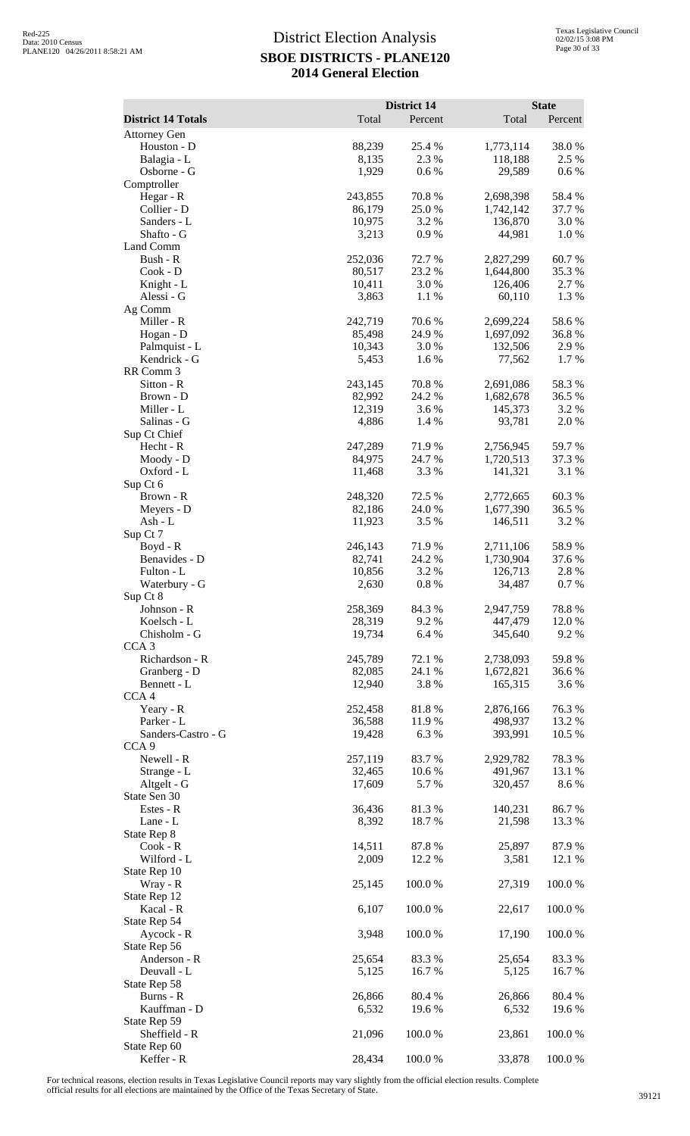|                                                  |                  | District 14     |                        | <b>State</b>    |
|--------------------------------------------------|------------------|-----------------|------------------------|-----------------|
| <b>District 14 Totals</b><br><b>Attorney Gen</b> | Total            | Percent         | Total                  | Percent         |
| Houston - D                                      | 88,239           | 25.4 %          | 1,773,114              | 38.0%           |
| Balagia - L                                      | 8,135            | 2.3 %           | 118,188                | 2.5 %           |
| Osborne - G                                      | 1,929            | 0.6%            | 29,589                 | 0.6 %           |
| Comptroller<br>Hegar - R                         | 243,855          | 70.8%           | 2,698,398              | 58.4%           |
| Collier - D                                      | 86,179           | 25.0%           | 1,742,142              | 37.7 %          |
| Sanders - L                                      | 10,975           | 3.2 %           | 136,870                | 3.0%            |
| Shafto - G                                       | 3,213            | 0.9%            | 44,981                 | 1.0%            |
| Land Comm<br>Bush - R                            | 252,036          | 72.7 %          | 2,827,299              | 60.7%           |
| Cook - D                                         | 80,517           | 23.2 %          | 1,644,800              | 35.3 %          |
| Knight - L                                       | 10,411           | 3.0 %           | 126,406                | 2.7 %           |
| Alessi - G                                       | 3,863            | 1.1 %           | 60,110                 | 1.3%            |
| Ag Comm<br>Miller - R                            | 242,719          | 70.6%           | 2,699,224              | 58.6%           |
| Hogan - D                                        | 85,498           | 24.9%           | 1,697,092              | 36.8%           |
| Palmquist - L                                    | 10,343           | 3.0%            | 132,506                | 2.9%            |
| Kendrick - G                                     | 5,453            | 1.6%            | 77,562                 | 1.7%            |
| RR Comm 3<br>Sitton - R                          | 243,145          | 70.8%           | 2,691,086              | 58.3%           |
| Brown - D                                        | 82,992           | 24.2 %          | 1,682,678              | 36.5 %          |
| Miller - L                                       | 12,319           | 3.6 %           | 145,373                | 3.2 %           |
| Salinas - G                                      | 4,886            | 1.4 %           | 93,781                 | 2.0%            |
| Sup Ct Chief<br>Hecht - R                        | 247,289          | 71.9%           | 2,756,945              | 59.7%           |
| Moody - D                                        | 84,975           | 24.7 %          | 1,720,513              | 37.3 %          |
| Oxford - L                                       | 11,468           | 3.3 %           | 141,321                | 3.1 %           |
| Sup Ct 6                                         |                  |                 |                        |                 |
| Brown - R<br>Meyers - D                          | 248,320          | 72.5 %          | 2,772,665<br>1,677,390 | 60.3%<br>36.5 % |
| Ash - L                                          | 82,186<br>11,923 | 24.0 %<br>3.5 % | 146,511                | 3.2 %           |
| Sup Ct 7                                         |                  |                 |                        |                 |
| Boyd - R                                         | 246,143          | 71.9%           | 2,711,106              | 58.9%           |
| Benavides - D                                    | 82,741           | 24.2 %          | 1,730,904              | 37.6 %          |
| Fulton - L<br>Waterbury - G                      | 10,856<br>2,630  | 3.2 %<br>0.8%   | 126,713<br>34,487      | 2.8%<br>0.7%    |
| Sup Ct 8                                         |                  |                 |                        |                 |
| Johnson - R                                      | 258,369          | 84.3%           | 2,947,759              | 78.8%           |
| Koelsch - L<br>Chisholm - G                      | 28,319           | 9.2%            | 447,479<br>345,640     | 12.0%           |
| CCA <sub>3</sub>                                 | 19,734           | 6.4 %           |                        | 9.2%            |
| Richardson - R                                   | 245,789          | 72.1 %          | 2,738,093              | 59.8%           |
| Granberg - D                                     | 82,085           | 24.1 %          | 1,672,821              | 36.6%           |
| Bennett - L<br>CCA4                              | 12,940           | 3.8%            | 165,315                | 3.6 %           |
| Yeary - R                                        | 252,458          | 81.8%           | 2,876,166              | 76.3%           |
| Parker - L                                       | 36,588           | 11.9%           | 498,937                | 13.2 %          |
| Sanders-Castro - G                               | 19,428           | 6.3%            | 393,991                | 10.5 %          |
| CCA <sub>9</sub><br>Newell - R                   | 257,119          | 83.7%           | 2,929,782              | 78.3%           |
| Strange - L                                      | 32,465           | 10.6%           | 491,967                | 13.1 %          |
| Altgelt - G                                      | 17,609           | 5.7 %           | 320,457                | 8.6 %           |
| State Sen 30                                     |                  |                 |                        |                 |
| Estes - R<br>Lane - L                            | 36,436<br>8,392  | 81.3%<br>18.7%  | 140,231<br>21,598      | 86.7%<br>13.3 % |
| State Rep 8                                      |                  |                 |                        |                 |
| Cook - R                                         | 14,511           | 87.8%           | 25,897                 | 87.9%           |
| Wilford - L                                      | 2,009            | 12.2 %          | 3,581                  | 12.1 %          |
| State Rep 10<br>Wray - R                         | 25,145           | 100.0%          | 27,319                 | 100.0%          |
| State Rep 12                                     |                  |                 |                        |                 |
| Kacal - R                                        | 6,107            | 100.0%          | 22,617                 | 100.0%          |
| State Rep 54                                     |                  |                 |                        |                 |
| Aycock - R                                       | 3,948            | 100.0%          | 17,190                 | 100.0%          |
| State Rep 56<br>Anderson - R                     | 25,654           | 83.3%           | 25,654                 | 83.3%           |
| Deuvall - L                                      | 5,125            | 16.7%           | 5,125                  | 16.7 %          |
| State Rep 58                                     |                  |                 |                        |                 |
| Burns - R                                        | 26,866           | 80.4%           | 26,866                 | 80.4%           |
| Kauffman - D<br>State Rep 59                     | 6,532            | 19.6%           | 6,532                  | 19.6%           |
| Sheffield - R                                    | 21,096           | 100.0%          | 23,861                 | 100.0%          |
| State Rep 60                                     |                  |                 |                        |                 |
| Keffer - R                                       | 28,434           | 100.0%          | 33,878                 | 100.0%          |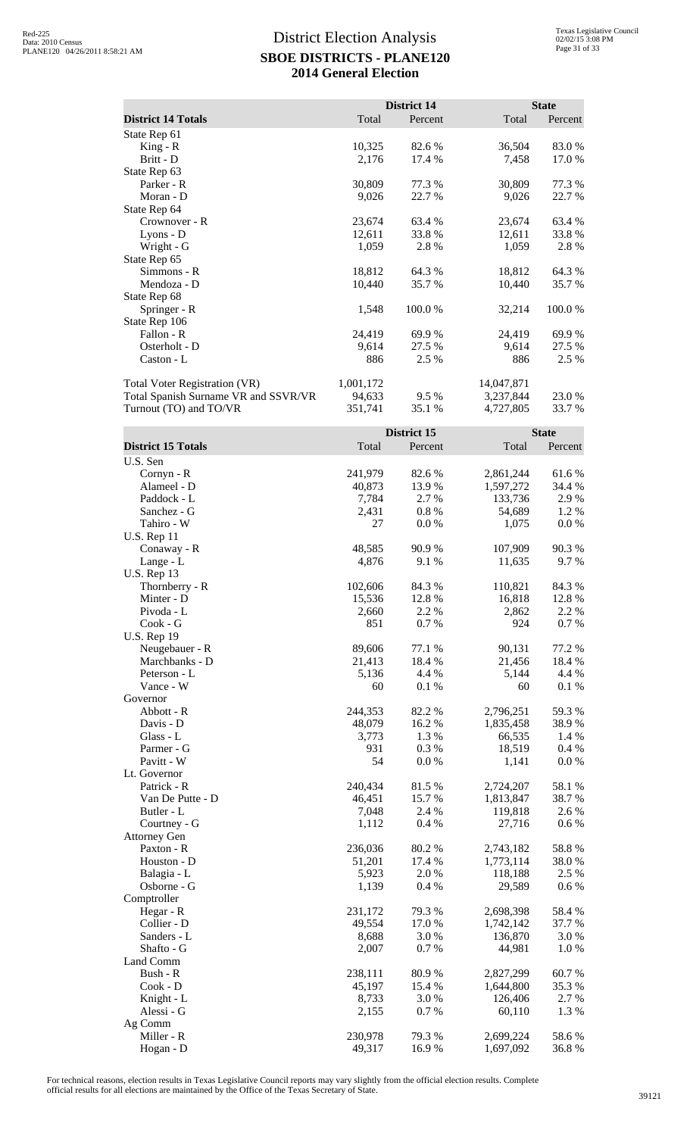|                                      |                   | <b>District 14</b> |                        | <b>State</b>    |
|--------------------------------------|-------------------|--------------------|------------------------|-----------------|
| <b>District 14 Totals</b>            | Total             | Percent            | Total                  | Percent         |
| State Rep 61                         |                   |                    |                        |                 |
| $King - R$                           | 10,325            | 82.6 %             | 36,504                 | 83.0%           |
| Britt - D                            | 2,176             | 17.4 %             | 7,458                  | 17.0%           |
| State Rep 63<br>Parker - R           | 30,809            | 77.3 %             | 30,809                 | 77.3 %          |
| Moran - D                            | 9,026             | 22.7 %             | 9,026                  | 22.7 %          |
| State Rep 64                         |                   |                    |                        |                 |
| Crownover - R                        | 23,674            | 63.4 %             | 23,674                 | 63.4 %          |
| Lyons - D                            | 12,611            | 33.8%              | 12,611                 | 33.8%           |
| Wright - G                           | 1,059             | 2.8 %              | 1,059                  | 2.8%            |
| State Rep 65<br>Simmons - R          | 18,812            |                    |                        | 64.3%           |
| Mendoza - D                          | 10,440            | 64.3%<br>35.7%     | 18,812<br>10,440       | 35.7%           |
| State Rep 68                         |                   |                    |                        |                 |
| Springer - R                         | 1,548             | 100.0%             | 32,214                 | $100.0~\%$      |
| State Rep 106                        |                   |                    |                        |                 |
| Fallon - R                           | 24,419            | 69.9 %             | 24,419                 | 69.9%           |
| Osterholt - D                        | 9,614             | 27.5 %             | 9,614                  | 27.5 %          |
| Caston - L                           | 886               | 2.5 %              | 886                    | 2.5 %           |
| Total Voter Registration (VR)        | 1,001,172         |                    | 14,047,871             |                 |
| Total Spanish Surname VR and SSVR/VR | 94,633            | 9.5 %              | 3,237,844              | 23.0%           |
| Turnout (TO) and TO/VR               | 351,741           | 35.1 %             | 4,727,805              | 33.7%           |
|                                      |                   |                    |                        |                 |
|                                      |                   | District 15        |                        | <b>State</b>    |
| <b>District 15 Totals</b>            | Total             | Percent            | Total                  | Percent         |
| U.S. Sen<br>Cornyn - R               | 241,979           | 82.6%              | 2,861,244              | 61.6%           |
| Alameel - D                          | 40,873            | 13.9%              | 1,597,272              | 34.4 %          |
| Paddock - L                          | 7,784             | 2.7 %              | 133,736                | 2.9%            |
| Sanchez - G                          | 2,431             | 0.8 %              | 54,689                 | 1.2%            |
| Tahiro - W                           | 27                | 0.0 %              | 1,075                  | $0.0\ \%$       |
| <b>U.S. Rep 11</b>                   |                   |                    |                        |                 |
| Conaway - R<br>Lange - L             | 48,585<br>4,876   | 90.9%<br>9.1 %     | 107,909<br>11,635      | 90.3%<br>9.7 %  |
| <b>U.S. Rep 13</b>                   |                   |                    |                        |                 |
| Thornberry - R                       | 102,606           | 84.3 %             | 110,821                | 84.3 %          |
| Minter - D                           | 15,536            | 12.8%              | 16,818                 | 12.8%           |
| Pivoda - L                           | 2,660             | 2.2 %              | 2,862                  | 2.2 %           |
| Cook - G                             | 851               | 0.7%               | 924                    | 0.7 %           |
| <b>U.S. Rep 19</b><br>Neugebauer - R | 89,606            | 77.1 %             | 90,131                 | 77.2 %          |
| Marchbanks - D                       | 21,413            | 18.4 %             | 21,456                 | 18.4 %          |
| Peterson - L                         | 5,136             | 4.4 %              | 5,144                  | 4.4 %           |
| Vance - W                            | 60                | 0.1%               | 60                     | 0.1 %           |
| Governor                             |                   |                    |                        |                 |
| Abbott - R                           | 244,353           | 82.2%              | 2,796,251              | 59.3%           |
| Davis - D                            | 48,079            | 16.2%<br>1.3%      | 1,835,458              | 38.9%           |
| Glass - L<br>Parmer - G              | 3,773<br>931      | 0.3%               | 66,535<br>18,519       | 1.4 %<br>0.4 %  |
| Pavitt - W                           | 54                | 0.0 %              | 1,141                  | 0.0 %           |
| Lt. Governor                         |                   |                    |                        |                 |
| Patrick - R                          | 240,434           | 81.5%              | 2,724,207              | 58.1 %          |
| Van De Putte - D                     | 46,451            | 15.7%              | 1,813,847              | 38.7%           |
| Butler - L                           | 7,048             | 2.4 %              | 119,818                | 2.6 %           |
| Courtney - G<br><b>Attorney Gen</b>  | 1,112             | 0.4%               | 27,716                 | 0.6 %           |
| Paxton - R                           | 236,036           | 80.2%              | 2,743,182              | 58.8 %          |
| Houston - D                          | 51,201            | 17.4 %             | 1,773,114              | $38.0\;\%$      |
| Balagia - L                          | 5,923             | 2.0%               | 118,188                | 2.5 %           |
| Osborne - G                          | 1,139             | 0.4%               | 29,589                 | 0.6 %           |
| Comptroller                          |                   |                    |                        |                 |
| Hegar - R<br>Collier - D             | 231,172<br>49,554 | 79.3 %<br>17.0%    | 2,698,398<br>1,742,142 | 58.4%<br>37.7 % |
| Sanders - L                          | 8,688             | 3.0%               | 136,870                | 3.0%            |
| Shafto - G                           | 2,007             | 0.7%               | 44,981                 | 1.0%            |
| Land Comm                            |                   |                    |                        |                 |
| Bush - R                             | 238,111           | 80.9%              | 2,827,299              | 60.7%           |
| Cook - D                             | 45,197            | 15.4 %             | 1,644,800              | 35.3%           |
| Knight - L                           | 8,733             | 3.0%               | 126,406                | 2.7 %           |
| Alessi - G<br>Ag Comm                | 2,155             | 0.7 %              | 60,110                 | 1.3%            |
| Miller - R                           | 230,978           | 79.3 %             | 2,699,224              | 58.6%           |
| Hogan - D                            | 49,317            | 16.9%              | 1,697,092              | 36.8%           |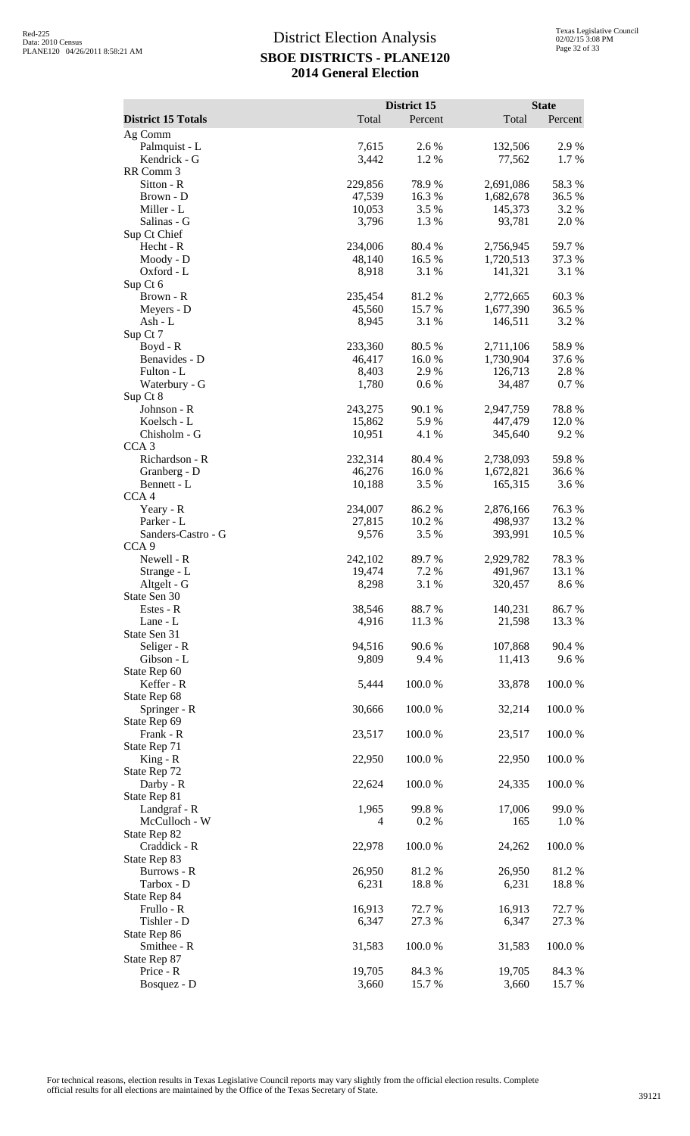|                                | District 15       |                 | <b>State</b>         |                 |
|--------------------------------|-------------------|-----------------|----------------------|-----------------|
| <b>District 15 Totals</b>      | Total             | Percent         | Total                | Percent         |
| Ag Comm                        |                   |                 |                      |                 |
| Palmquist - L                  | 7,615             | 2.6 %           | 132,506              | 2.9%            |
| Kendrick - G<br>RR Comm 3      | 3,442             | 1.2%            | 77,562               | 1.7%            |
| Sitton - R                     | 229,856           | 78.9%           | 2,691,086            | 58.3%           |
| Brown - D                      | 47,539            | 16.3%           | 1,682,678            | 36.5 %          |
| Miller - L                     | 10,053            | 3.5 %<br>1.3%   | 145,373<br>93,781    | 3.2 %<br>2.0%   |
| Salinas - G<br>Sup Ct Chief    | 3,796             |                 |                      |                 |
| Hecht - R                      | 234,006           | 80.4%           | 2,756,945            | 59.7%           |
| Moody - D                      | 48,140            | 16.5 %          | 1,720,513            | 37.3 %          |
| Oxford - L<br>Sup Ct 6         | 8,918             | 3.1 %           | 141,321              | 3.1 %           |
| Brown - R                      | 235,454           | 81.2%           | 2,772,665            | 60.3%           |
| Meyers - D                     | 45,560            | 15.7%           | 1,677,390            | 36.5 %          |
| $Ash-L$                        | 8,945             | 3.1 %           | 146,511              | 3.2 %           |
| Sup Ct 7<br>Boyd - R           | 233,360           | 80.5%           | 2,711,106            | 58.9%           |
| Benavides - D                  | 46,417            | 16.0%           | 1,730,904            | 37.6 %          |
| Fulton - L                     | 8,403             | 2.9%            | 126,713              | 2.8%            |
| Waterbury - G                  | 1,780             | 0.6%            | 34,487               | 0.7%            |
| Sup Ct 8                       |                   |                 |                      |                 |
| Johnson - R<br>Koelsch - L     | 243,275<br>15,862 | 90.1 %<br>5.9%  | 2,947,759<br>447,479 | 78.8%<br>12.0%  |
| Chisholm - G                   | 10,951            | 4.1 %           | 345,640              | 9.2%            |
| CCA <sub>3</sub>               |                   |                 |                      |                 |
| Richardson - R                 | 232,314           | 80.4%           | 2,738,093            | 59.8%           |
| Granberg - D<br>Bennett - L    | 46,276<br>10,188  | 16.0%<br>3.5 %  | 1,672,821<br>165,315 | 36.6%<br>3.6 %  |
| CCA <sub>4</sub>               |                   |                 |                      |                 |
| Yeary - R                      | 234,007           | 86.2%           | 2,876,166            | 76.3%           |
| Parker - L                     | 27,815            | 10.2%           | 498,937              | 13.2 %          |
| Sanders-Castro - G             | 9,576             | 3.5 %           | 393,991              | 10.5 %          |
| CCA <sub>9</sub><br>Newell - R | 242,102           | 89.7%           | 2,929,782            | 78.3%           |
| Strange - L                    | 19,474            | 7.2 %           | 491,967              | 13.1 %          |
| Altgelt - G                    | 8,298             | 3.1 %           | 320,457              | 8.6%            |
| State Sen 30                   |                   |                 |                      |                 |
| Estes - R<br>Lane - L          | 38,546<br>4,916   | 88.7%<br>11.3 % | 140,231<br>21,598    | 86.7%<br>13.3 % |
| State Sen 31                   |                   |                 |                      |                 |
| Seliger - R                    | 94,516            | 90.6%           | 107,868              | 90.4 %          |
| Gibson - L                     | 9,809             | 9.4%            | 11,413               | 9.6%            |
| State Rep 60<br>Keffer - R     | 5,444             | 100.0%          | 33,878               | 100.0%          |
| State Rep 68                   |                   |                 |                      |                 |
| Springer - R                   | 30,666            | 100.0%          | 32,214               | 100.0%          |
| State Rep 69                   |                   |                 |                      |                 |
| Frank - R                      | 23,517            | 100.0%          | 23,517               | 100.0%          |
| State Rep 71<br>$King - R$     | 22,950            | 100.0%          | 22,950               | 100.0%          |
| State Rep 72                   |                   |                 |                      |                 |
| Darby - R                      | 22,624            | 100.0%          | 24,335               | 100.0%          |
| State Rep 81                   |                   |                 |                      |                 |
| Landgraf - R<br>McCulloch - W  | 1,965<br>4        | 99.8%<br>0.2 %  | 17,006<br>165        | 99.0%<br>1.0%   |
| State Rep 82                   |                   |                 |                      |                 |
| Craddick - R                   | 22,978            | 100.0%          | 24,262               | 100.0%          |
| State Rep 83                   |                   |                 |                      |                 |
| Burrows - R<br>Tarbox - D      | 26,950<br>6,231   | 81.2%<br>18.8%  | 26,950<br>6,231      | 81.2%<br>18.8%  |
| State Rep 84                   |                   |                 |                      |                 |
| Frullo - R                     | 16,913            | 72.7 %          | 16,913               | 72.7 %          |
| Tishler - D                    | 6,347             | 27.3 %          | 6,347                | 27.3 %          |
| State Rep 86                   |                   |                 |                      |                 |
| Smithee - R<br>State Rep 87    | 31,583            | 100.0%          | 31,583               | 100.0%          |
| Price - R                      | 19,705            | 84.3 %          | 19,705               | 84.3 %          |
| Bosquez - D                    | 3,660             | 15.7%           | 3,660                | 15.7 %          |